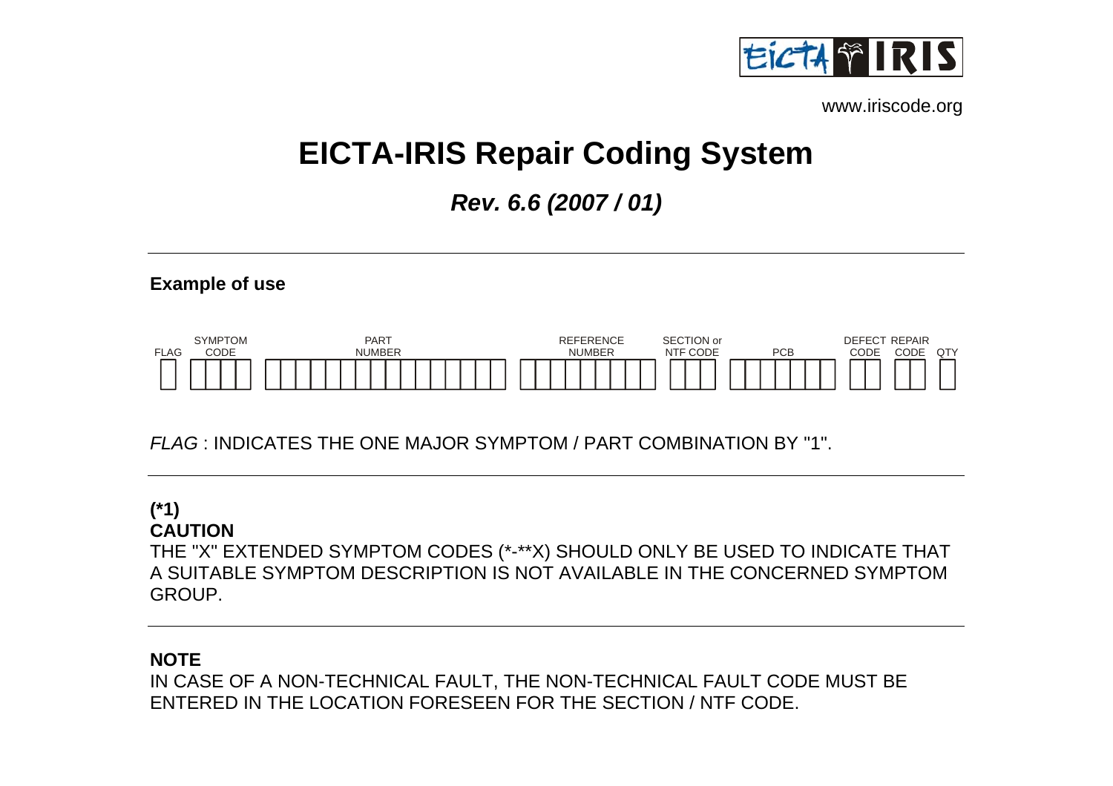

[www.iriscode.org](http://www.iriscode.org/iriscode.exe) 

# **EICTA-IRIS Repair Coding System**

*Rev. 6.6 (2007 / 01)* 





*FLAG* : INDICATES THE ONE MAJOR SYMPTOM / PART COMBINATION BY "1".

# **(\*1) CAUTION**

THE "X" EXTENDED SYMPTOM CODES (\*-\*\*X) SHOULD ONLY BE USED TO INDICATE THAT A SUITABLE SYMPTOM DESCRIPTION IS NOT AVAILABLE IN THE CONCERNED SYMPTOM GROUP.

# **NOTE**

IN CASE OF A NON-TECHNICAL FAULT, THE NON-TECHNICAL FAULT CODE MUST BE ENTERED IN THE LOCATION FORESEEN FOR THE SECTION / NTF CODE.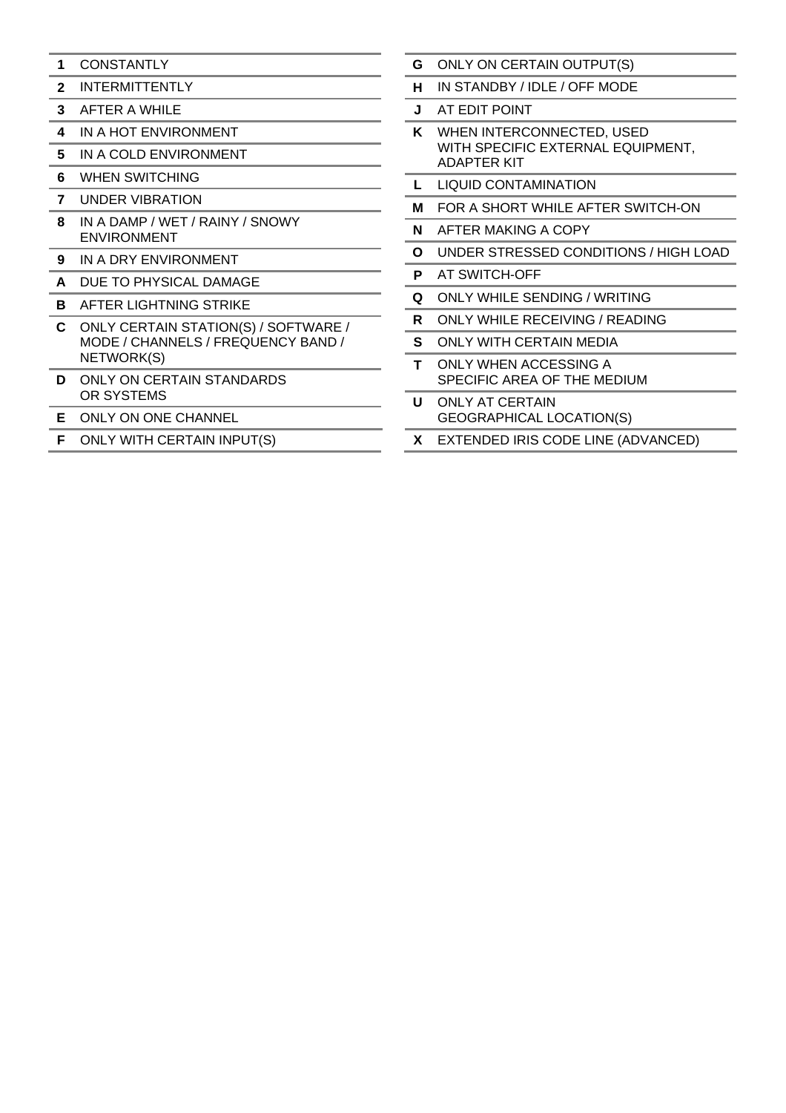- **1** CONSTANTLY
- **2** INTERMITTENTLY
- **3** AFTER A WHILE
- **4** IN A HOT ENVIRONMENT
- **5** IN A COLD ENVIRONMENT
- **6** WHEN SWITCHING
- **7** UNDER VIBRATION
- **8** IN A DAMP / WET / RAINY / SNOWY ENVIRONMENT
- **9** IN A DRY ENVIRONMENT
- **A** DUE TO PHYSICAL DAMAGE
- **B** AFTER LIGHTNING STRIKE
- **C** ONLY CERTAIN STATION(S) / SOFTWARE / MODE / CHANNELS / FREQUENCY BAND / NETWORK(S)
- **D** ONLY ON CERTAIN STANDARDS OR SYSTEMS
- **E** ONLY ON ONE CHANNEL
- **F** ONLY WITH CERTAIN INPUT(S)
- **G** ONLY ON CERTAIN OUTPUT(S)
- **H** IN STANDBY / IDLE / OFF MODE
- **J** AT EDIT POINT
- **K** WHEN INTERCONNECTED, USED WITH SPECIFIC EXTERNAL EQUIPMENT, ADAPTER KIT
- **L** LIQUID CONTAMINATION
- **M** FOR A SHORT WHILE AFTER SWITCH-ON
- **N** AFTER MAKING A COPY
- **O** UNDER STRESSED CONDITIONS / HIGH LOAD
- **P** AT SWITCH-OFF
- **Q** ONLY WHILE SENDING / WRITING
- **R** ONLY WHILE RECEIVING / READING
- **S** ONLY WITH CERTAIN MEDIA
- **T** ONLY WHEN ACCESSING A SPECIFIC AREA OF THE MEDIUM
- **U** ONLY AT CERTAIN GEOGRAPHICAL LOCATION(S)
- **X** EXTENDED IRIS CODE LINE (ADVANCED)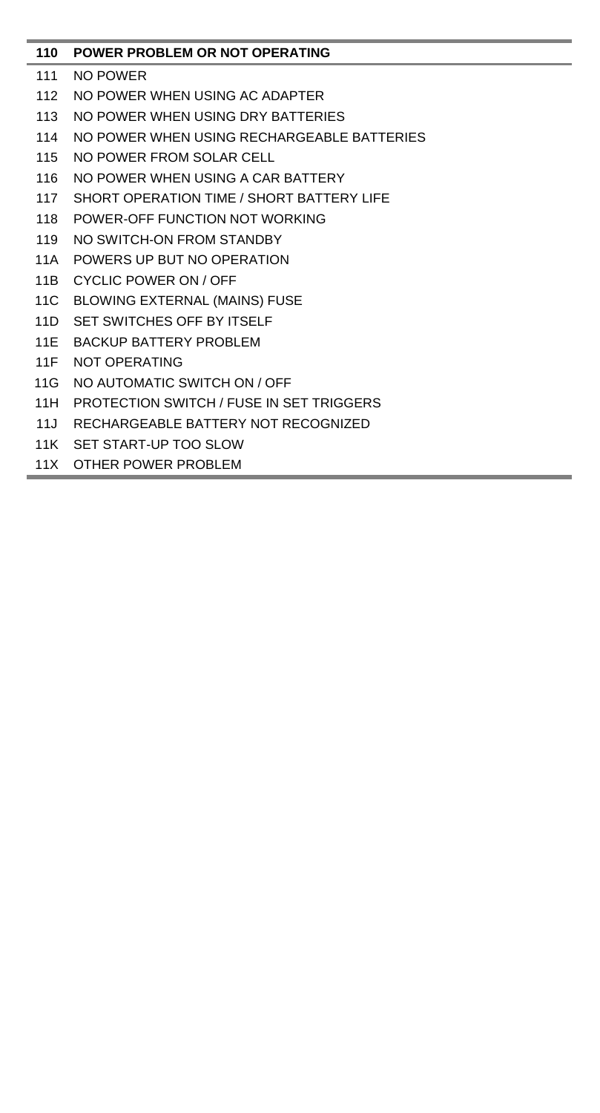# **110 POWER PROBLEM OR NOT OPERATING**

- 111 NO POWER
- 112 NO POWER WHEN USING AC ADAPTER
- 113 NO POWER WHEN USING DRY BATTERIES
- 114 NO POWER WHEN USING RECHARGEABLE BATTERIES
- 115 NO POWER FROM SOLAR CELL
- 116 NO POWER WHEN USING A CAR BATTERY
- 117 SHORT OPERATION TIME / SHORT BATTERY LIFE
- 118 POWER-OFF FUNCTION NOT WORKING
- 119 NO SWITCH-ON FROM STANDBY
- 11A POWERS UP BUT NO OPERATION
- 11B CYCLIC POWER ON / OFF
- 11C BLOWING EXTERNAL (MAINS) FUSE
- 11D SET SWITCHES OFF BY ITSELF
- 11E BACKUP BATTERY PROBLEM
- 11F NOT OPERATING
- 11G NO AUTOMATIC SWITCH ON / OFF
- 11H PROTECTION SWITCH / FUSE IN SET TRIGGERS
- 11J RECHARGEABLE BATTERY NOT RECOGNIZED
- 11K SET START-UP TOO SLOW
- 11X OTHER POWER PROBLEM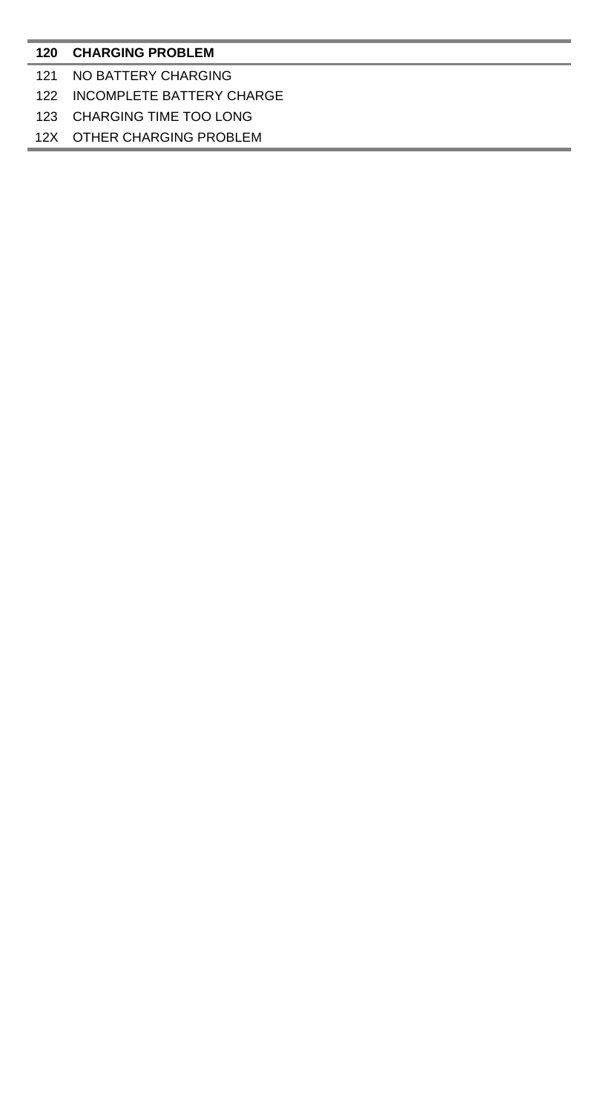### **CHARGING PROBLEM**

### NO BATTERY CHARGING

# INCOMPLETE BATTERY CHARGE

### CHARGING TIME TOO LONG

### 12X OTHER CHARGING PROBLEM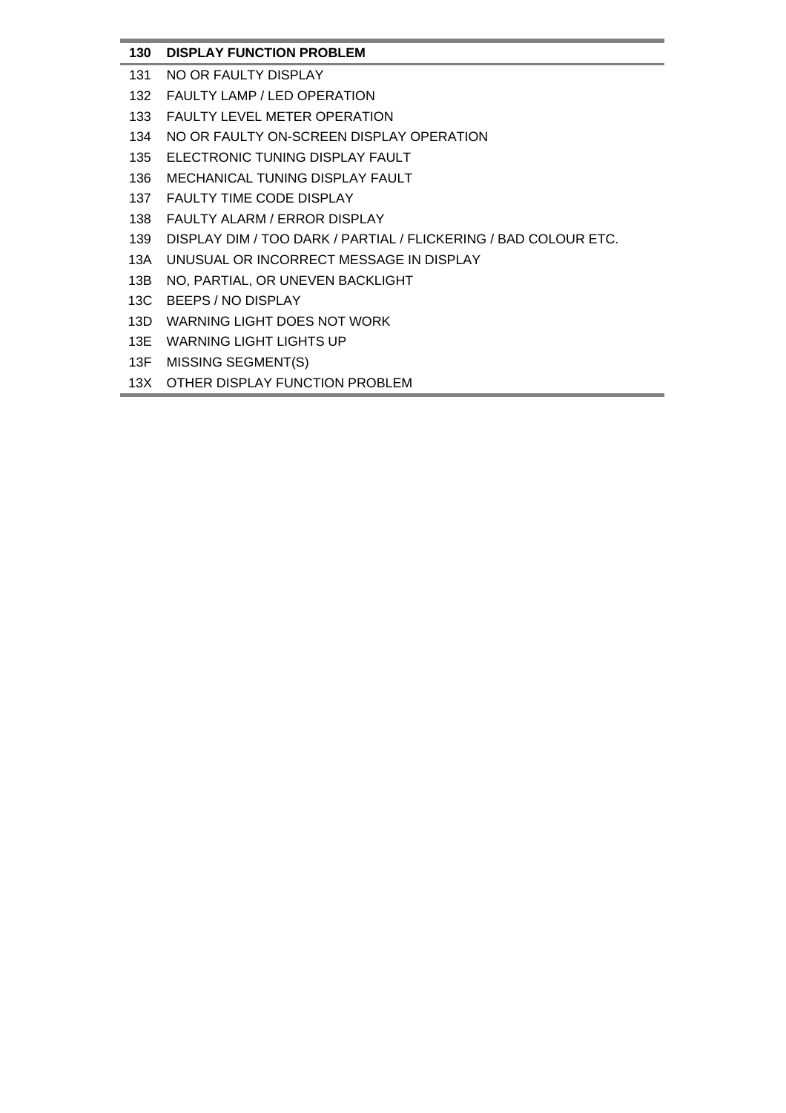# **130 DISPLAY FUNCTION PROBLEM**

- 131 NO OR FAULTY DISPLAY
- 132 FAULTY LAMP / LED OPERATION
- 133 FAULTY LEVEL METER OPERATION
- 134 NO OR FAULTY ON-SCREEN DISPLAY OPERATION
- 135 ELECTRONIC TUNING DISPLAY FAULT
- 136 MECHANICAL TUNING DISPLAY FAULT
- 137 FAULTY TIME CODE DISPLAY
- 138 FAULTY ALARM / ERROR DISPLAY
- 139 DISPLAY DIM / TOO DARK / PARTIAL / FLICKERING / BAD COLOUR ETC.
- 13A UNUSUAL OR INCORRECT MESSAGE IN DISPLAY
- 13B NO, PARTIAL, OR UNEVEN BACKLIGHT
- 13C BEEPS / NO DISPLAY
- 13D WARNING LIGHT DOES NOT WORK
- 13E WARNING LIGHT LIGHTS UP
- 13F MISSING SEGMENT(S)
- 13X OTHER DISPLAY FUNCTION PROBLEM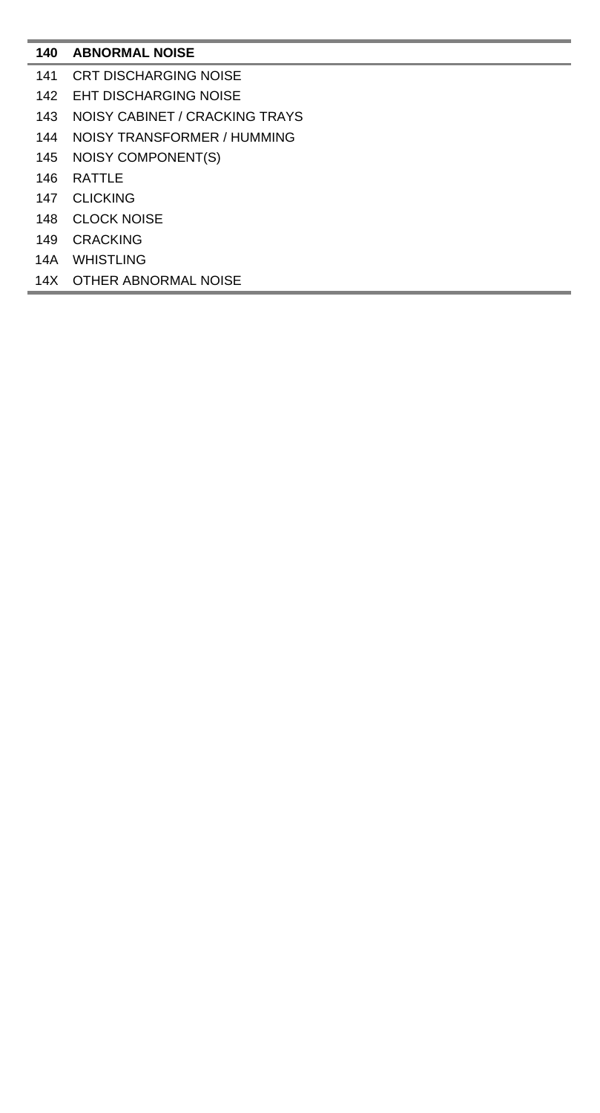# **ABNORMAL NOISE**

- CRT DISCHARGING NOISE
- EHT DISCHARGING NOISE
- NOISY CABINET / CRACKING TRAYS
- NOISY TRANSFORMER / HUMMING
- NOISY COMPONENT(S)
- RATTLE
- CLICKING
- CLOCK NOISE
- CRACKING
- 14A WHISTLING
- 14X OTHER ABNORMAL NOISE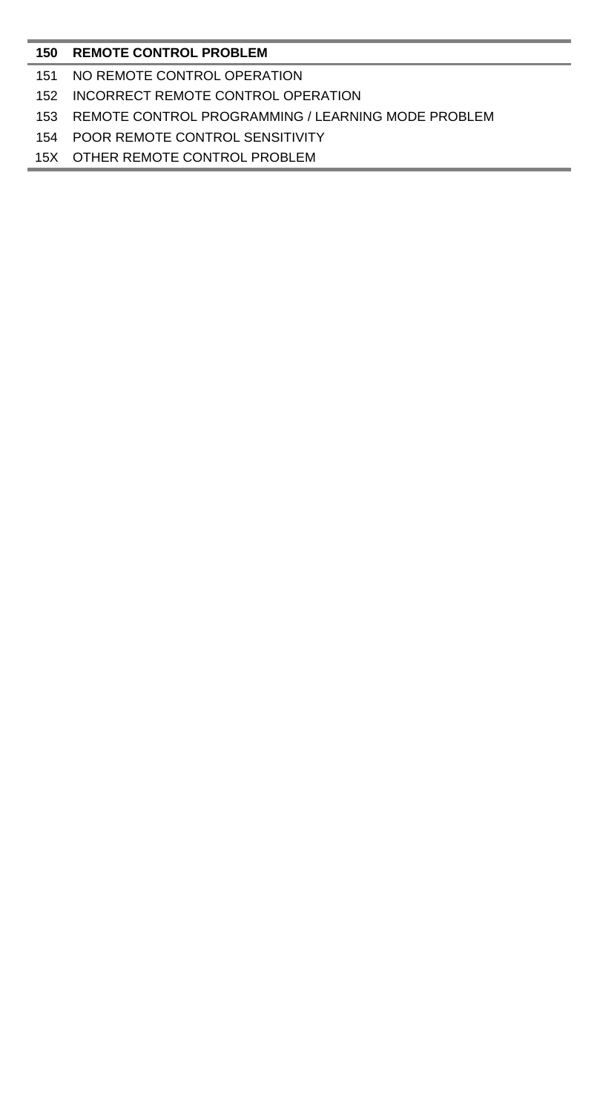### **REMOTE CONTROL PROBLEM**

- NO REMOTE CONTROL OPERATION
- INCORRECT REMOTE CONTROL OPERATION
- REMOTE CONTROL PROGRAMMING / LEARNING MODE PROBLEM
- POOR REMOTE CONTROL SENSITIVITY
- 15X OTHER REMOTE CONTROL PROBLEM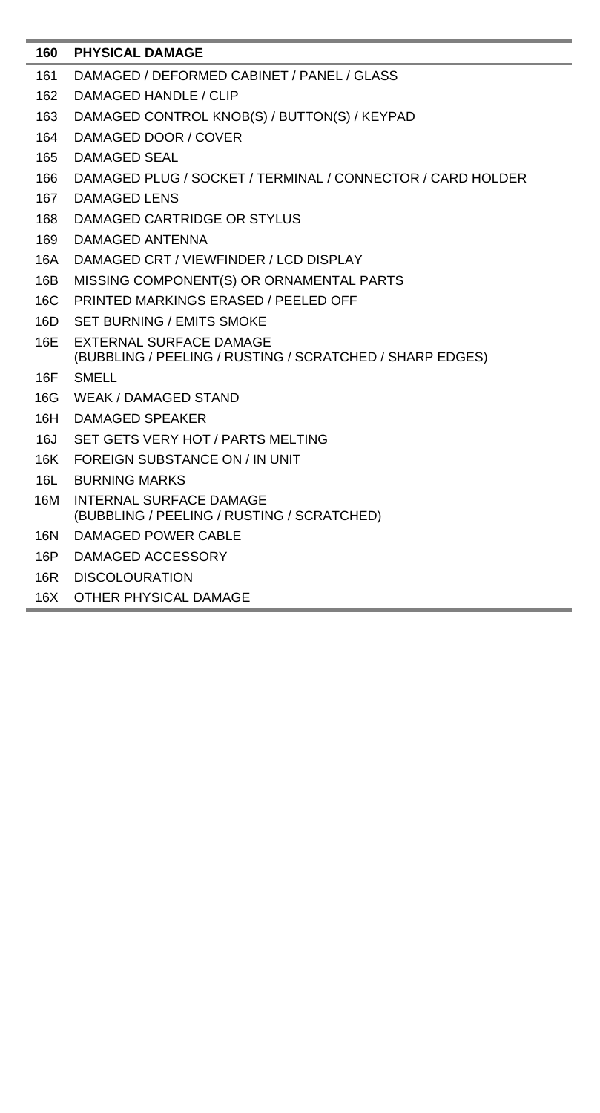| 160 | <b>PHYSICAL DAMAGE</b>                                                |
|-----|-----------------------------------------------------------------------|
| 161 | DAMAGED / DEFORMED CABINET / PANEL / GLASS                            |
| 162 | DAMAGED HANDLE / CLIP                                                 |
| 163 | DAMAGED CONTROL KNOB(S) / BUTTON(S) / KEYPAD                          |
| 164 | DAMAGED DOOR / COVER                                                  |
| 165 | <b>DAMAGED SEAL</b>                                                   |
| 166 | DAMAGED PLUG / SOCKET / TERMINAL / CONNECTOR / CARD HOLDER            |
| 167 | DAMAGED LENS                                                          |
| 168 | DAMAGED CARTRIDGE OR STYLUS                                           |
| 169 | DAMAGED ANTENNA                                                       |
| 16A | DAMAGED CRT / VIEWFINDER / LCD DISPLAY                                |
| 16B | MISSING COMPONENT(S) OR ORNAMENTAL PARTS                              |
| 16C | PRINTED MARKINGS ERASED / PEELED OFF                                  |
| 16D | SET BURNING / EMITS SMOKE                                             |
| 16E | EXTERNAL SURFACE DAMAGE                                               |
|     | (BUBBLING / PEELING / RUSTING / SCRATCHED / SHARP EDGES)              |
| 16F | SMELL                                                                 |
| 16G | <b>WEAK / DAMAGED STAND</b>                                           |
| 16H | DAMAGED SPEAKER                                                       |
| 16J | SET GETS VERY HOT / PARTS MELTING                                     |
| 16K | FOREIGN SUBSTANCE ON / IN UNIT                                        |
| 16L | <b>BURNING MARKS</b>                                                  |
| 16M | INTERNAL SURFACE DAMAGE<br>(BUBBLING / PEELING / RUSTING / SCRATCHED) |
| 16N | DAMAGED POWER CABLE                                                   |
| 16P | DAMAGED ACCESSORY                                                     |
| 16R | <b>DISCOLOURATION</b>                                                 |

16X OTHER PHYSICAL DAMAGE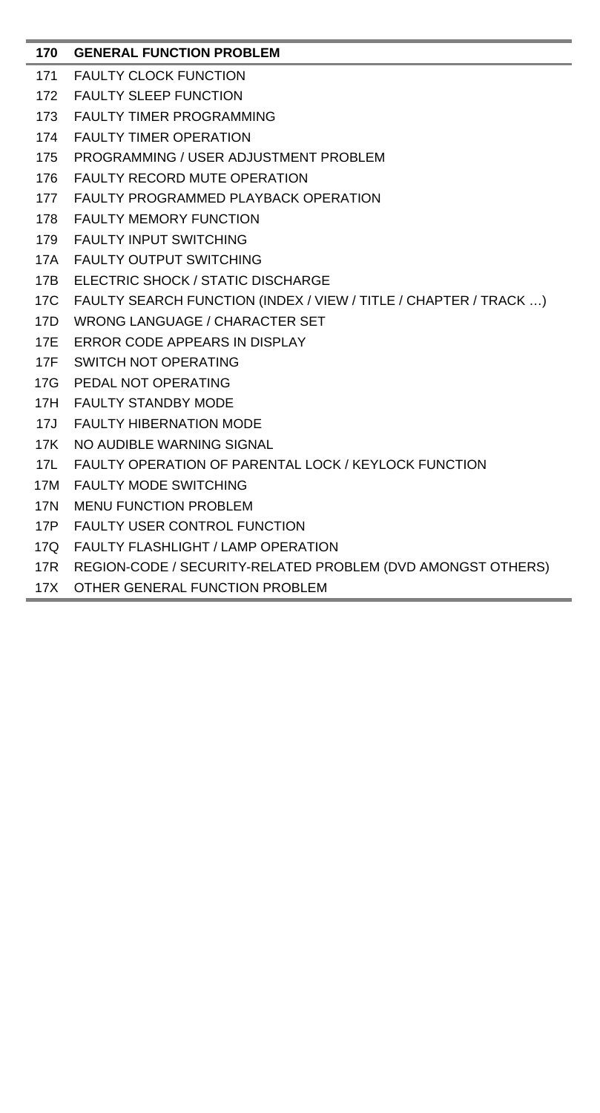# **170 GENERAL FUNCTION PROBLEM**

- 171 FAULTY CLOCK FUNCTION
- 172 FAULTY SLEEP FUNCTION
- 173 FAULTY TIMER PROGRAMMING
- 174 FAULTY TIMER OPERATION
- 175 PROGRAMMING / USER ADJUSTMENT PROBLEM
- 176 FAULTY RECORD MUTE OPERATION
- 177 FAULTY PROGRAMMED PLAYBACK OPERATION
- 178 FAULTY MEMORY FUNCTION
- 179 FAULTY INPUT SWITCHING
- 17A FAULTY OUTPUT SWITCHING
- 17B ELECTRIC SHOCK / STATIC DISCHARGE
- 17C FAULTY SEARCH FUNCTION (INDEX / VIEW / TITLE / CHAPTER / TRACK …)
- 17D WRONG LANGUAGE / CHARACTER SET
- 17E ERROR CODE APPEARS IN DISPLAY
- 17F SWITCH NOT OPERATING
- 17G PEDAL NOT OPERATING
- 17H FAULTY STANDBY MODE
- 17J FAULTY HIBERNATION MODE
- 17K NO AUDIBLE WARNING SIGNAL
- 17L FAULTY OPERATION OF PARENTAL LOCK / KEYLOCK FUNCTION
- 17M FAULTY MODE SWITCHING
- 17N MENU FUNCTION PROBLEM
- 17P FAULTY USER CONTROL FUNCTION
- 17Q FAULTY FLASHLIGHT / LAMP OPERATION
- 17R REGION-CODE / SECURITY-RELATED PROBLEM (DVD AMONGST OTHERS)
- 17X OTHER GENERAL FUNCTION PROBLEM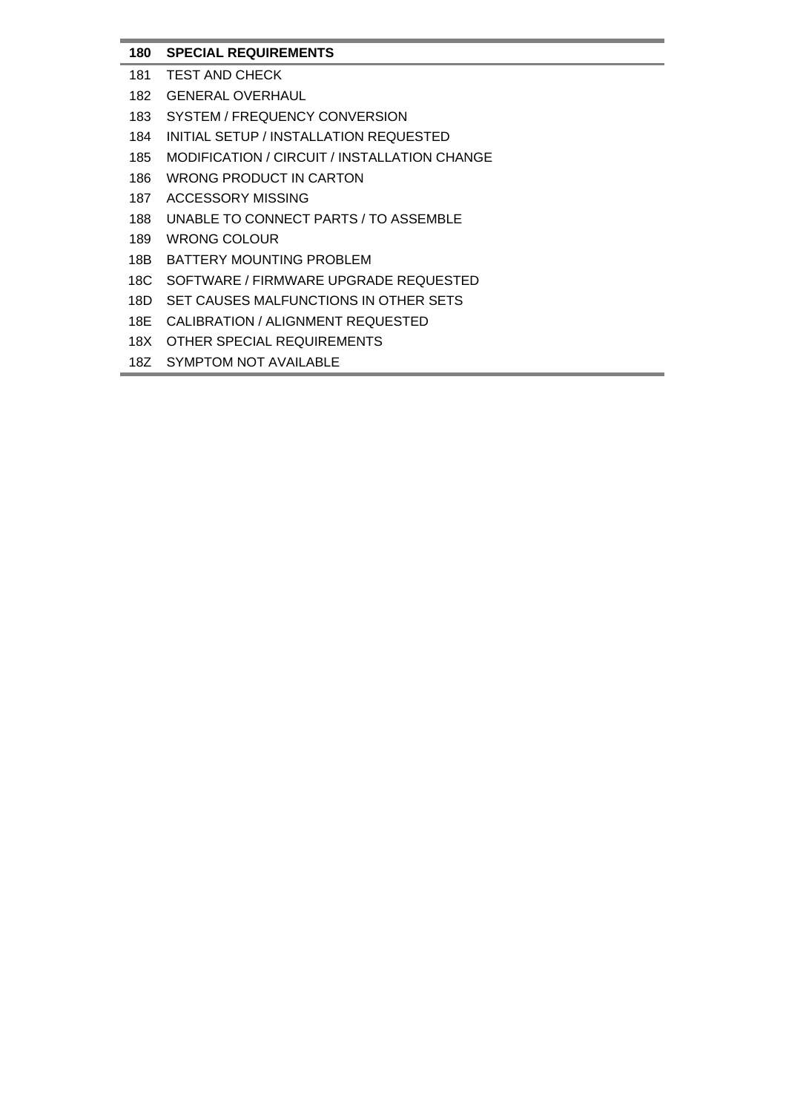# **180 SPECIAL REQUIREMENTS**

- 181 TEST AND CHECK
- 182 GENERAL OVERHAUL
- 183 SYSTEM / FREQUENCY CONVERSION
- 184 INITIAL SETUP / INSTALLATION REQUESTED
- 185 MODIFICATION / CIRCUIT / INSTALLATION CHANGE
- 186 WRONG PRODUCT IN CARTON
- 187 ACCESSORY MISSING
- 188 UNABLE TO CONNECT PARTS / TO ASSEMBLE
- 189 WRONG COLOUR
- 18B BATTERY MOUNTING PROBLEM
- 18C SOFTWARE / FIRMWARE UPGRADE REQUESTED
- 18D SET CAUSES MALFUNCTIONS IN OTHER SETS
- 18E CALIBRATION / ALIGNMENT REQUESTED
- 18X OTHER SPECIAL REQUIREMENTS
- 187 SYMPTOM NOT AVAILABLE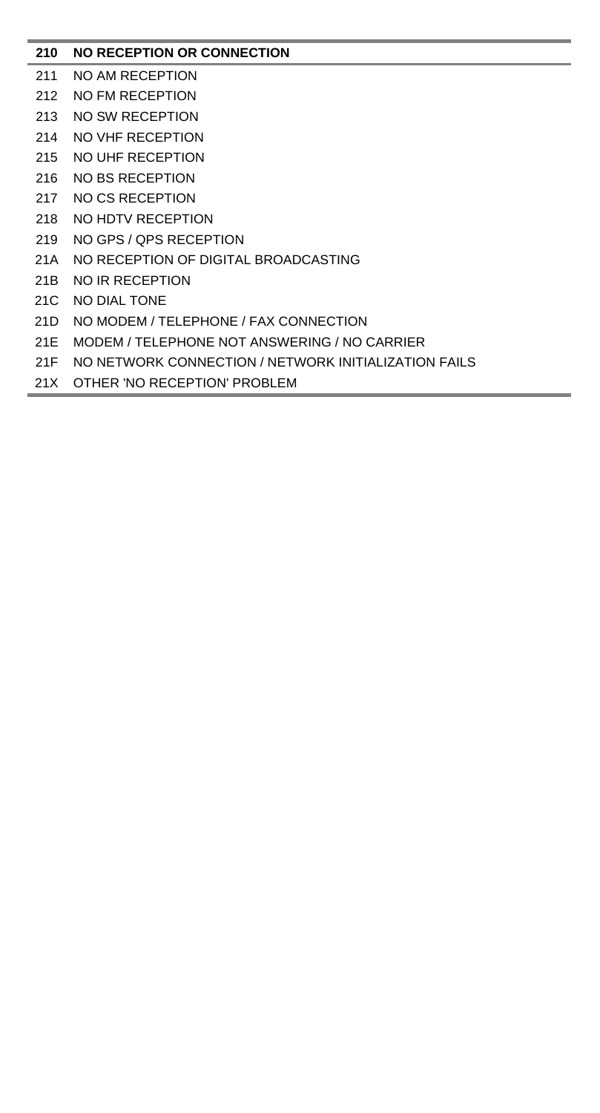# **210 NO RECEPTION OR CONNECTION**

- 211 NO AM RECEPTION
- 212 NO FM RECEPTION
- 213 NO SW RECEPTION
- 214 NO VHF RECEPTION
- 215 NO UHF RECEPTION
- 216 NO BS RECEPTION
- 217 NO CS RECEPTION
- 218 NO HDTV RECEPTION
- 219 NO GPS / QPS RECEPTION
- 21A NO RECEPTION OF DIGITAL BROADCASTING
- 21B NO IR RECEPTION
- 21C NO DIAL TONE
- 21D NO MODEM / TELEPHONE / FAX CONNECTION
- 21E MODEM / TELEPHONE NOT ANSWERING / NO CARRIER
- 21F NO NETWORK CONNECTION / NETWORK INITIALIZATION FAILS
- 21X OTHER 'NO RECEPTION' PROBLEM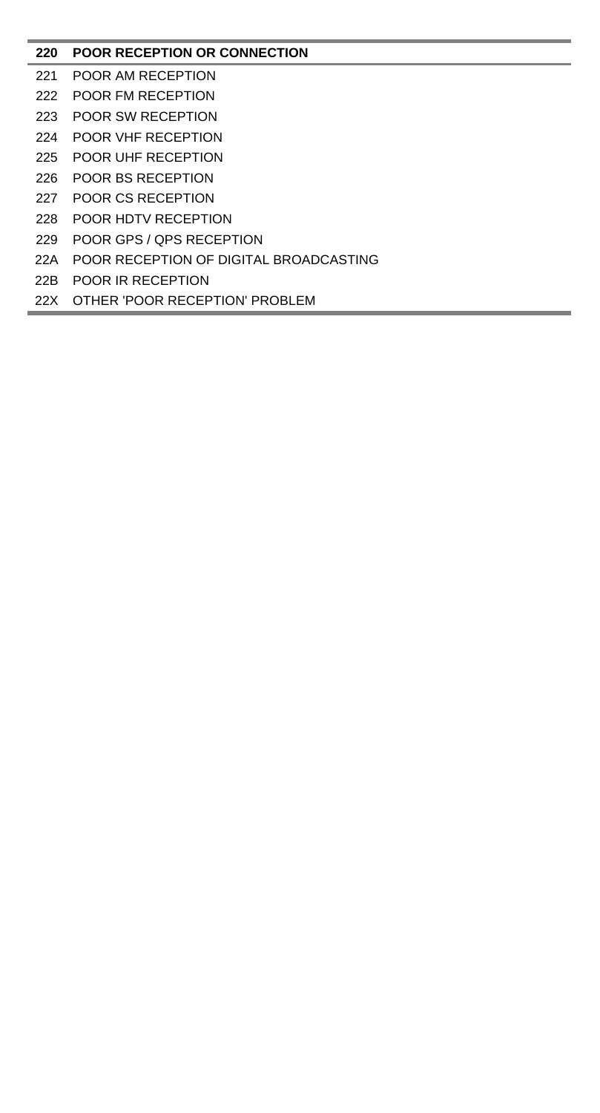# **POOR RECEPTION OR CONNECTION**

- POOR AM RECEPTION
- POOR FM RECEPTION
- POOR SW RECEPTION
- POOR VHF RECEPTION
- POOR UHF RECEPTION
- POOR BS RECEPTION
- POOR CS RECEPTION
- POOR HDTV RECEPTION
- POOR GPS / QPS RECEPTION
- 22A POOR RECEPTION OF DIGITAL BROADCASTING
- 22B POOR IR RECEPTION
- 22X OTHER 'POOR RECEPTION' PROBLEM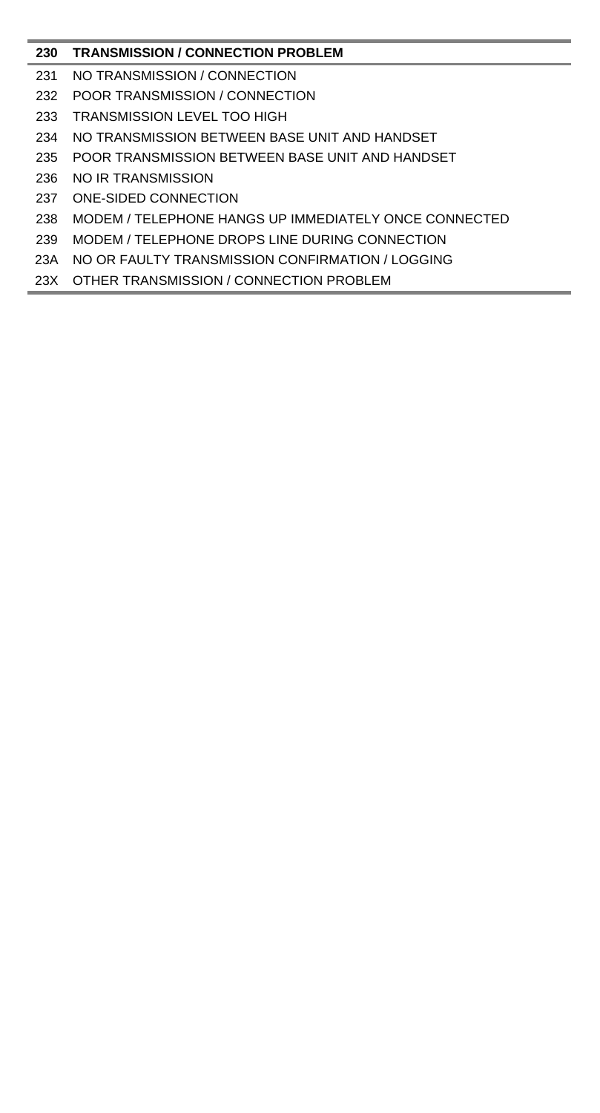# **TRANSMISSION / CONNECTION PROBLEM**

- NO TRANSMISSION / CONNECTION
- POOR TRANSMISSION / CONNECTION
- TRANSMISSION LEVEL TOO HIGH
- NO TRANSMISSION BETWEEN BASE UNIT AND HANDSET
- POOR TRANSMISSION BETWEEN BASE UNIT AND HANDSET
- NO IR TRANSMISSION
- ONE-SIDED CONNECTION
- MODEM / TELEPHONE HANGS UP IMMEDIATELY ONCE CONNECTED
- MODEM / TELEPHONE DROPS LINE DURING CONNECTION
- 23A NO OR FAULTY TRANSMISSION CONFIRMATION / LOGGING
- 23X OTHER TRANSMISSION / CONNECTION PROBLEM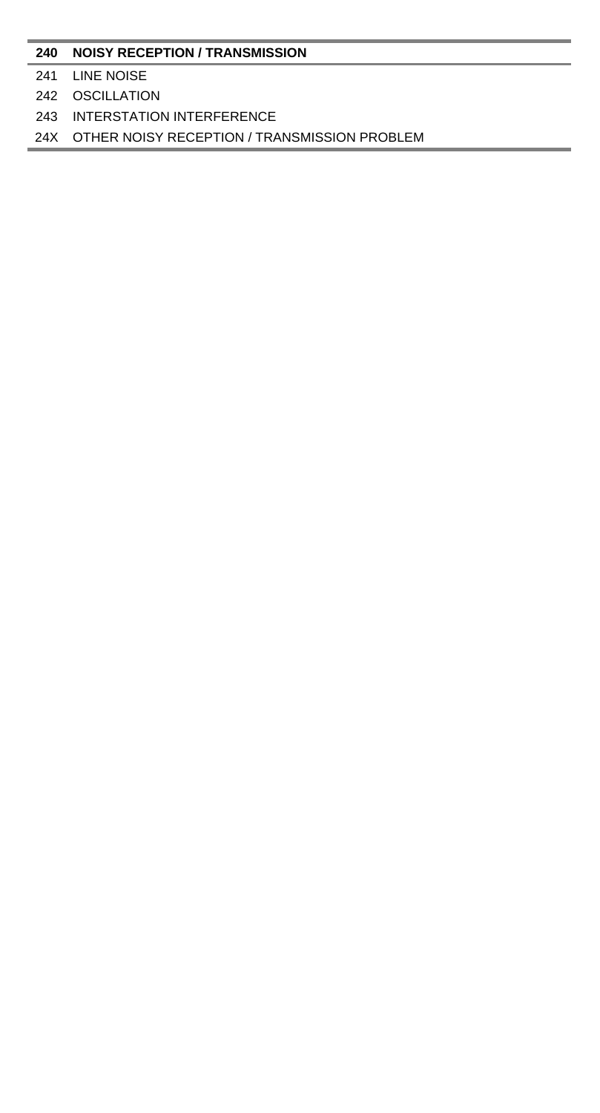#### **NOISY RECEPTION / TRANSMISSION**

### LINE NOISE

### OSCILLATION

### INTERSTATION INTERFERENCE

### 24X OTHER NOISY RECEPTION / TRANSMISSION PROBLEM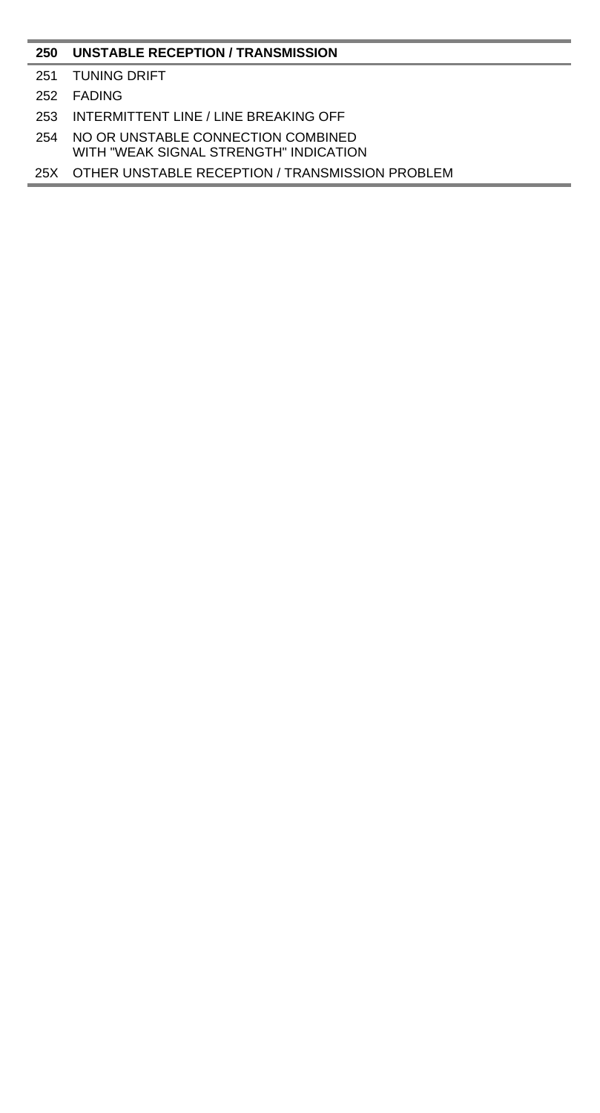### **UNSTABLE RECEPTION / TRANSMISSION**

- TUNING DRIFT
- FADING
- INTERMITTENT LINE / LINE BREAKING OFF
- NO OR UNSTABLE CONNECTION COMBINED WITH "WEAK SIGNAL STRENGTH" INDICATION
- 25X OTHER UNSTABLE RECEPTION / TRANSMISSION PROBLEM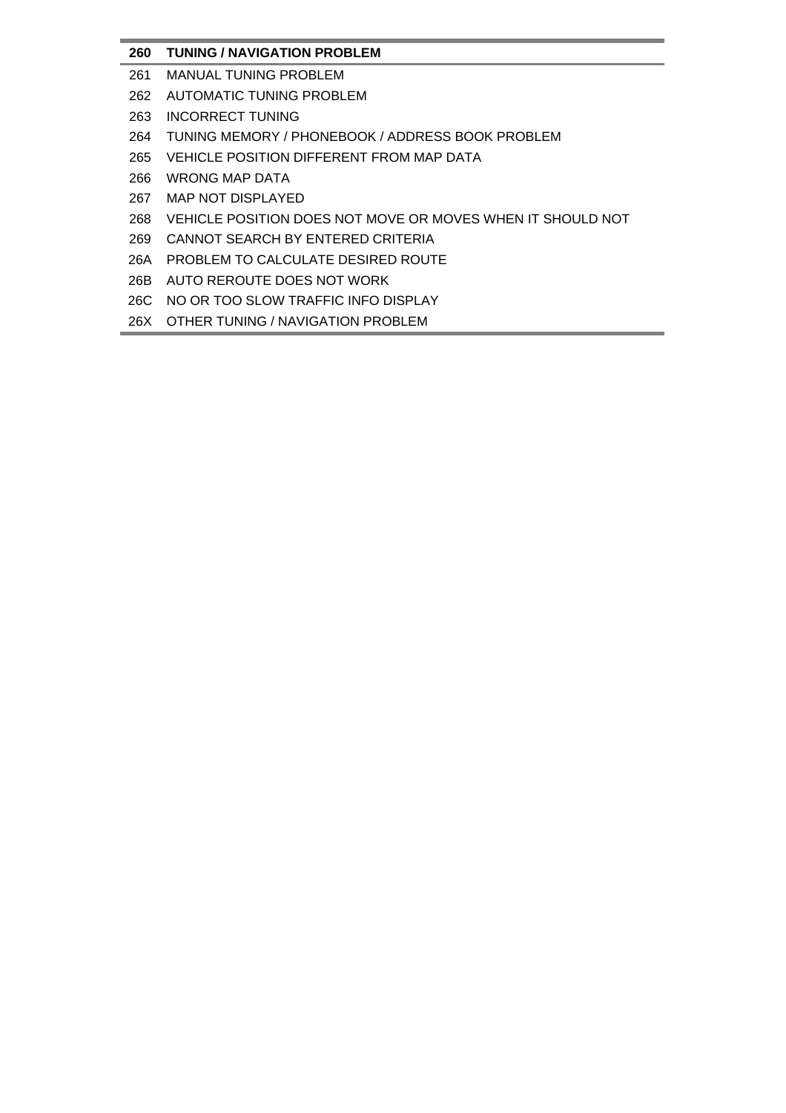# **260 TUNING / NAVIGATION PROBLEM**

- 261 MANUAL TUNING PROBLEM
- 262 AUTOMATIC TUNING PROBLEM
- 263 INCORRECT TUNING
- 264 TUNING MEMORY / PHONEBOOK / ADDRESS BOOK PROBLEM
- 265 VEHICLE POSITION DIFFERENT FROM MAP DATA
- 266 WRONG MAP DATA
- 267 MAP NOT DISPLAYED
- 268 VEHICLE POSITION DOES NOT MOVE OR MOVES WHEN IT SHOULD NOT
- 269 CANNOT SEARCH BY ENTERED CRITERIA
- 26A PROBLEM TO CALCULATE DESIRED ROUTE
- 26B AUTO REROUTE DOES NOT WORK
- 26C NO OR TOO SLOW TRAFFIC INFO DISPLAY
- 26X OTHER TUNING / NAVIGATION PROBLEM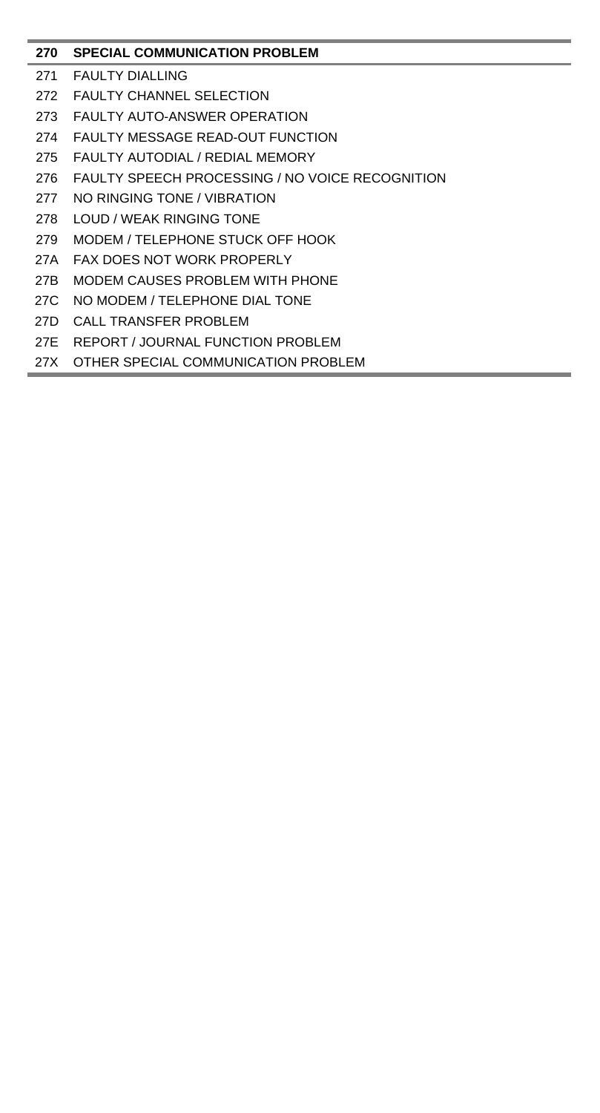# **270 SPECIAL COMMUNICATION PROBLEM**

- 271 FAULTY DIALLING
- 272 FAULTY CHANNEL SELECTION
- 273 FAULTY AUTO-ANSWER OPERATION
- 274 FAULTY MESSAGE READ-OUT FUNCTION
- 275 FAULTY AUTODIAL / REDIAL MEMORY
- 276 FAULTY SPEECH PROCESSING / NO VOICE RECOGNITION
- 277 NO RINGING TONE / VIBRATION
- 278 LOUD / WEAK RINGING TONE
- 279 MODEM / TELEPHONE STUCK OFF HOOK
- 27A FAX DOES NOT WORK PROPERLY
- 27B MODEM CAUSES PROBLEM WITH PHONE
- 27C NO MODEM / TELEPHONE DIAL TONE
- 27D CALL TRANSFER PROBLEM
- 27E REPORT / JOURNAL FUNCTION PROBLEM
- 27X OTHER SPECIAL COMMUNICATION PROBLEM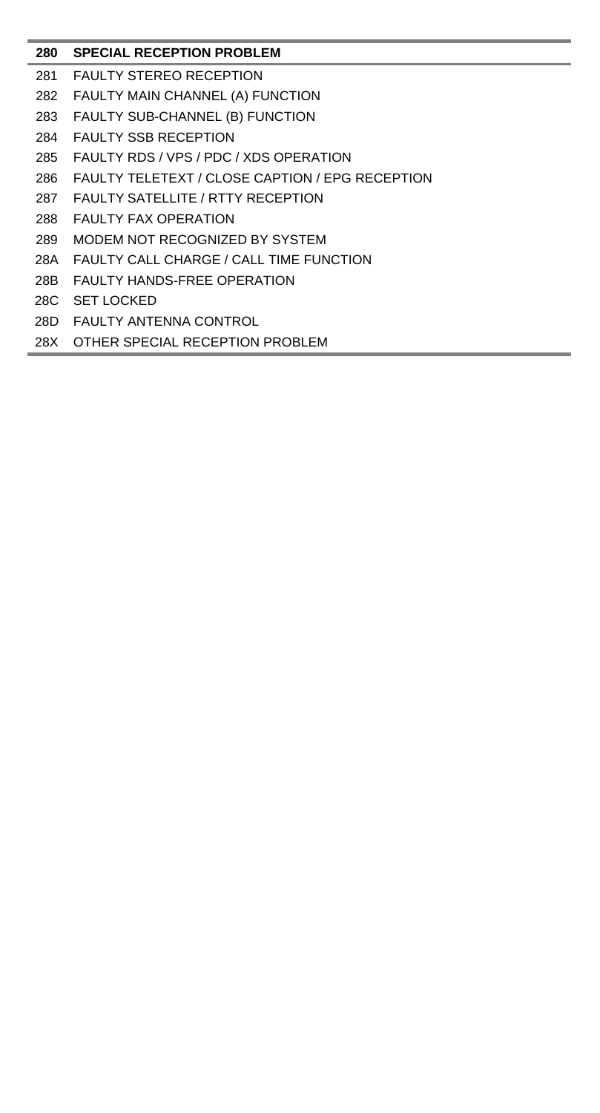### **280 SPECIAL RECEPTION PROBLEM**

- 281 FAULTY STEREO RECEPTION
- 282 FAULTY MAIN CHANNEL (A) FUNCTION
- 283 FAULTY SUB-CHANNEL (B) FUNCTION
- 284 FAULTY SSB RECEPTION
- 285 FAULTY RDS / VPS / PDC / XDS OPERATION
- 286 FAULTY TELETEXT / CLOSE CAPTION / EPG RECEPTION
- 287 FAULTY SATELLITE / RTTY RECEPTION
- 288 FAULTY FAX OPERATION
- 289 MODEM NOT RECOGNIZED BY SYSTEM
- 28A FAULTY CALL CHARGE / CALL TIME FUNCTION
- 28B FAULTY HANDS-FREE OPERATION
- 28C SET LOCKED
- 28D FAULTY ANTENNA CONTROL
- 28X OTHER SPECIAL RECEPTION PROBLEM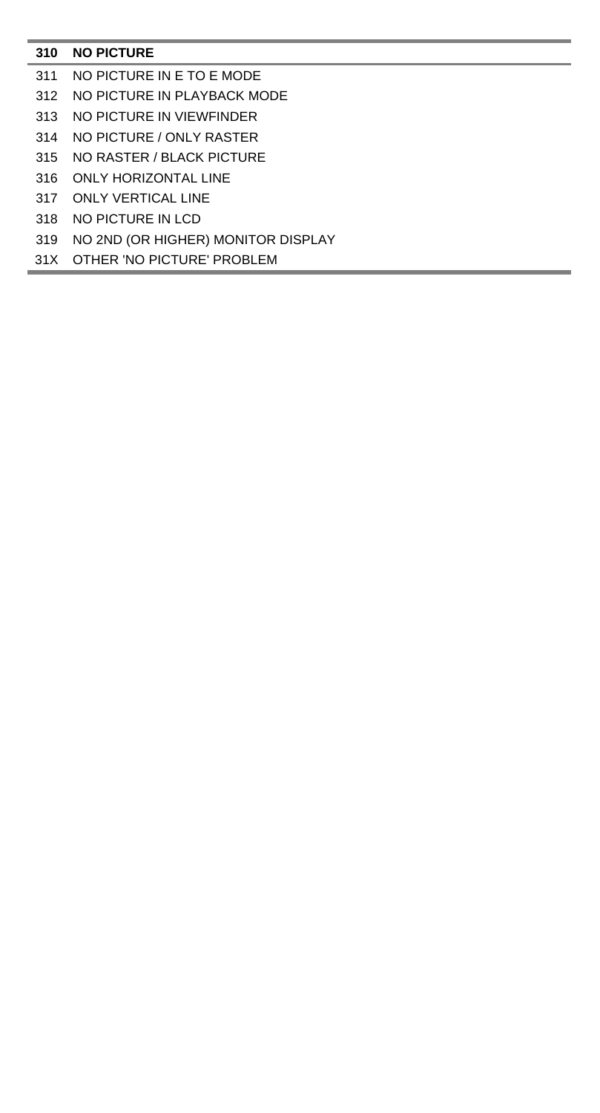# **NO PICTURE**

- NO PICTURE IN E TO E MODE
- NO PICTURE IN PLAYBACK MODE
- NO PICTURE IN VIEWFINDER
- NO PICTURE / ONLY RASTER
- NO RASTER / BLACK PICTURE
- ONLY HORIZONTAL LINE
- ONLY VERTICAL LINE
- NO PICTURE IN LCD
- NO 2ND (OR HIGHER) MONITOR DISPLAY
- 31X OTHER 'NO PICTURE' PROBLEM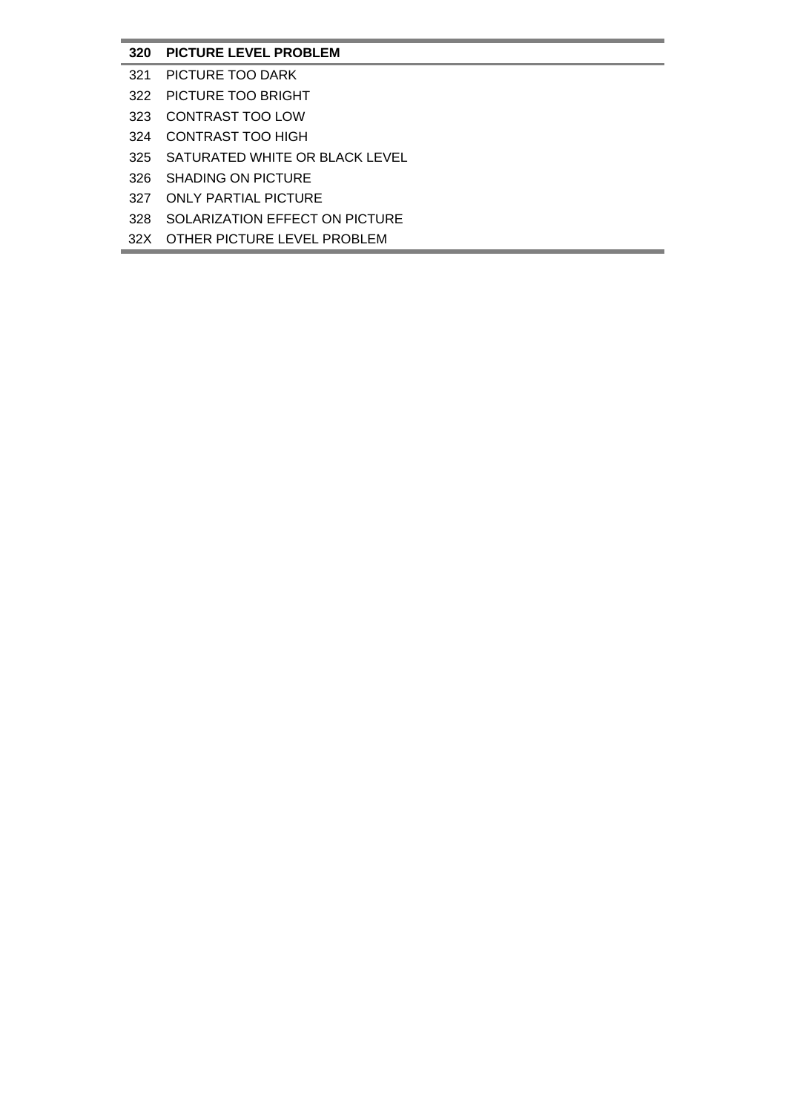# **320 PICTURE LEVEL PROBLEM**

- 321 PICTURE TOO DARK
- 322 PICTURE TOO BRIGHT
- 323 CONTRAST TOO LOW
- 324 CONTRAST TOO HIGH
- 325 SATURATED WHITE OR BLACK LEVEL
- 326 SHADING ON PICTURE
- 327 ONLY PARTIAL PICTURE
- 328 SOLARIZATION EFFECT ON PICTURE
- 32X OTHER PICTURE LEVEL PROBLEM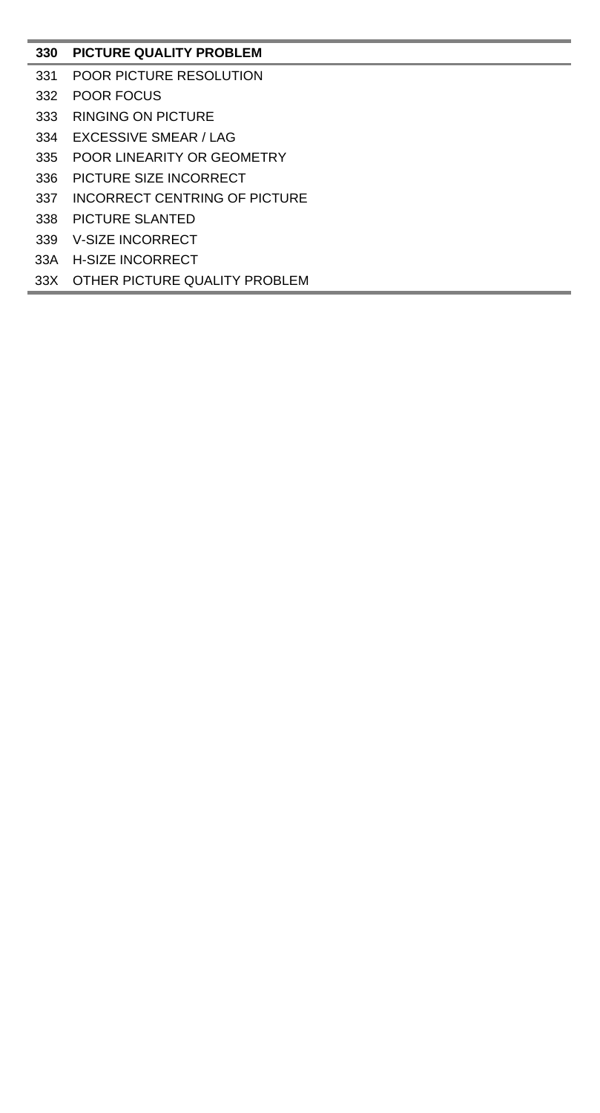# **PICTURE QUALITY PROBLEM**

- POOR PICTURE RESOLUTION
- POOR FOCUS
- RINGING ON PICTURE
- EXCESSIVE SMEAR / LAG
- POOR LINEARITY OR GEOMETRY
- PICTURE SIZE INCORRECT
- INCORRECT CENTRING OF PICTURE
- PICTURE SLANTED
- V-SIZE INCORRECT
- 33A H-SIZE INCORRECT
- 33X OTHER PICTURE QUALITY PROBLEM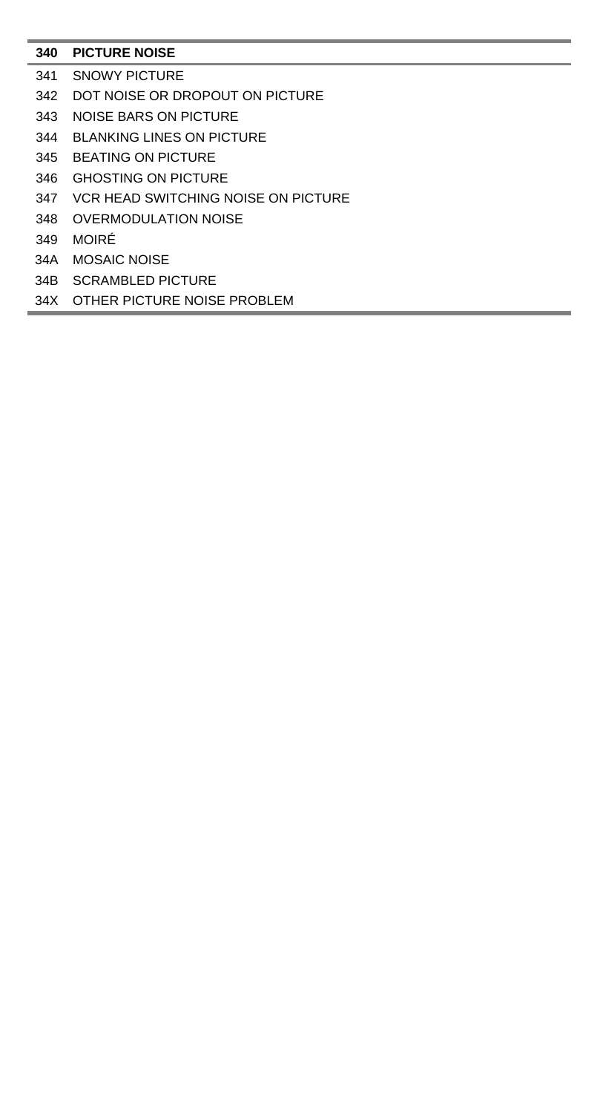# **PICTURE NOISE**

- SNOWY PICTURE
- DOT NOISE OR DROPOUT ON PICTURE
- NOISE BARS ON PICTURE
- BLANKING LINES ON PICTURE
- BEATING ON PICTURE
- GHOSTING ON PICTURE
- VCR HEAD SWITCHING NOISE ON PICTURE
- OVERMODULATION NOISE
- MOIRÉ
- 34A MOSAIC NOISE
- 34B SCRAMBLED PICTURE
- 34X OTHER PICTURE NOISE PROBLEM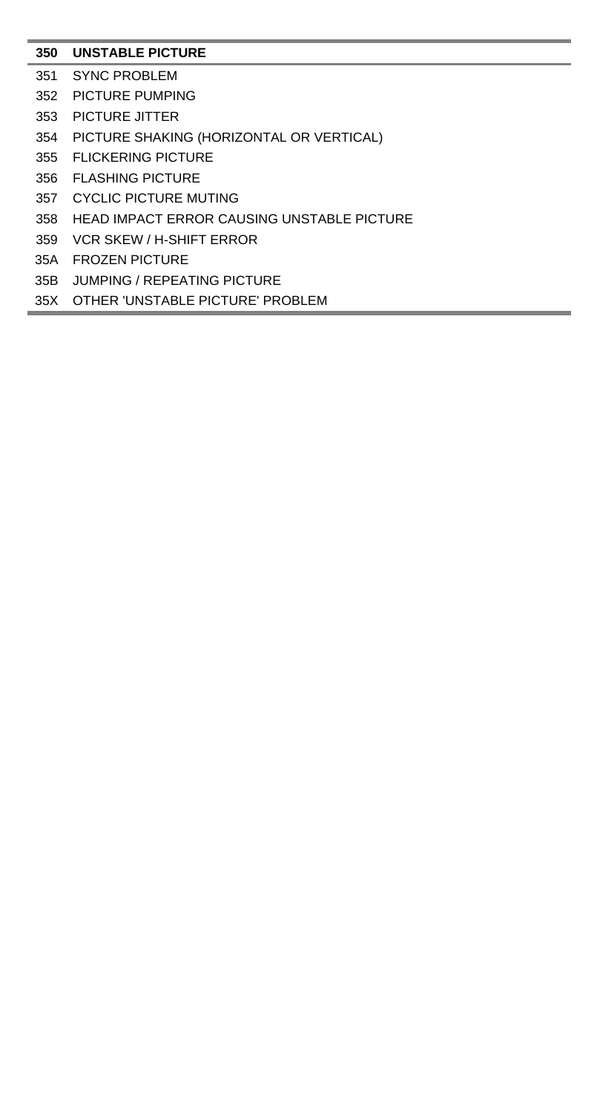# **UNSTABLE PICTURE**

- SYNC PROBLEM
- PICTURE PUMPING
- PICTURE JITTER
- PICTURE SHAKING (HORIZONTAL OR VERTICAL)
- FLICKERING PICTURE
- FLASHING PICTURE
- CYCLIC PICTURE MUTING
- HEAD IMPACT ERROR CAUSING UNSTABLE PICTURE
- VCR SKEW / H-SHIFT ERROR
- 35A FROZEN PICTURE
- 35B JUMPING / REPEATING PICTURE
- 35X OTHER 'UNSTABLE PICTURE' PROBLEM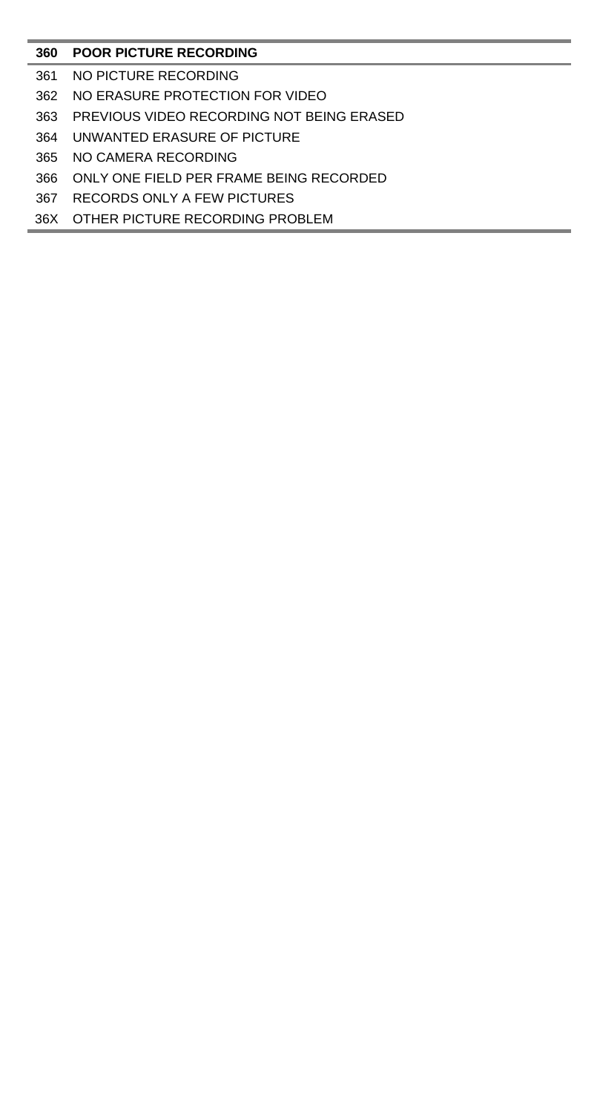# **POOR PICTURE RECORDING**

- NO PICTURE RECORDING
- NO ERASURE PROTECTION FOR VIDEO
- PREVIOUS VIDEO RECORDING NOT BEING ERASED
- UNWANTED ERASURE OF PICTURE
- NO CAMERA RECORDING
- ONLY ONE FIELD PER FRAME BEING RECORDED
- RECORDS ONLY A FEW PICTURES
- 36X OTHER PICTURE RECORDING PROBLEM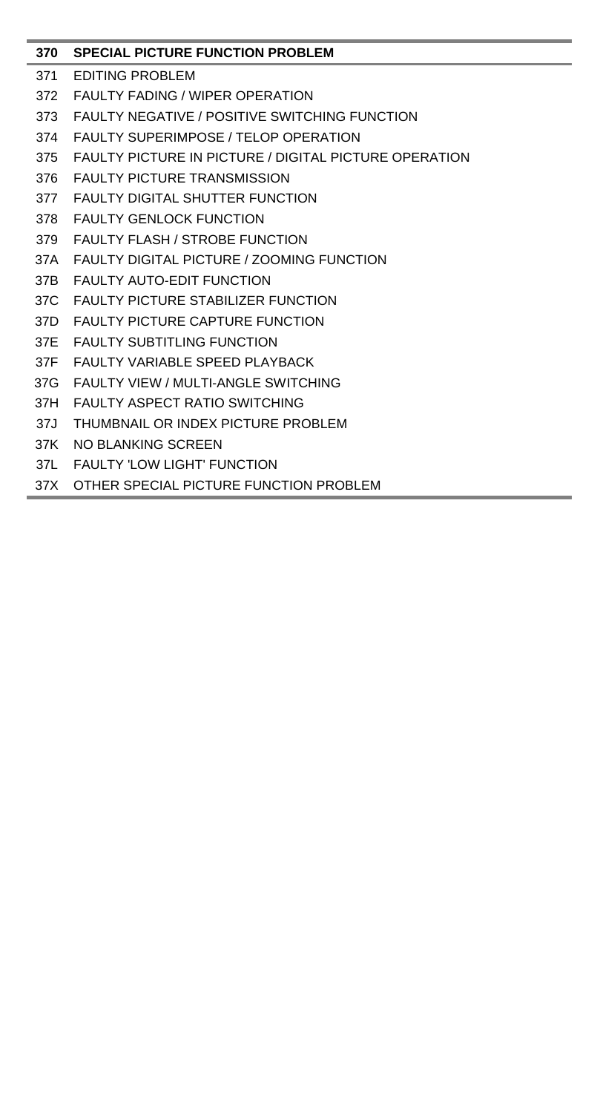# **370 SPECIAL PICTURE FUNCTION PROBLEM**

- 371 EDITING PROBLEM
- 372 FAULTY FADING / WIPER OPERATION
- 373 FAULTY NEGATIVE / POSITIVE SWITCHING FUNCTION
- 374 FAULTY SUPERIMPOSE / TELOP OPERATION
- 375 FAULTY PICTURE IN PICTURE / DIGITAL PICTURE OPERATION
- 376 FAULTY PICTURE TRANSMISSION
- 377 FAULTY DIGITAL SHUTTER FUNCTION
- 378 FAULTY GENLOCK FUNCTION
- 379 FAULTY FLASH / STROBE FUNCTION
- 37A FAULTY DIGITAL PICTURE / ZOOMING FUNCTION
- 37B FAULTY AUTO-EDIT FUNCTION
- 37C FAULTY PICTURE STABILIZER FUNCTION
- 37D FAULTY PICTURE CAPTURE FUNCTION
- 37E FAULTY SUBTITLING FUNCTION
- 37F FAULTY VARIABLE SPEED PLAYBACK
- 37G FAULTY VIEW / MULTI-ANGLE SWITCHING
- 37H FAULTY ASPECT RATIO SWITCHING
- 37J THUMBNAIL OR INDEX PICTURE PROBLEM
- 37K NO BLANKING SCREEN
- 37L FAULTY 'LOW LIGHT' FUNCTION
- 37X OTHER SPECIAL PICTURE FUNCTION PROBLEM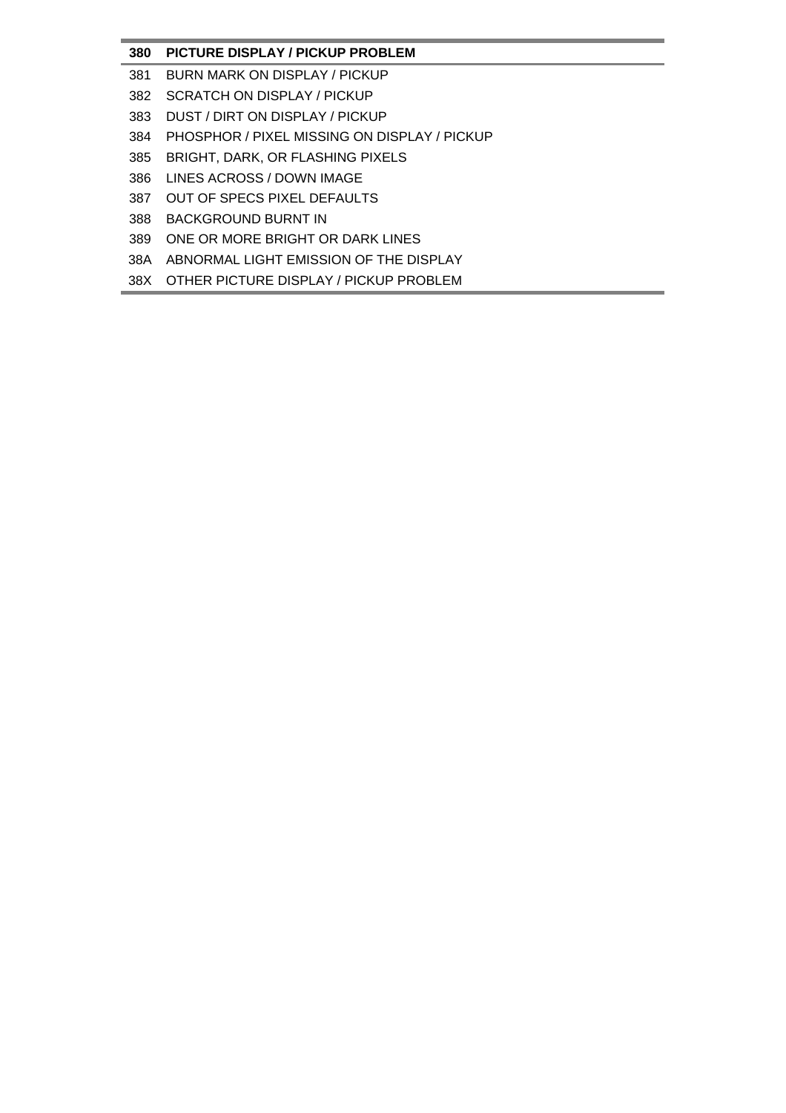# **380 PICTURE DISPLAY / PICKUP PROBLEM**

- 381 BURN MARK ON DISPLAY / PICKUP
- 382 SCRATCH ON DISPLAY / PICKUP
- 383 DUST / DIRT ON DISPLAY / PICKUP
- 384 PHOSPHOR / PIXEL MISSING ON DISPLAY / PICKUP
- 385 BRIGHT, DARK, OR FLASHING PIXELS
- 386 LINES ACROSS / DOWN IMAGE
- 387 OUT OF SPECS PIXEL DEFAULTS
- 388 BACKGROUND BURNT IN
- 389 ONE OR MORE BRIGHT OR DARK LINES
- 38A ABNORMAL LIGHT EMISSION OF THE DISPLAY
- 38X OTHER PICTURE DISPLAY / PICKUP PROBLEM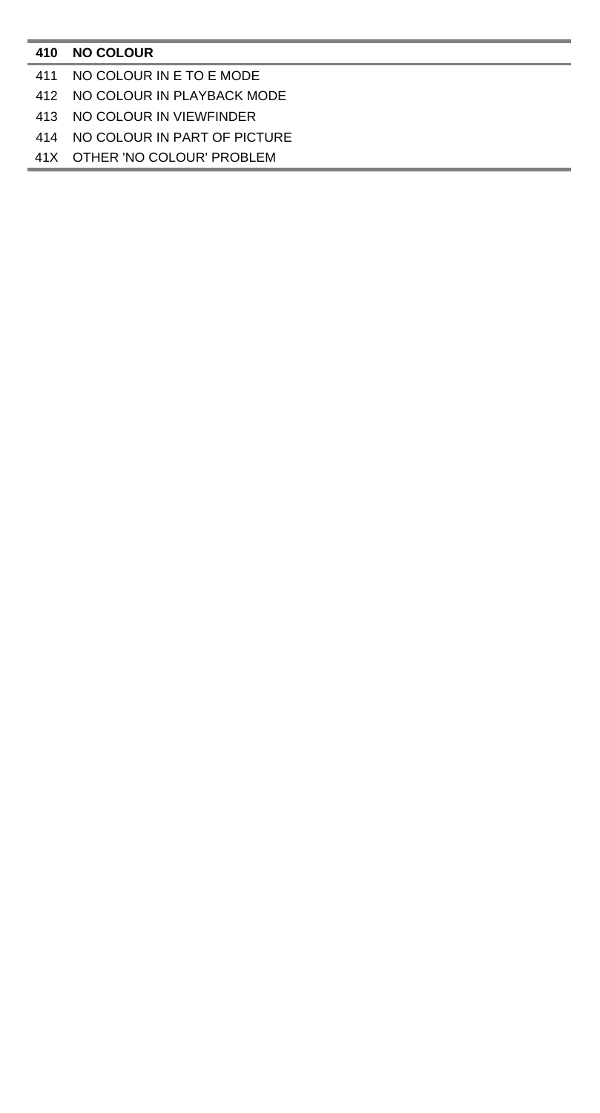### **NO COLOUR**

# NO COLOUR IN E TO E MODE

# NO COLOUR IN PLAYBACK MODE

# NO COLOUR IN VIEWFINDER

# NO COLOUR IN PART OF PICTURE

# 41X OTHER 'NO COLOUR' PROBLEM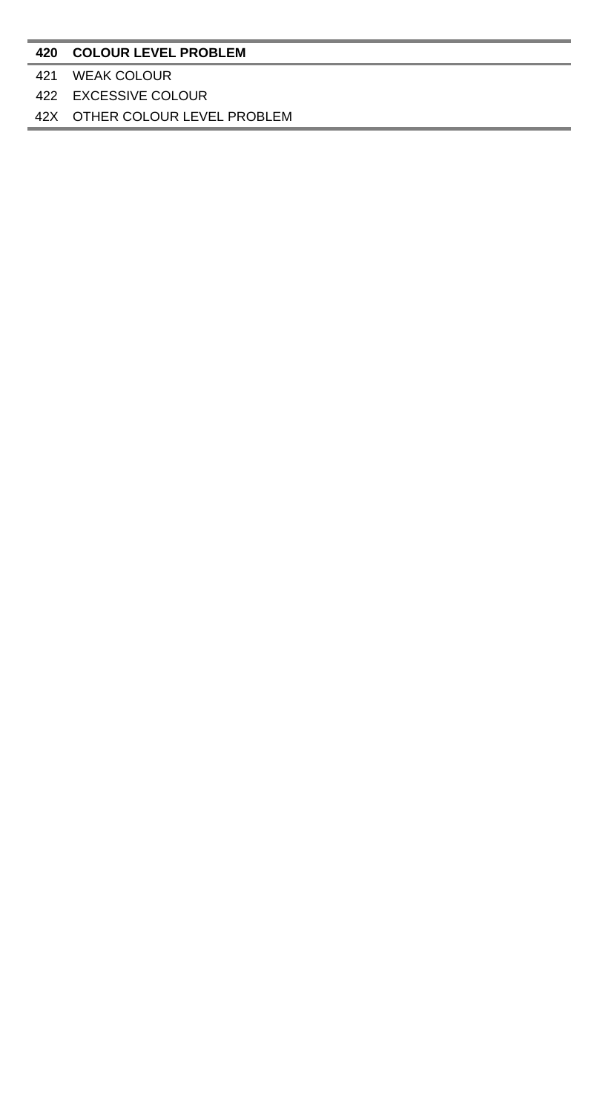# 42X OTHER COLOUR LEVEL PROBLEM

### WEAK COLOUR

EXCESSIVE COLOUR

### **COLOUR LEVEL PROBLEM**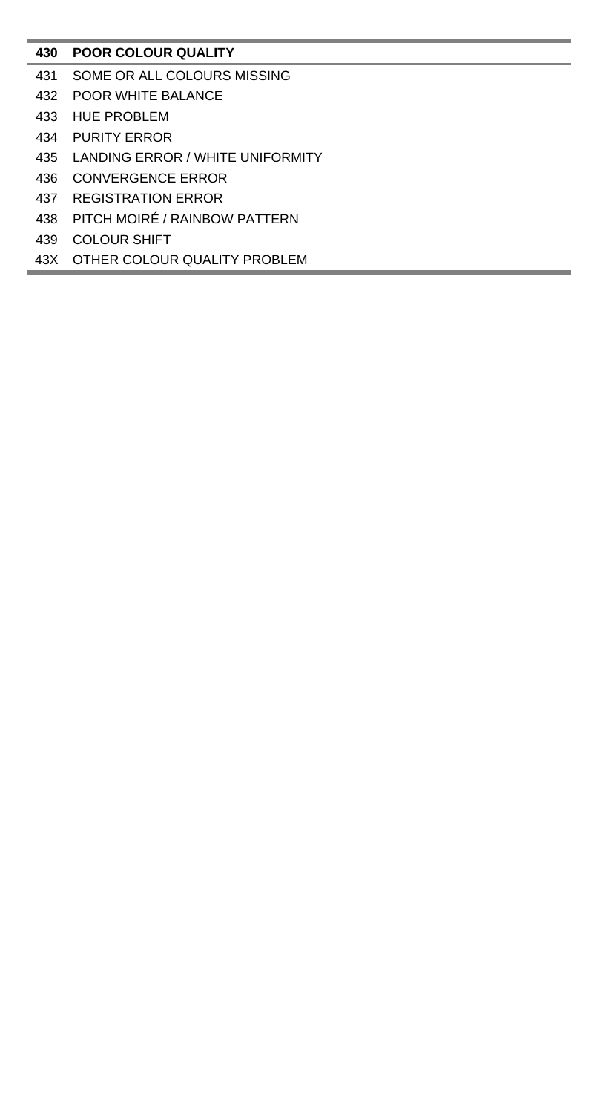# **POOR COLOUR QUALITY**

- SOME OR ALL COLOURS MISSING
- POOR WHITE BALANCE
- HUE PROBLEM
- PURITY ERROR
- LANDING ERROR / WHITE UNIFORMITY
- CONVERGENCE ERROR
- REGISTRATION ERROR
- PITCH MOIRÉ / RAINBOW PATTERN
- COLOUR SHIFT
- 43X OTHER COLOUR QUALITY PROBLEM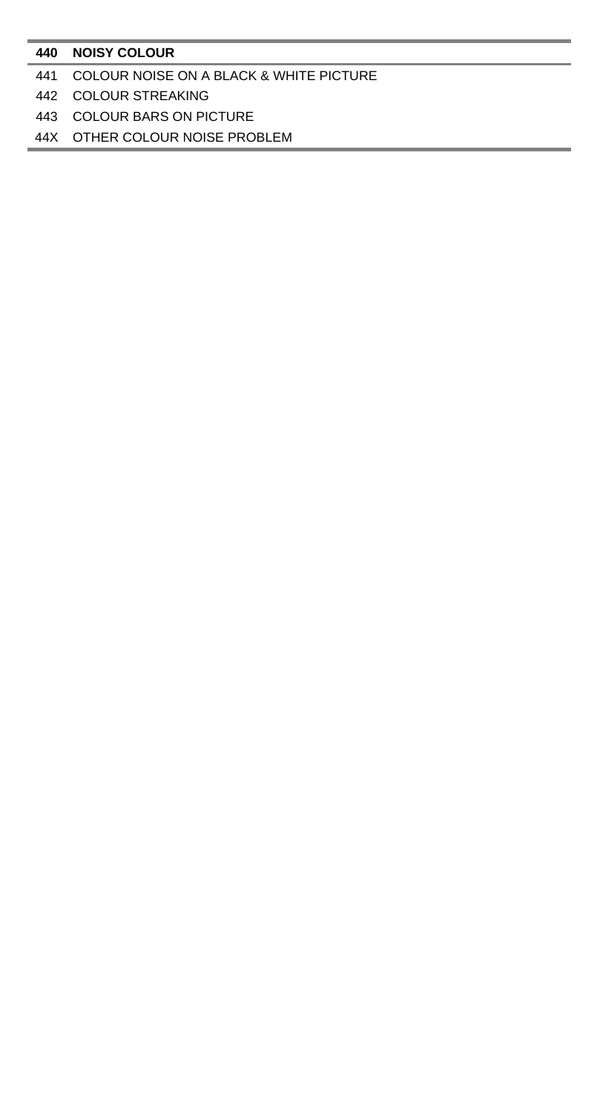### **NOISY COLOUR**

### COLOUR NOISE ON A BLACK & WHITE PICTURE

### COLOUR STREAKING

COLOUR BARS ON PICTURE

44X OTHER COLOUR NOISE PROBLEM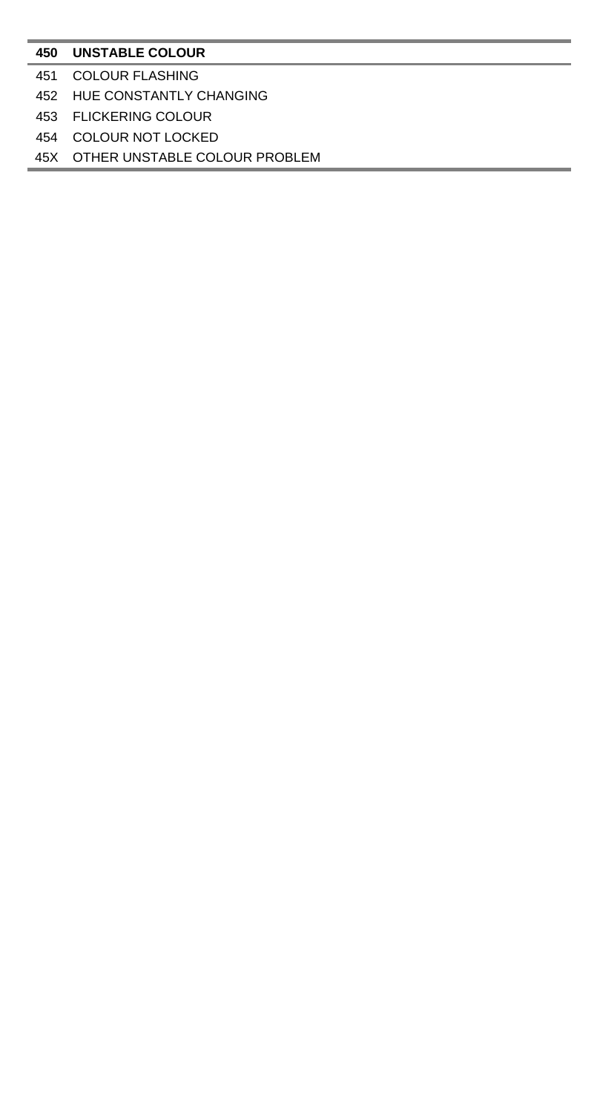### **UNSTABLE COLOUR**

- COLOUR FLASHING
- HUE CONSTANTLY CHANGING
- FLICKERING COLOUR
- COLOUR NOT LOCKED

45X OTHER UNSTABLE COLOUR PROBLEM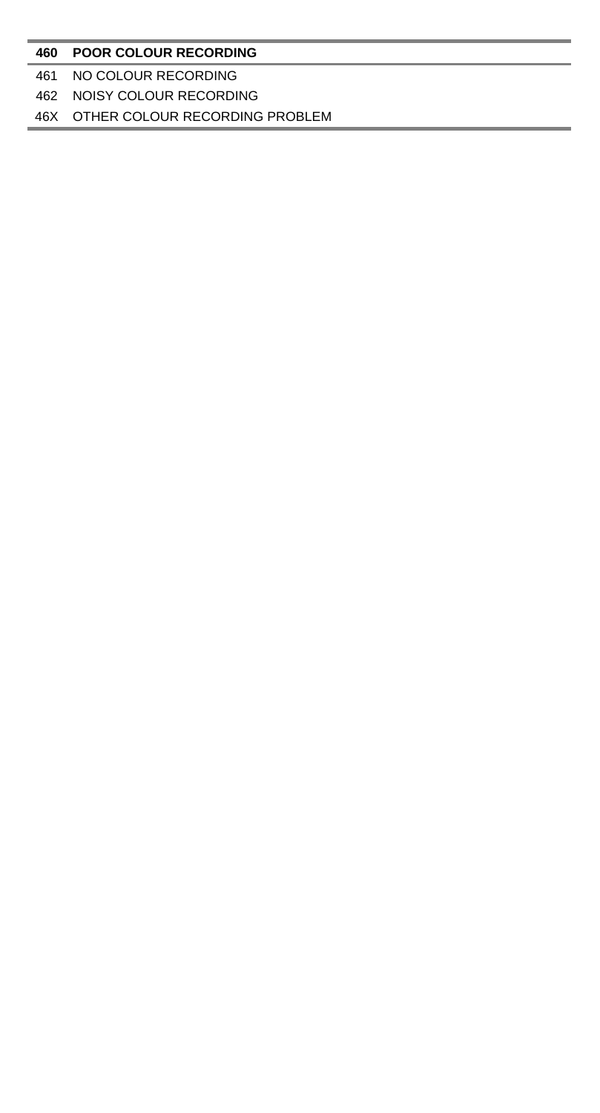### 46X OTHER COLOUR RECORDING PROBLEM

#### NOISY COLOUR RECORDING

### NO COLOUR RECORDING

### **POOR COLOUR RECORDING**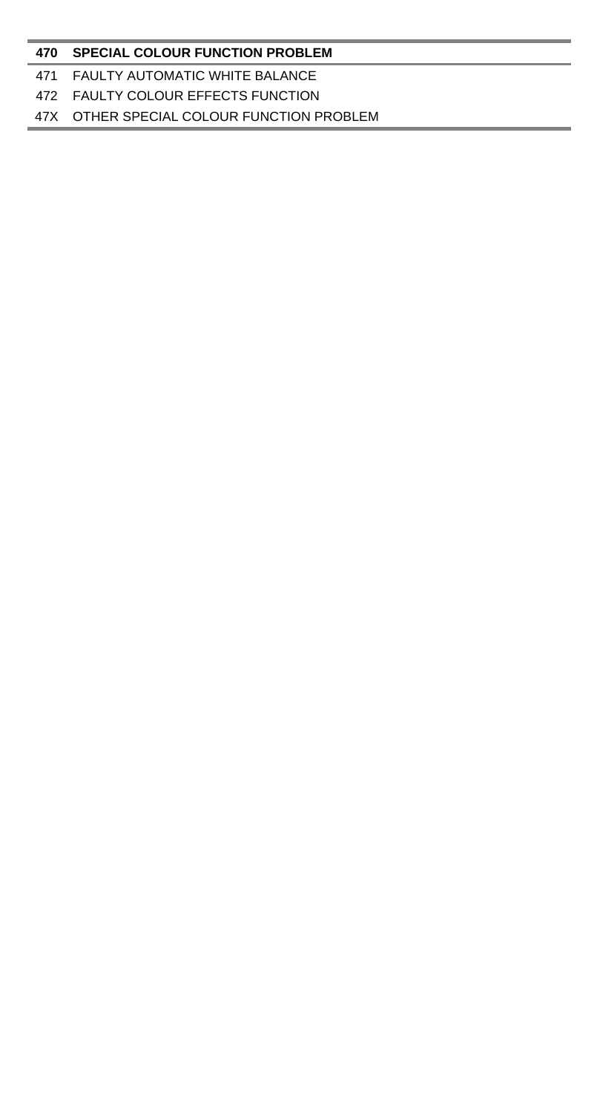### **470 SPECIAL COLOUR FUNCTION PROBLEM**

### 471 FAULTY AUTOMATIC WHITE BALANCE

### 472 FAULTY COLOUR EFFECTS FUNCTION

### 47X OTHER SPECIAL COLOUR FUNCTION PROBLEM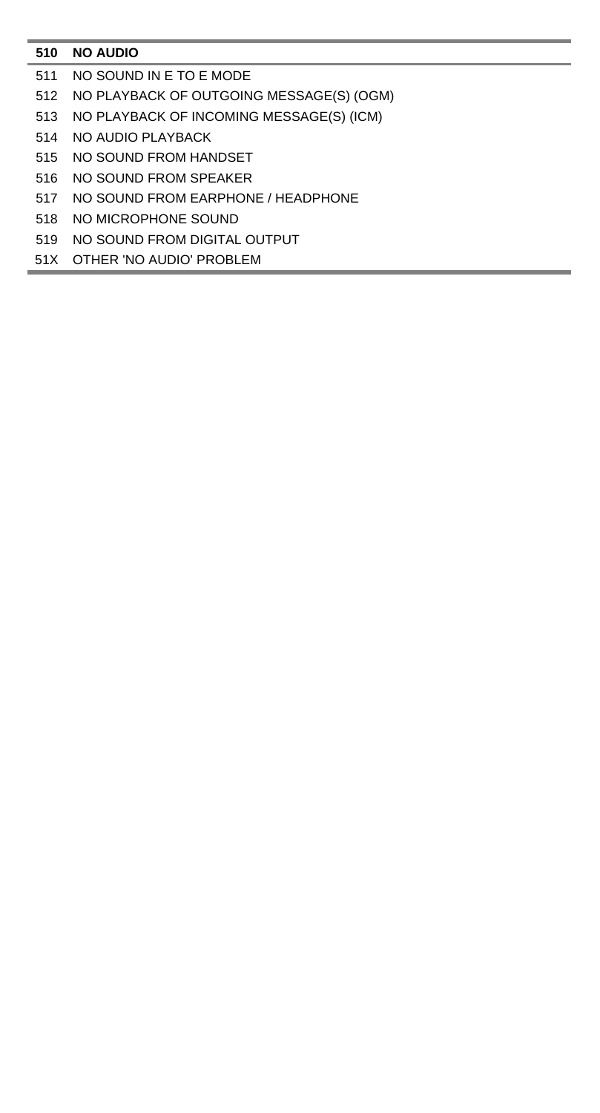# **NO AUDIO**

- NO SOUND IN E TO E MODE
- NO PLAYBACK OF OUTGOING MESSAGE(S) (OGM)
- NO PLAYBACK OF INCOMING MESSAGE(S) (ICM)
- NO AUDIO PLAYBACK
- NO SOUND FROM HANDSET
- NO SOUND FROM SPEAKER
- NO SOUND FROM EARPHONE / HEADPHONE
- NO MICROPHONE SOUND
- NO SOUND FROM DIGITAL OUTPUT
- 51X OTHER 'NO AUDIO' PROBLEM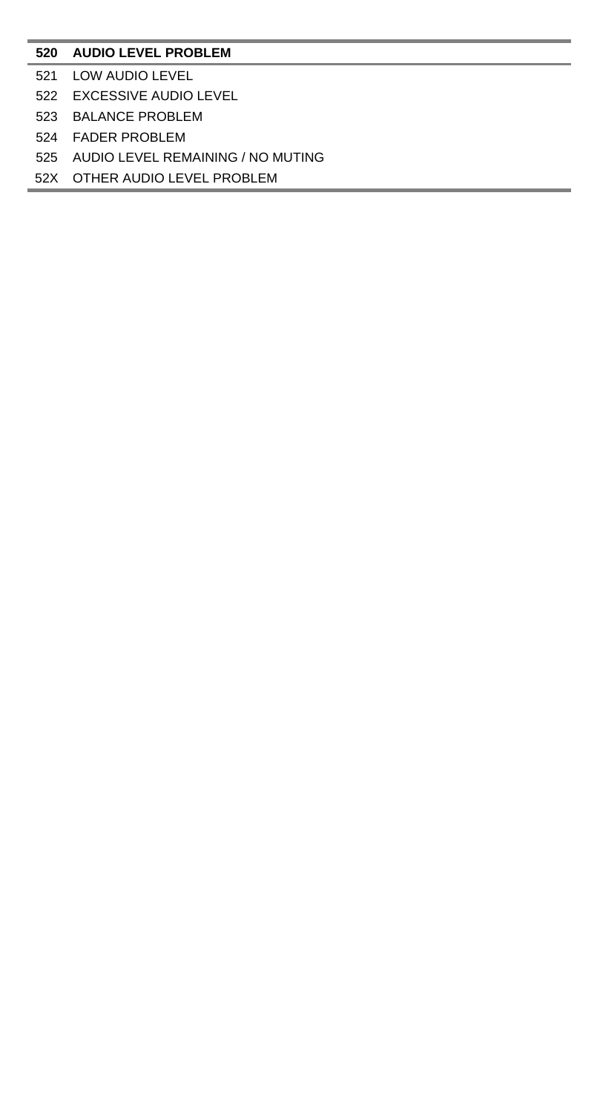### **AUDIO LEVEL PROBLEM**

- LOW AUDIO LEVEL
- EXCESSIVE AUDIO LEVEL
- BALANCE PROBLEM
- FADER PROBLEM
- AUDIO LEVEL REMAINING / NO MUTING
- 52X OTHER AUDIO LEVEL PROBLEM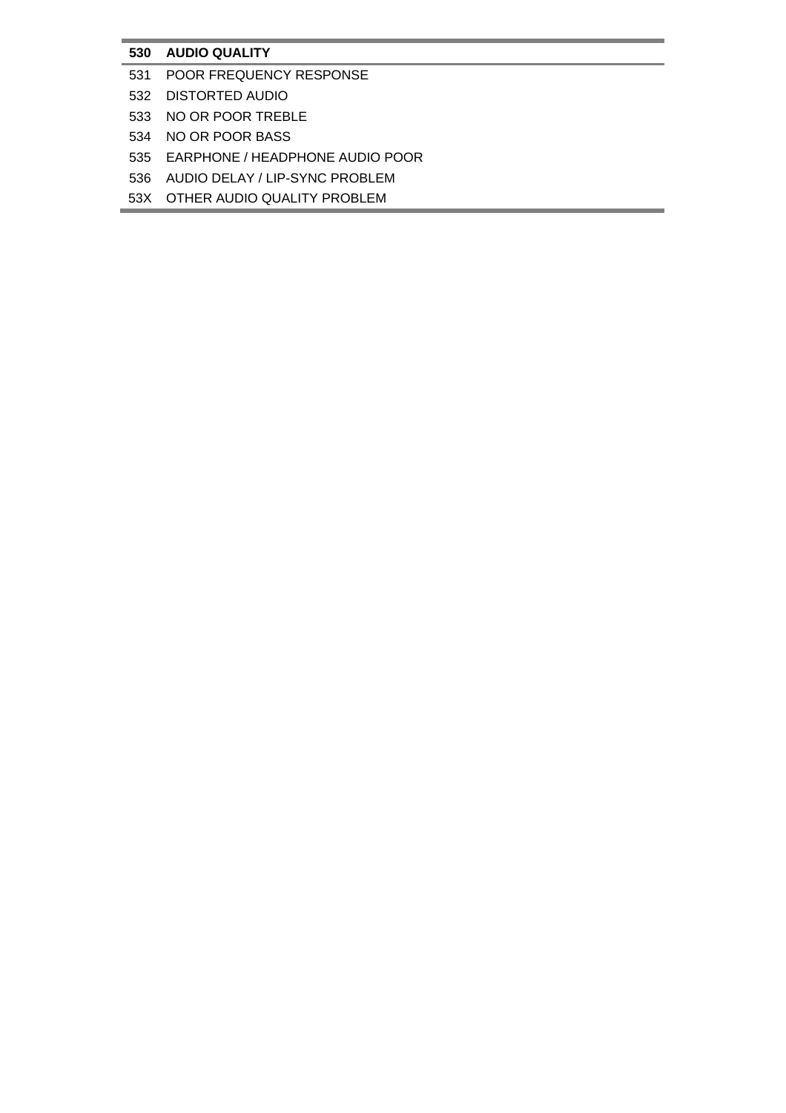# **530 AUDIO QUALITY**

- 531 POOR FREQUENCY RESPONSE
- 532 DISTORTED AUDIO
- 533 NO OR POOR TREBLE
- 534 NO OR POOR BASS
- 535 EARPHONE / HEADPHONE AUDIO POOR
- 536 AUDIO DELAY / LIP-SYNC PROBLEM
- 53X OTHER AUDIO QUALITY PROBLEM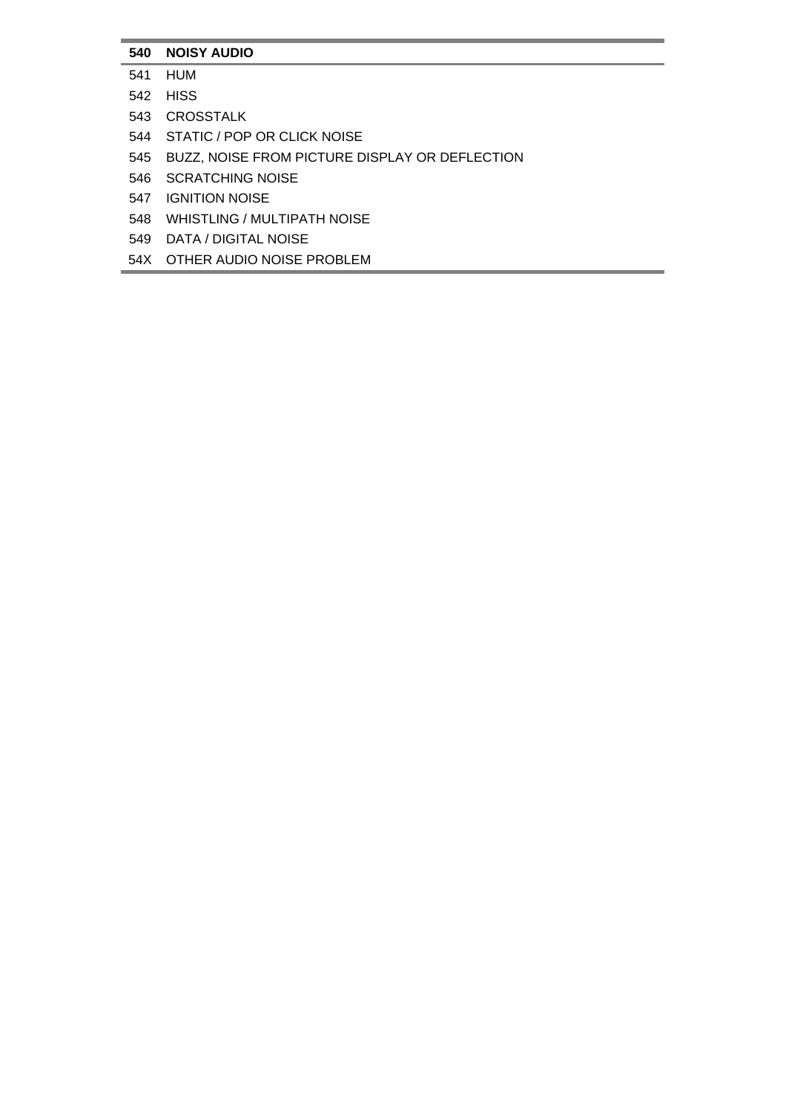# **540 NOISY AUDIO**

- 541 HUM
- 542 HISS
- 543 CROSSTALK
- 544 STATIC / POP OR CLICK NOISE
- 545 BUZZ, NOISE FROM PICTURE DISPLAY OR DEFLECTION
- 546 SCRATCHING NOISE
- 547 IGNITION NOISE
- 548 WHISTLING / MULTIPATH NOISE
- 549 DATA / DIGITAL NOISE
- 54X OTHER AUDIO NOISE PROBLEM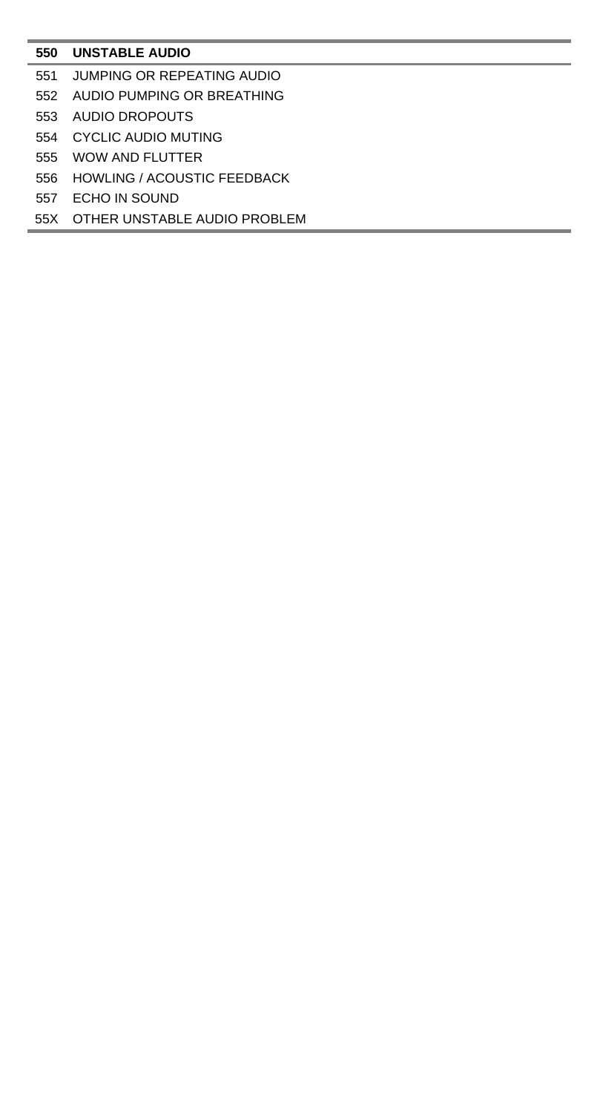## **UNSTABLE AUDIO**

- JUMPING OR REPEATING AUDIO
- AUDIO PUMPING OR BREATHING
- AUDIO DROPOUTS
- CYCLIC AUDIO MUTING
- WOW AND FLUTTER
- HOWLING / ACOUSTIC FEEDBACK
- ECHO IN SOUND
- 55X OTHER UNSTABLE AUDIO PROBLEM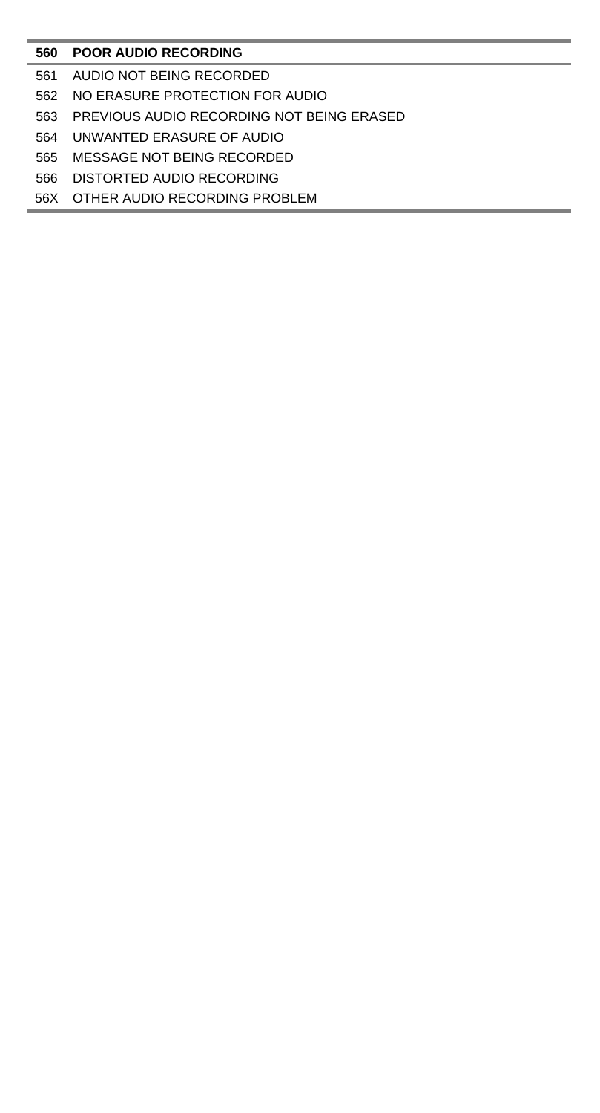## **POOR AUDIO RECORDING**

- AUDIO NOT BEING RECORDED
- NO ERASURE PROTECTION FOR AUDIO
- PREVIOUS AUDIO RECORDING NOT BEING ERASED
- UNWANTED ERASURE OF AUDIO
- MESSAGE NOT BEING RECORDED
- DISTORTED AUDIO RECORDING
- 56X OTHER AUDIO RECORDING PROBLEM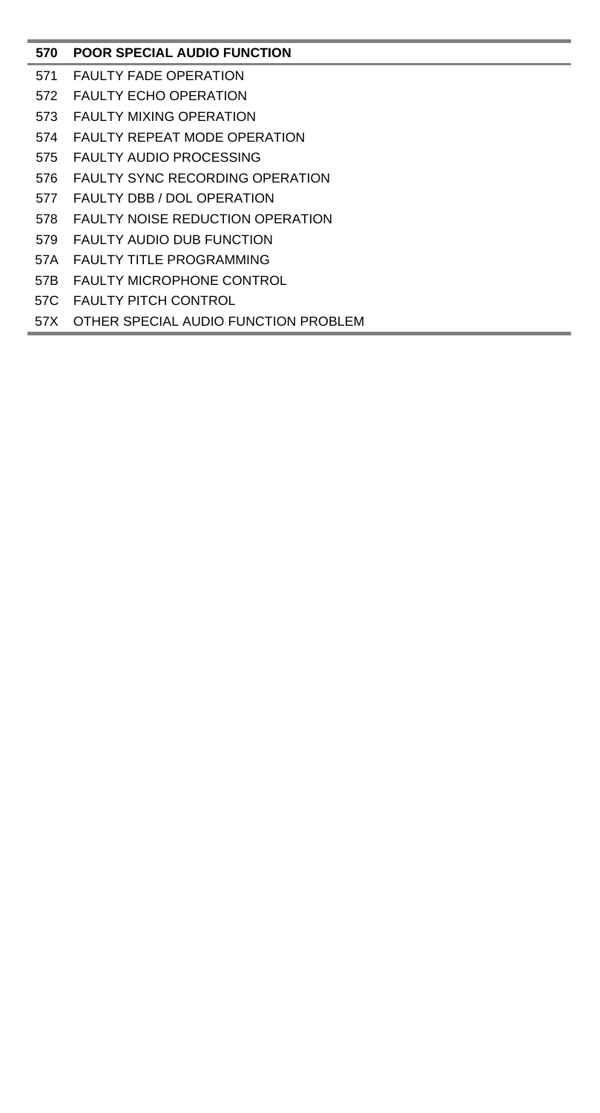## **POOR SPECIAL AUDIO FUNCTION**

- FAULTY FADE OPERATION
- FAULTY ECHO OPERATION
- FAULTY MIXING OPERATION
- FAULTY REPEAT MODE OPERATION
- FAULTY AUDIO PROCESSING
- 576 FAULTY SYNC RECORDING OPERATION
- FAULTY DBB / DOL OPERATION
- FAULTY NOISE REDUCTION OPERATION
- FAULTY AUDIO DUB FUNCTION
- 57A FAULTY TITLE PROGRAMMING
- 57B FAULTY MICROPHONE CONTROL
- 57C FAULTY PITCH CONTROL
- 57X OTHER SPECIAL AUDIO FUNCTION PROBLEM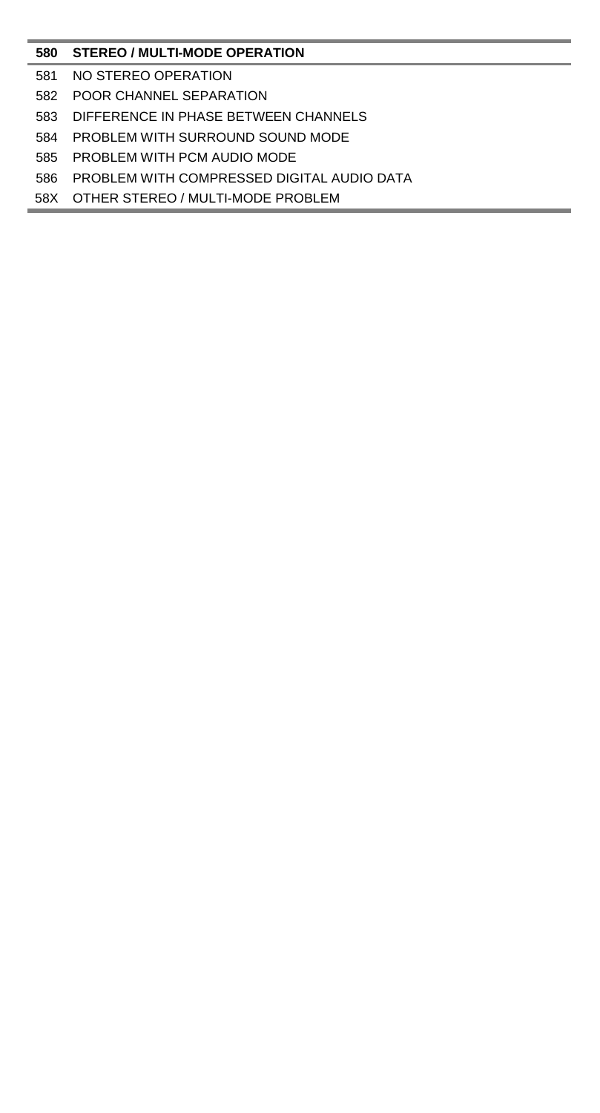## **STEREO / MULTI-MODE OPERATION**

- NO STEREO OPERATION
- POOR CHANNEL SEPARATION
- DIFFERENCE IN PHASE BETWEEN CHANNELS
- PROBLEM WITH SURROUND SOUND MODE
- PROBLEM WITH PCM AUDIO MODE
- PROBLEM WITH COMPRESSED DIGITAL AUDIO DATA
- 58X OTHER STEREO / MULTI-MODE PROBLEM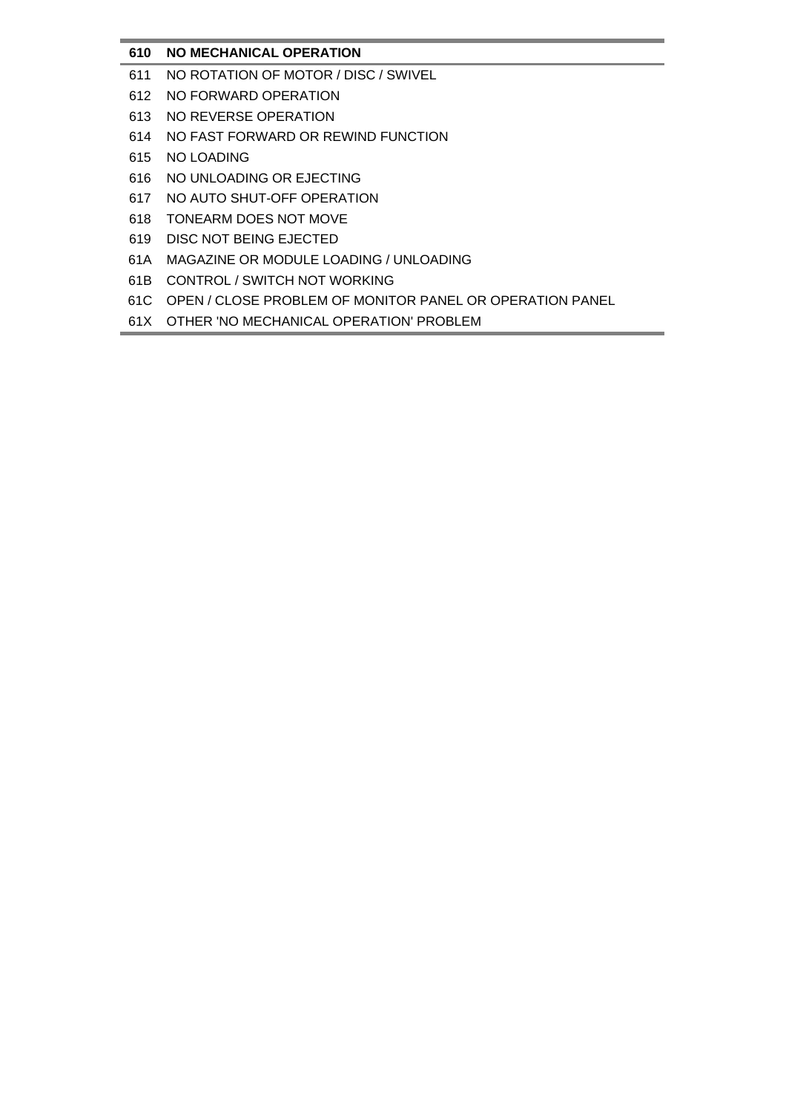## **610 NO MECHANICAL OPERATION**

- 611 NO ROTATION OF MOTOR / DISC / SWIVEL
- 612 NO FORWARD OPERATION
- 613 NO REVERSE OPERATION
- 614 NO FAST FORWARD OR REWIND FUNCTION
- 615 NO LOADING
- 616 NO UNLOADING OR EJECTING
- 617 NO AUTO SHUT-OFF OPERATION
- 618 TONEARM DOES NOT MOVE
- 619 DISC NOT BEING EJECTED
- 61A MAGAZINE OR MODULE LOADING / UNLOADING
- 61B CONTROL / SWITCH NOT WORKING
- 61C OPEN / CLOSE PROBLEM OF MONITOR PANEL OR OPERATION PANEL
- 61X OTHER 'NO MECHANICAL OPERATION' PROBLEM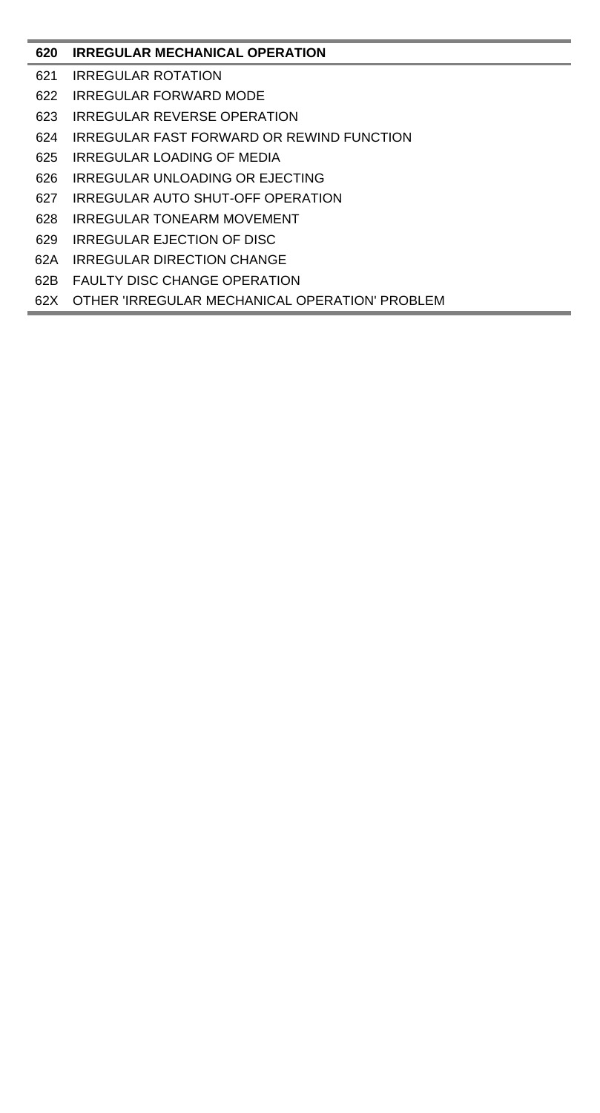# **IRREGULAR MECHANICAL OPERATION**

- IRREGULAR ROTATION
- IRREGULAR FORWARD MODE
- IRREGULAR REVERSE OPERATION
- IRREGULAR FAST FORWARD OR REWIND FUNCTION
- IRREGULAR LOADING OF MEDIA
- IRREGULAR UNLOADING OR EJECTING
- IRREGULAR AUTO SHUT-OFF OPERATION
- IRREGULAR TONEARM MOVEMENT
- IRREGULAR EJECTION OF DISC
- 62A IRREGULAR DIRECTION CHANGE
- 62B FAULTY DISC CHANGE OPERATION
- 62X OTHER 'IRREGULAR MECHANICAL OPERATION' PROBLEM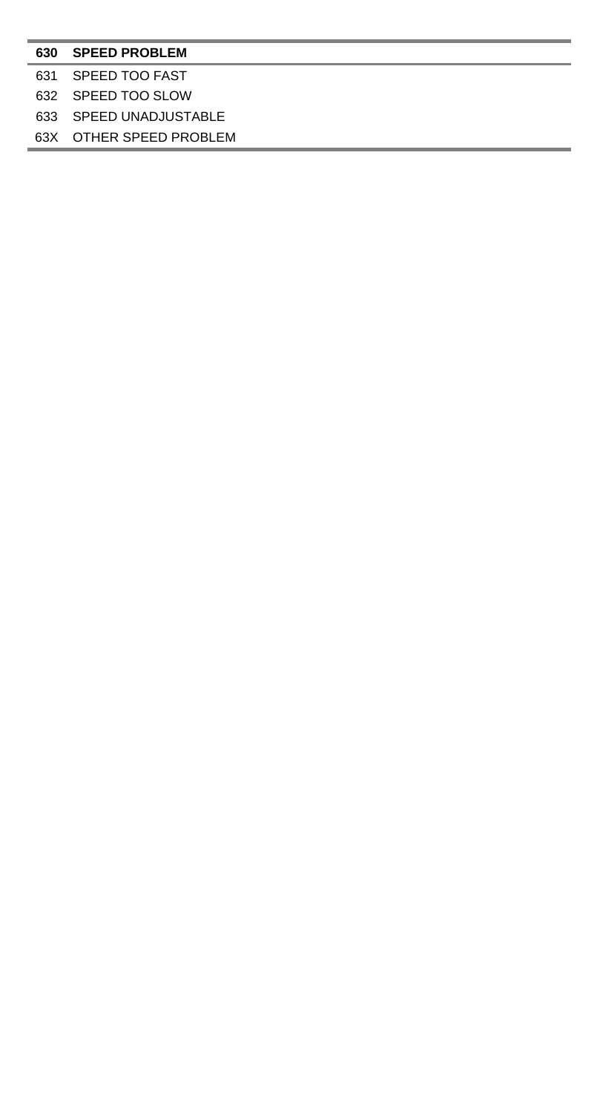#### **SPEED PROBLEM**

### SPEED TOO FAST

## SPEED TOO SLOW

### SPEED UNADJUSTABLE

63X OTHER SPEED PROBLEM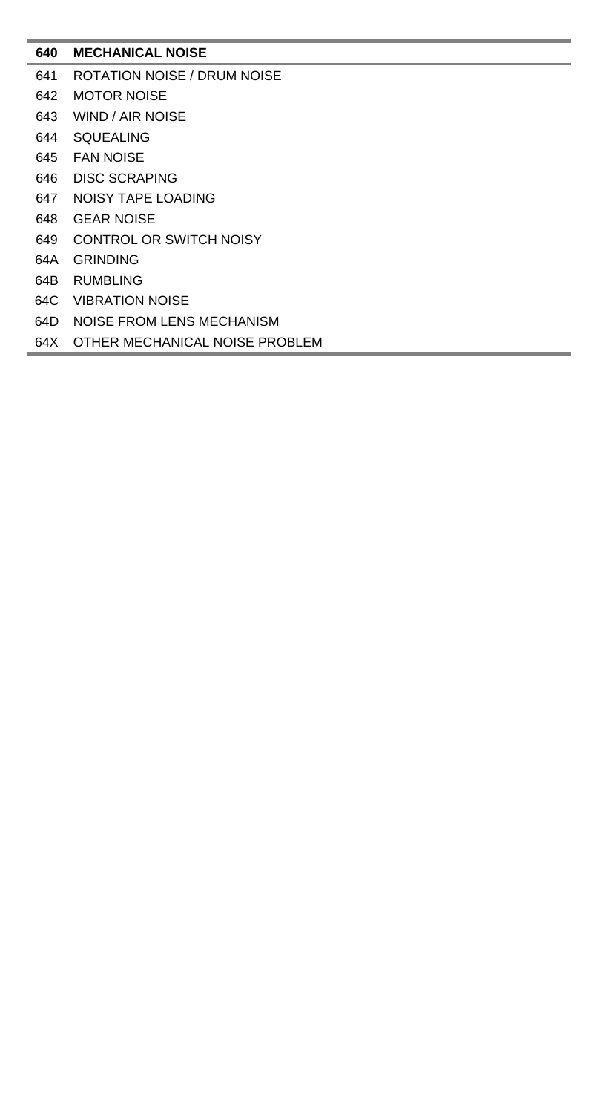## **MECHANICAL NOISE**

- ROTATION NOISE / DRUM NOISE
- MOTOR NOISE
- WIND / AIR NOISE
- SQUEALING
- FAN NOISE
- DISC SCRAPING
- NOISY TAPE LOADING
- GEAR NOISE
- CONTROL OR SWITCH NOISY
- 64A GRINDING
- 64B RUMBLING
- 64C VIBRATION NOISE
- 64D NOISE FROM LENS MECHANISM
- 64X OTHER MECHANICAL NOISE PROBLEM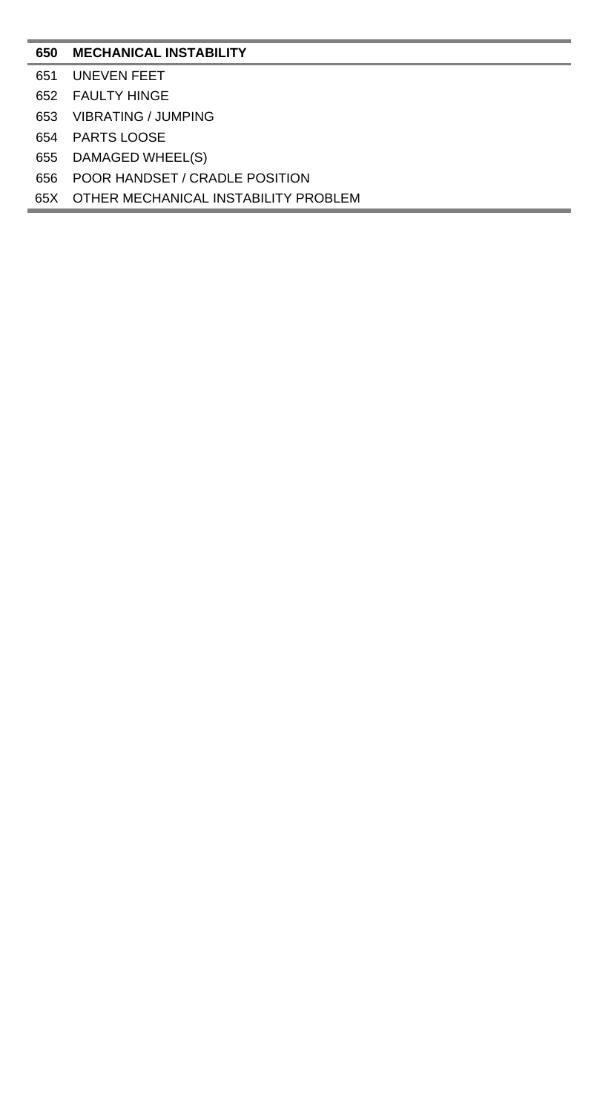## **MECHANICAL INSTABILITY**

- UNEVEN FEET
- FAULTY HINGE
- VIBRATING / JUMPING
- PARTS LOOSE
- DAMAGED WHEEL(S)
- POOR HANDSET / CRADLE POSITION
- 65X OTHER MECHANICAL INSTABILITY PROBLEM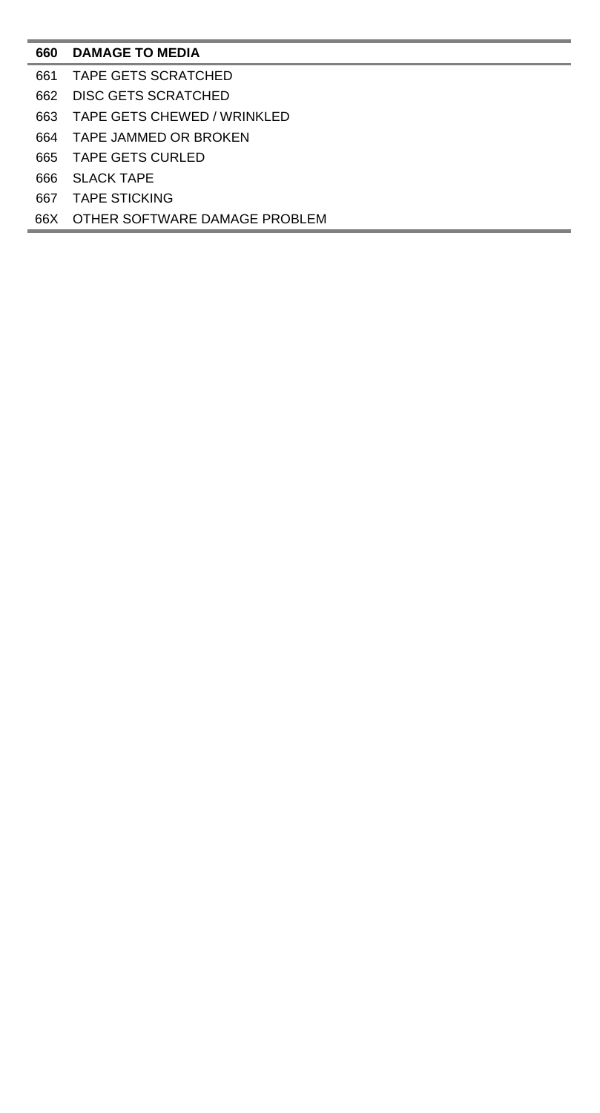## **DAMAGE TO MEDIA**

- TAPE GETS SCRATCHED
- DISC GETS SCRATCHED
- TAPE GETS CHEWED / WRINKLED
- TAPE JAMMED OR BROKEN
- TAPE GETS CURLED
- SLACK TAPE
- TAPE STICKING
- 66X OTHER SOFTWARE DAMAGE PROBLEM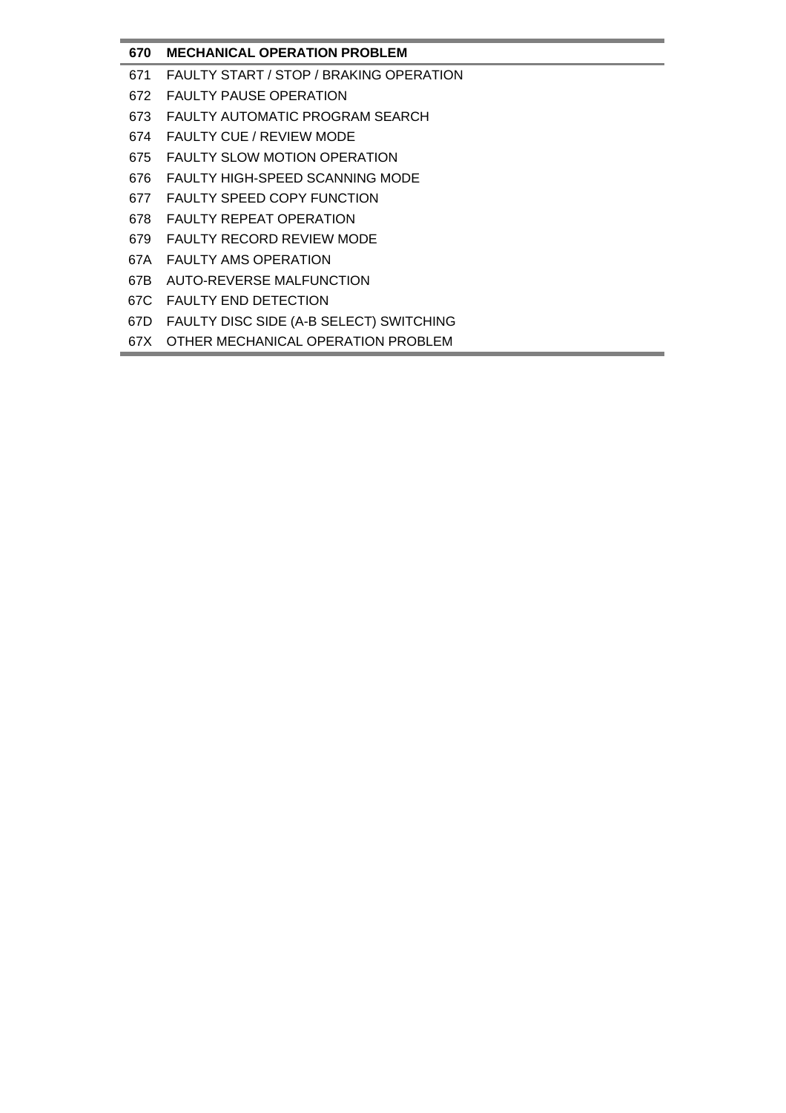# **670 MECHANICAL OPERATION PROBLEM**

- 671 FAULTY START / STOP / BRAKING OPERATION
- 672 FAULTY PAUSE OPERATION
- 673 FAULTY AUTOMATIC PROGRAM SEARCH
- 674 FAULTY CUE / REVIEW MODE
- 675 FAULTY SLOW MOTION OPERATION
- 676 FAULTY HIGH-SPEED SCANNING MODE
- 677 FAULTY SPEED COPY FUNCTION
- 678 FAULTY REPEAT OPERATION
- 679 FAULTY RECORD REVIEW MODE
- 67A FAULTY AMS OPERATION
- 67B AUTO-REVERSE MALFUNCTION
- 67C FAULTY END DETECTION
- 67D FAULTY DISC SIDE (A-B SELECT) SWITCHING
- 67X OTHER MECHANICAL OPERATION PROBLEM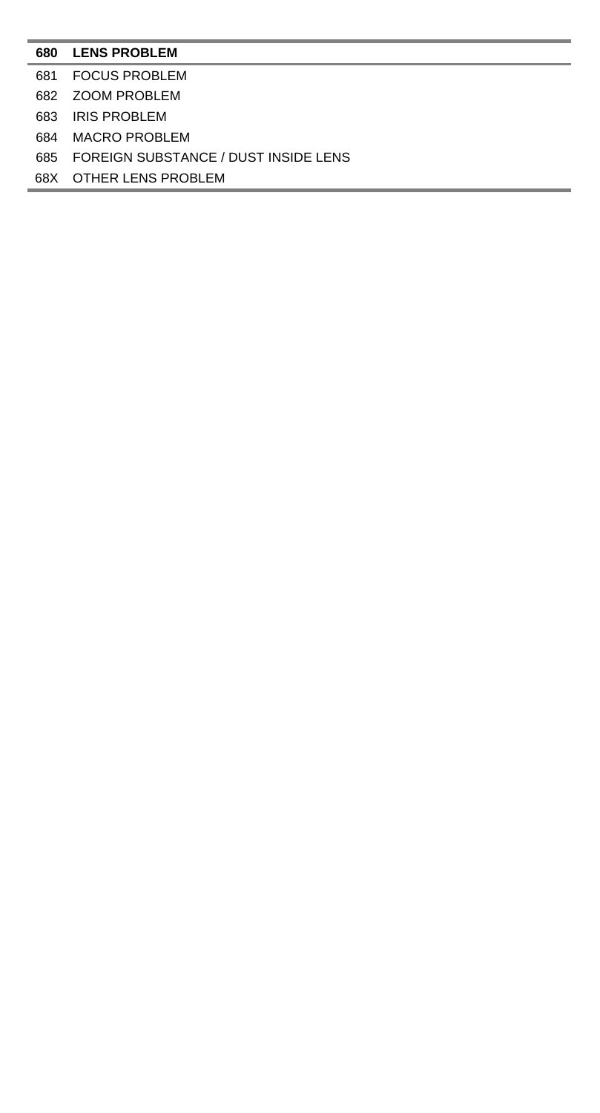#### **LENS PROBLEM**

- FOCUS PROBLEM
- ZOOM PROBLEM
- IRIS PROBLEM
- MACRO PROBLEM
- FOREIGN SUBSTANCE / DUST INSIDE LENS
- 68X OTHER LENS PROBLEM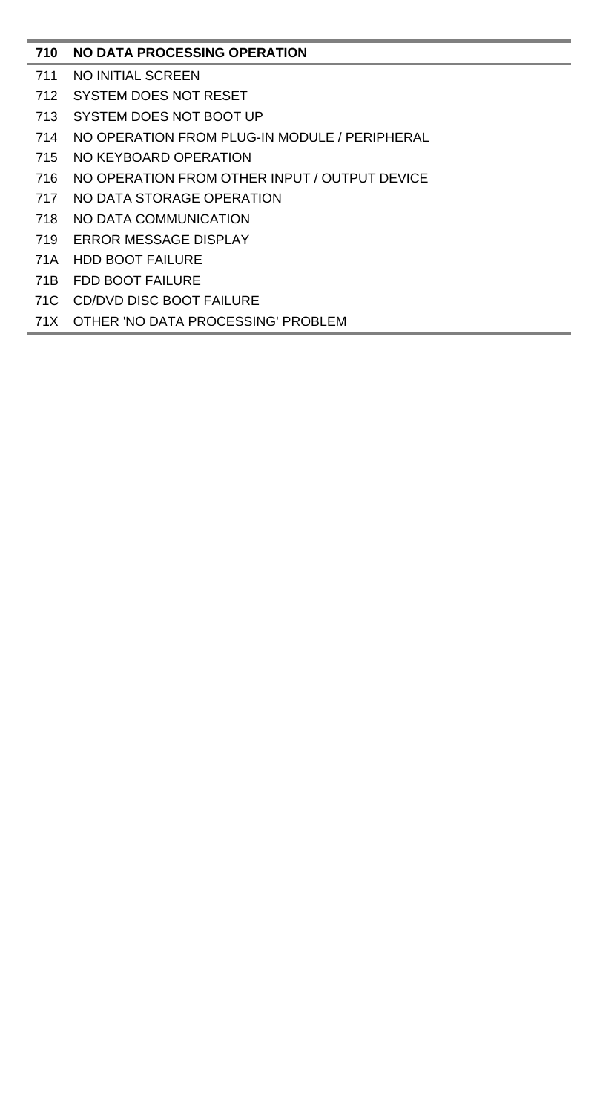# **NO DATA PROCESSING OPERATION**

- NO INITIAL SCREEN
- SYSTEM DOES NOT RESET
- SYSTEM DOES NOT BOOT UP
- NO OPERATION FROM PLUG-IN MODULE / PERIPHERAL
- NO KEYBOARD OPERATION
- NO OPERATION FROM OTHER INPUT / OUTPUT DEVICE
- NO DATA STORAGE OPERATION
- NO DATA COMMUNICATION
- ERROR MESSAGE DISPLAY
- 71A HDD BOOT FAILURE
- 71B FDD BOOT FAILURE
- 71C CD/DVD DISC BOOT FAILURE
- 71X OTHER 'NO DATA PROCESSING' PROBLEM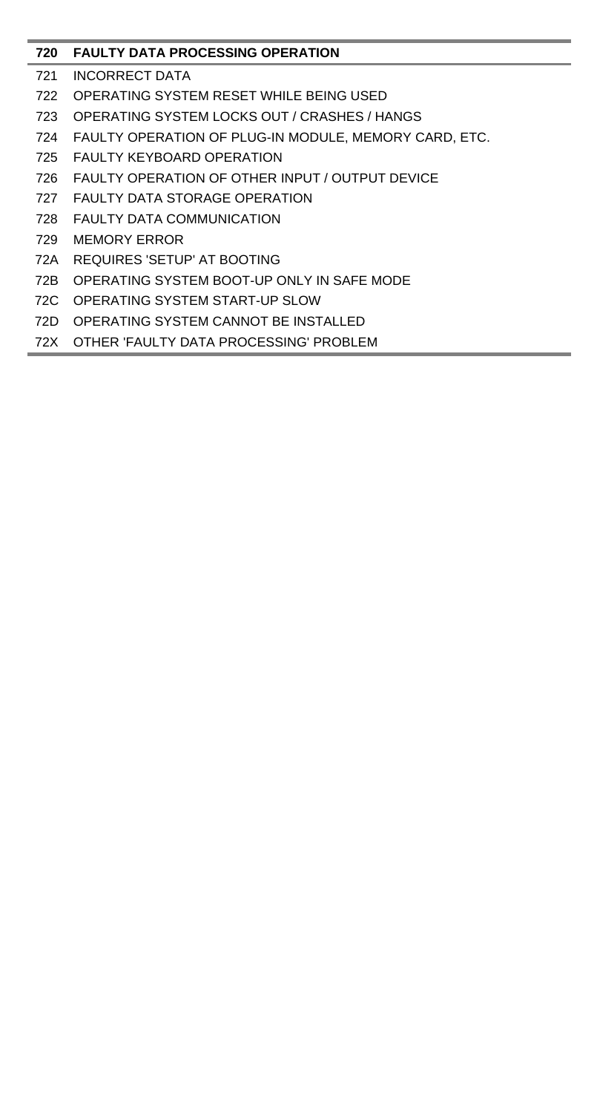## **FAULTY DATA PROCESSING OPERATION**

- INCORRECT DATA
- OPERATING SYSTEM RESET WHILE BEING USED
- OPERATING SYSTEM LOCKS OUT / CRASHES / HANGS
- FAULTY OPERATION OF PLUG-IN MODULE, MEMORY CARD, ETC.
- FAULTY KEYBOARD OPERATION
- FAULTY OPERATION OF OTHER INPUT / OUTPUT DEVICE
- FAULTY DATA STORAGE OPERATION
- FAULTY DATA COMMUNICATION
- MEMORY ERROR
- 72A REQUIRES 'SETUP' AT BOOTING
- 72B OPERATING SYSTEM BOOT-UP ONLY IN SAFE MODE
- 72C OPERATING SYSTEM START-UP SLOW
- 72D OPERATING SYSTEM CANNOT BE INSTALLED
- 72X OTHER 'FAULTY DATA PROCESSING' PROBLEM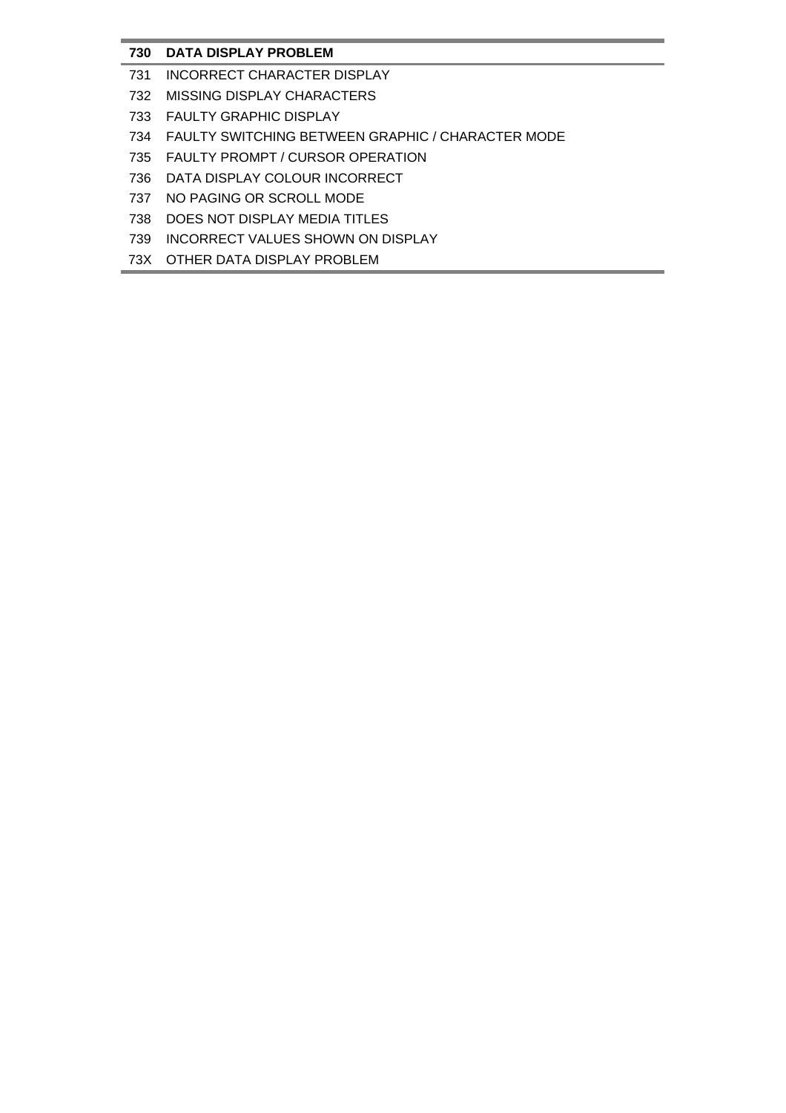# **730 DATA DISPLAY PROBLEM**

- 731 INCORRECT CHARACTER DISPLAY
- 732 MISSING DISPLAY CHARACTERS
- 733 FAULTY GRAPHIC DISPLAY
- 734 FAULTY SWITCHING BETWEEN GRAPHIC / CHARACTER MODE
- 735 FAULTY PROMPT / CURSOR OPERATION
- 736 DATA DISPLAY COLOUR INCORRECT
- 737 NO PAGING OR SCROLL MODE
- 738 DOES NOT DISPLAY MEDIA TITLES
- 739 INCORRECT VALUES SHOWN ON DISPLAY
- 73X OTHER DATA DISPLAY PROBLEM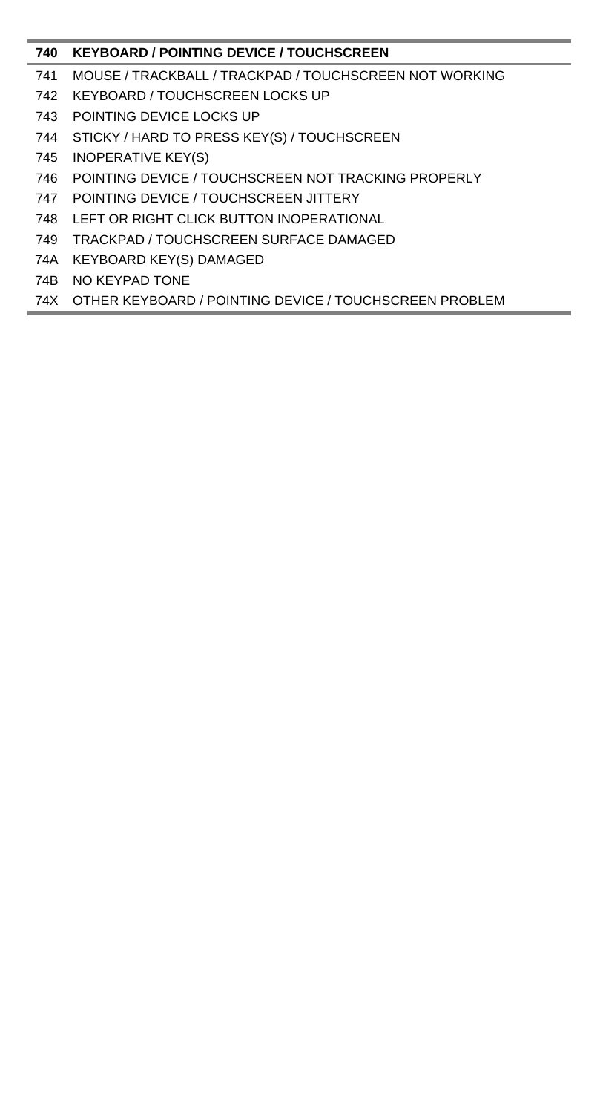# **KEYBOARD / POINTING DEVICE / TOUCHSCREEN**

- MOUSE / TRACKBALL / TRACKPAD / TOUCHSCREEN NOT WORKING
- KEYBOARD / TOUCHSCREEN LOCKS UP
- POINTING DEVICE LOCKS UP
- STICKY / HARD TO PRESS KEY(S) / TOUCHSCREEN
- INOPERATIVE KEY(S)
- POINTING DEVICE / TOUCHSCREEN NOT TRACKING PROPERLY
- POINTING DEVICE / TOUCHSCREEN JITTERY
- LEFT OR RIGHT CLICK BUTTON INOPERATIONAL
- TRACKPAD / TOUCHSCREEN SURFACE DAMAGED
- 74A KEYBOARD KEY(S) DAMAGED
- 74B NO KEYPAD TONE

74X OTHER KEYBOARD / POINTING DEVICE / TOUCHSCREEN PROBLEM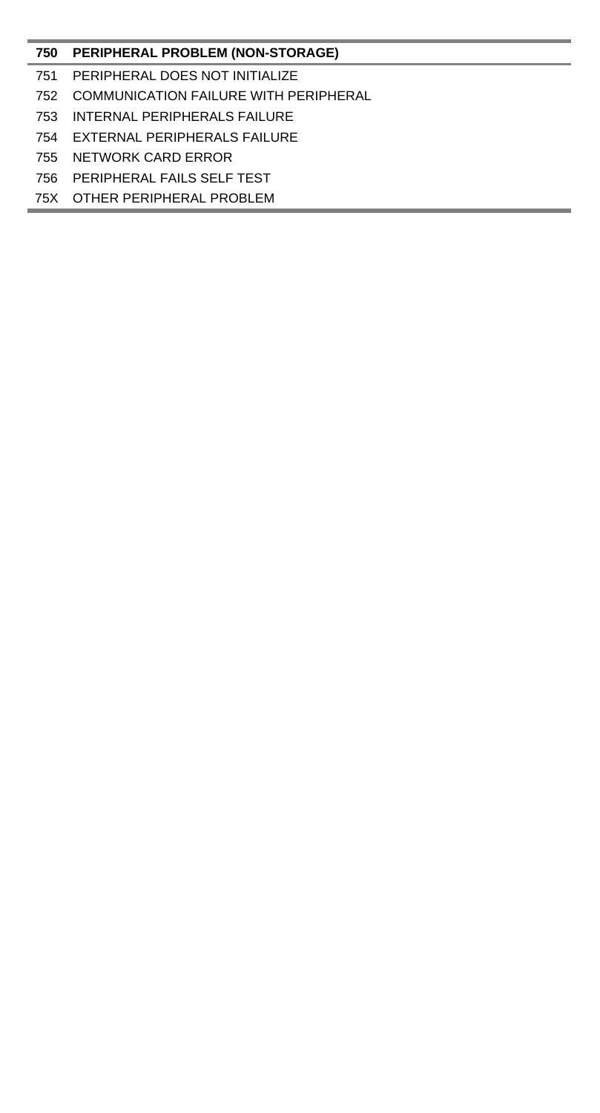## **PERIPHERAL PROBLEM (NON-STORAGE)**

- PERIPHERAL DOES NOT INITIALIZE
- COMMUNICATION FAILURE WITH PERIPHERAL
- INTERNAL PERIPHERALS FAILURE
- EXTERNAL PERIPHERALS FAILURE
- NETWORK CARD ERROR
- PERIPHERAL FAILS SELF TEST
- 75X OTHER PERIPHERAL PROBLEM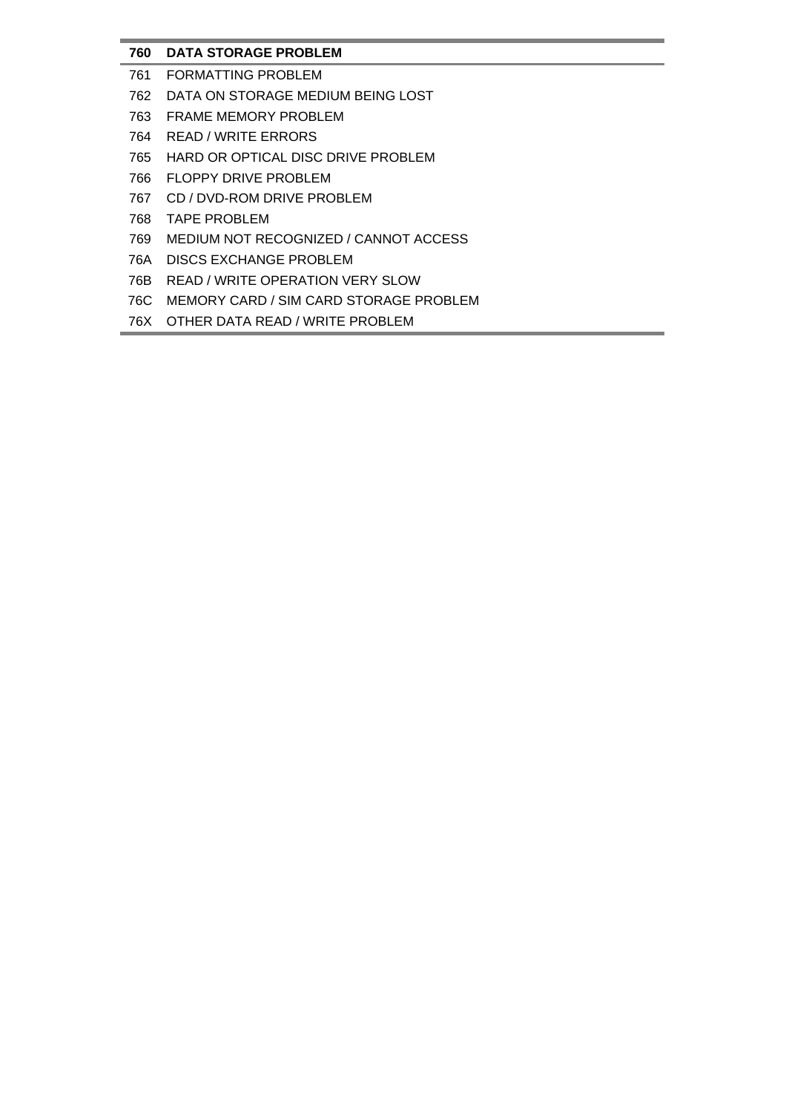# **760 DATA STORAGE PROBLEM**

- 761 FORMATTING PROBLEM
- 762 DATA ON STORAGE MEDIUM BEING LOST
- 763 FRAME MEMORY PROBLEM
- 764 READ / WRITE ERRORS
- 765 HARD OR OPTICAL DISC DRIVE PROBLEM
- 766 FLOPPY DRIVE PROBLEM
- 767 CD / DVD-ROM DRIVE PROBLEM
- 768 TAPE PROBLEM
- 769 MEDIUM NOT RECOGNIZED / CANNOT ACCESS
- 76A DISCS EXCHANGE PROBLEM
- 76B READ / WRITE OPERATION VERY SLOW
- 76C MEMORY CARD / SIM CARD STORAGE PROBLEM
- 76X OTHER DATA READ / WRITE PROBLEM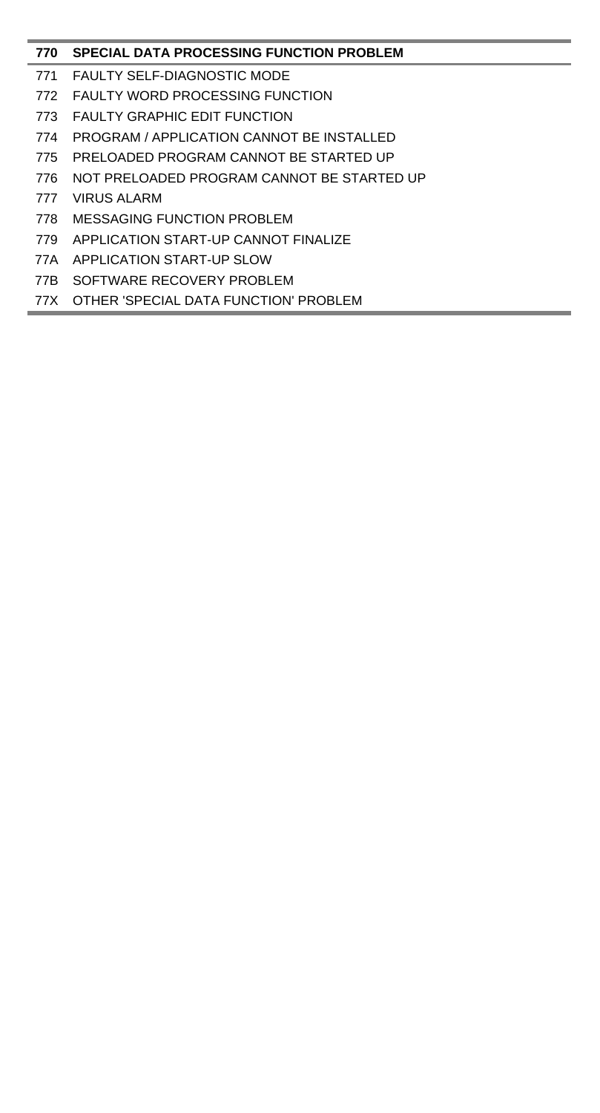# **SPECIAL DATA PROCESSING FUNCTION PROBLEM**

- FAULTY SELF-DIAGNOSTIC MODE
- FAULTY WORD PROCESSING FUNCTION
- FAULTY GRAPHIC EDIT FUNCTION
- PROGRAM / APPLICATION CANNOT BE INSTALLED
- PRELOADED PROGRAM CANNOT BE STARTED UP
- NOT PRELOADED PROGRAM CANNOT BE STARTED UP
- VIRUS ALARM
- MESSAGING FUNCTION PROBLEM
- APPLICATION START-UP CANNOT FINALIZE
- 77A APPLICATION START-UP SLOW
- 77B SOFTWARE RECOVERY PROBLEM
- 77X OTHER 'SPECIAL DATA FUNCTION' PROBLEM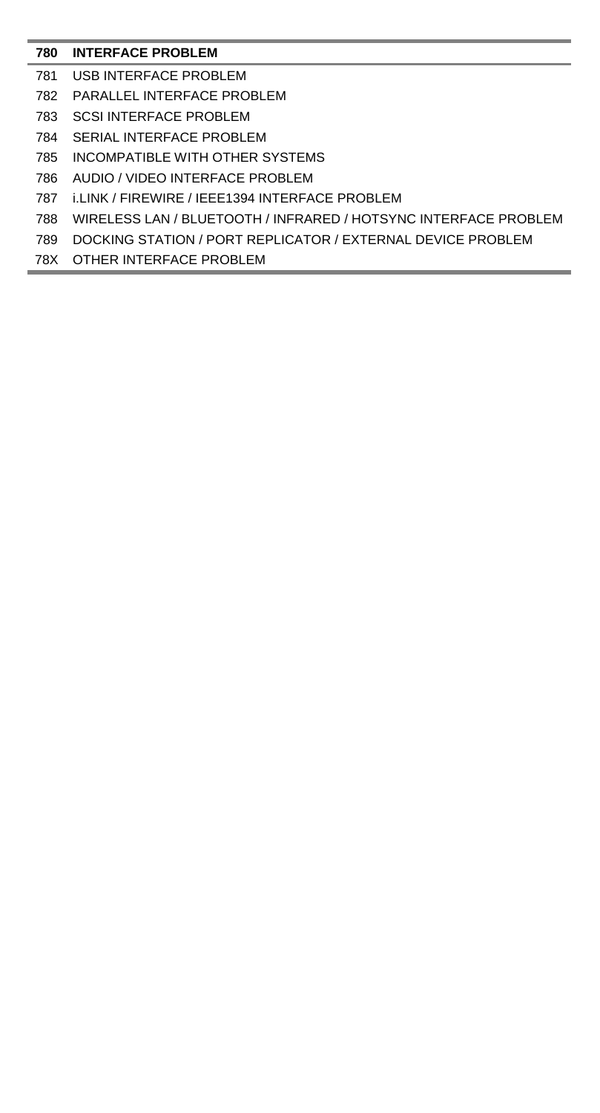## **INTERFACE PROBLEM**

- USB INTERFACE PROBLEM
- PARALLEL INTERFACE PROBLEM
- SCSI INTERFACE PROBLEM
- SERIAL INTERFACE PROBLEM
- INCOMPATIBLE WITH OTHER SYSTEMS
- AUDIO / VIDEO INTERFACE PROBLEM
- i.LINK / FIREWIRE / IEEE1394 INTERFACE PROBLEM
- WIRELESS LAN / BLUETOOTH / INFRARED / HOTSYNC INTERFACE PROBLEM
- DOCKING STATION / PORT REPLICATOR / EXTERNAL DEVICE PROBLEM
- 78X OTHER INTERFACE PROBLEM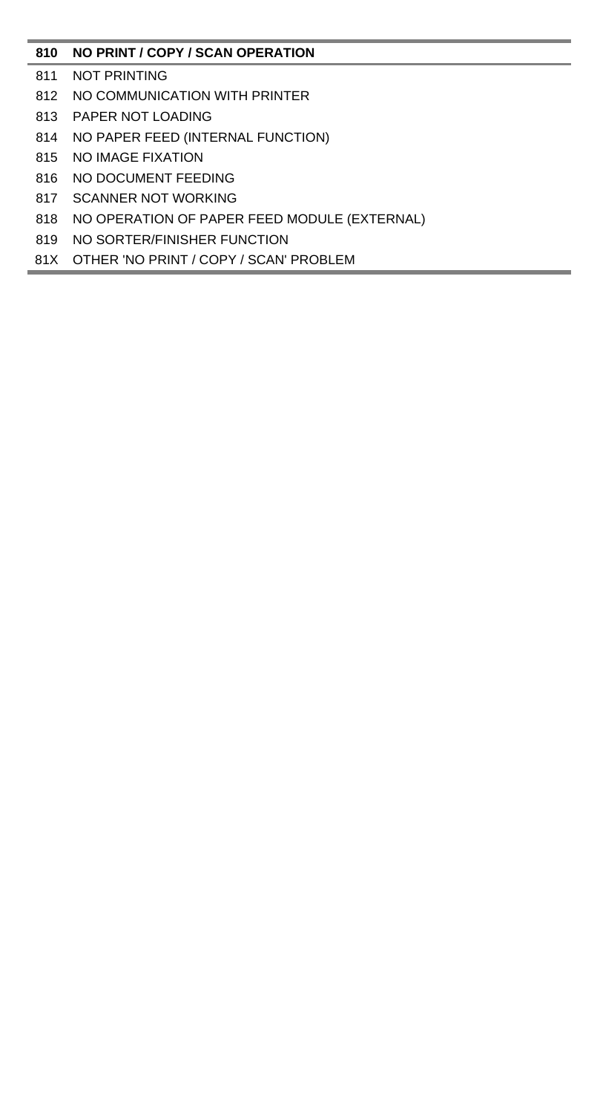# **NO PRINT / COPY / SCAN OPERATION**

- NOT PRINTING
- NO COMMUNICATION WITH PRINTER
- PAPER NOT LOADING
- NO PAPER FEED (INTERNAL FUNCTION)
- NO IMAGE FIXATION
- NO DOCUMENT FEEDING
- SCANNER NOT WORKING
- NO OPERATION OF PAPER FEED MODULE (EXTERNAL)
- NO SORTER/FINISHER FUNCTION
- 81X OTHER 'NO PRINT / COPY / SCAN' PROBLEM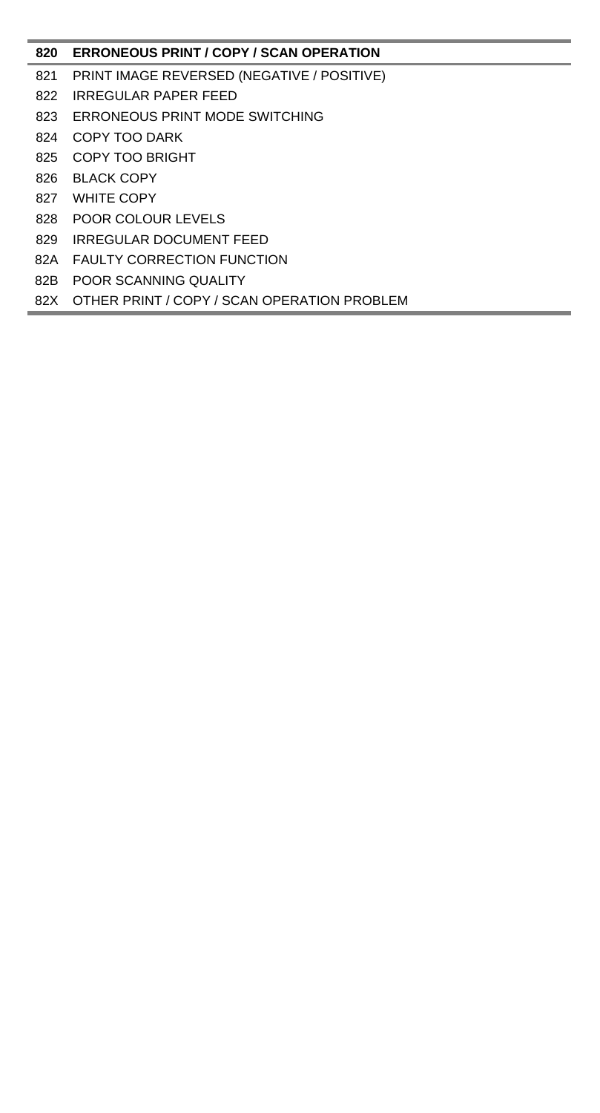# **ERRONEOUS PRINT / COPY / SCAN OPERATION**

- PRINT IMAGE REVERSED (NEGATIVE / POSITIVE)
- IRREGULAR PAPER FEED
- ERRONEOUS PRINT MODE SWITCHING
- COPY TOO DARK
- COPY TOO BRIGHT
- BLACK COPY
- WHITE COPY
- POOR COLOUR LEVELS
- IRREGULAR DOCUMENT FEED
- 82A FAULTY CORRECTION FUNCTION
- 82B POOR SCANNING QUALITY
- 82X OTHER PRINT / COPY / SCAN OPERATION PROBLEM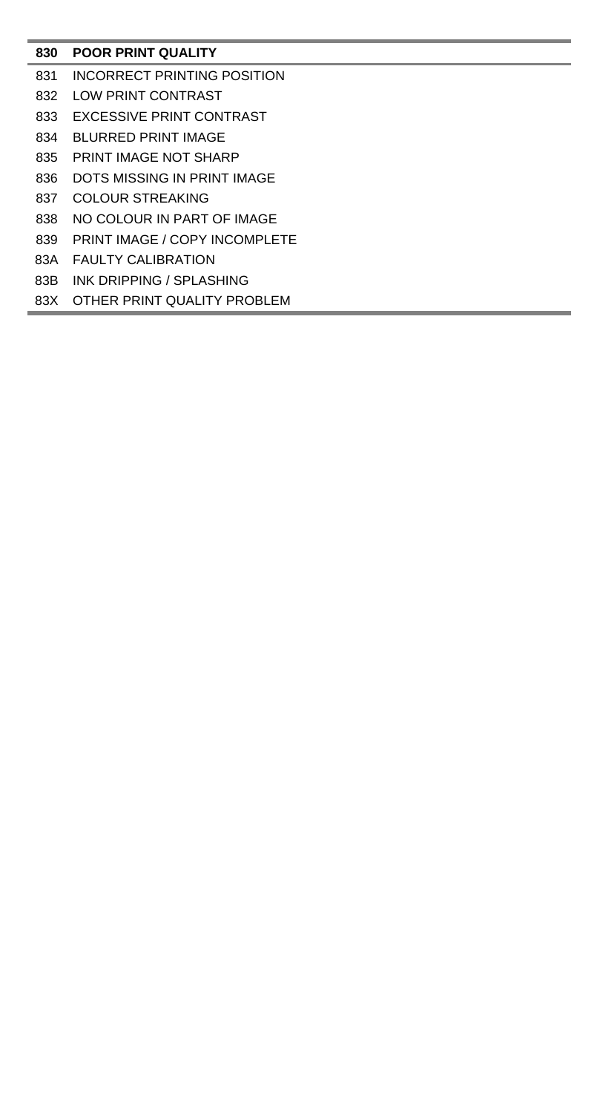# **POOR PRINT QUALITY**

- INCORRECT PRINTING POSITION
- LOW PRINT CONTRAST
- EXCESSIVE PRINT CONTRAST
- BLURRED PRINT IMAGE
- PRINT IMAGE NOT SHARP
- DOTS MISSING IN PRINT IMAGE
- COLOUR STREAKING
- NO COLOUR IN PART OF IMAGE
- PRINT IMAGE / COPY INCOMPLETE
- 83A FAULTY CALIBRATION
- 83B INK DRIPPING / SPLASHING
- 83X OTHER PRINT QUALITY PROBLEM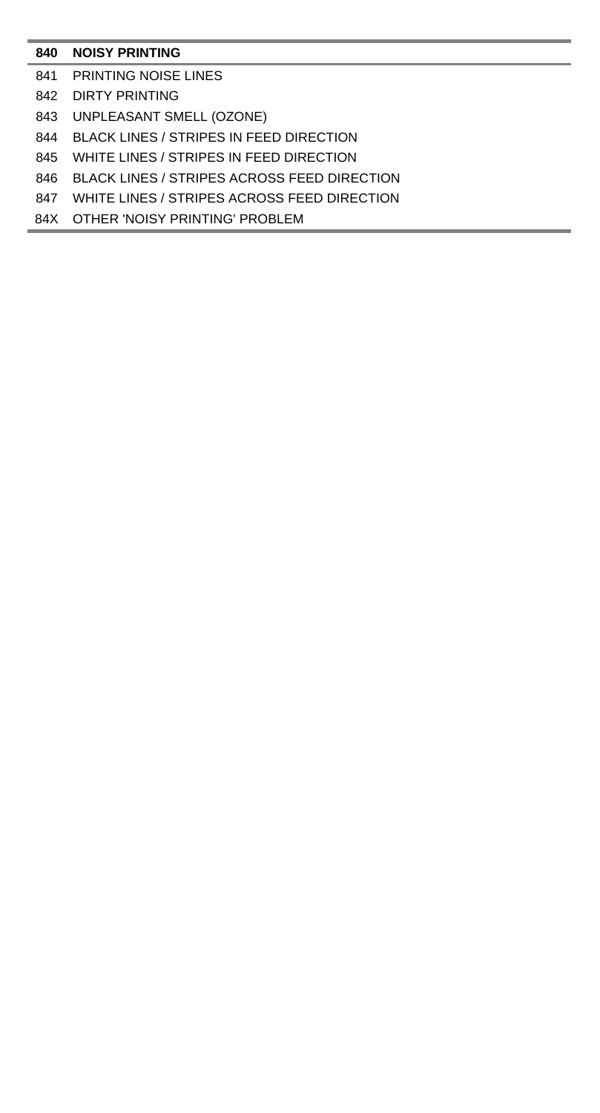## **NOISY PRINTING**

- PRINTING NOISE LINES
- DIRTY PRINTING
- UNPLEASANT SMELL (OZONE)
- BLACK LINES / STRIPES IN FEED DIRECTION
- WHITE LINES / STRIPES IN FEED DIRECTION
- BLACK LINES / STRIPES ACROSS FEED DIRECTION
- WHITE LINES / STRIPES ACROSS FEED DIRECTION
- 84X OTHER 'NOISY PRINTING' PROBLEM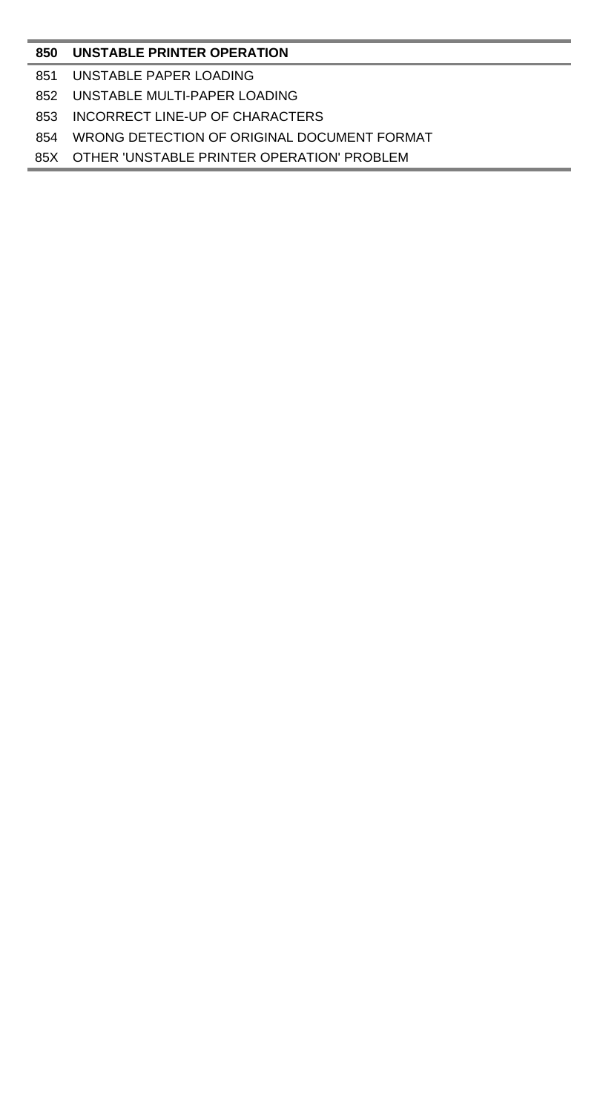### **UNSTABLE PRINTER OPERATION**

- UNSTABLE PAPER LOADING
- UNSTABLE MULTI-PAPER LOADING
- INCORRECT LINE-UP OF CHARACTERS
- WRONG DETECTION OF ORIGINAL DOCUMENT FORMAT
- 85X OTHER 'UNSTABLE PRINTER OPERATION' PROBLEM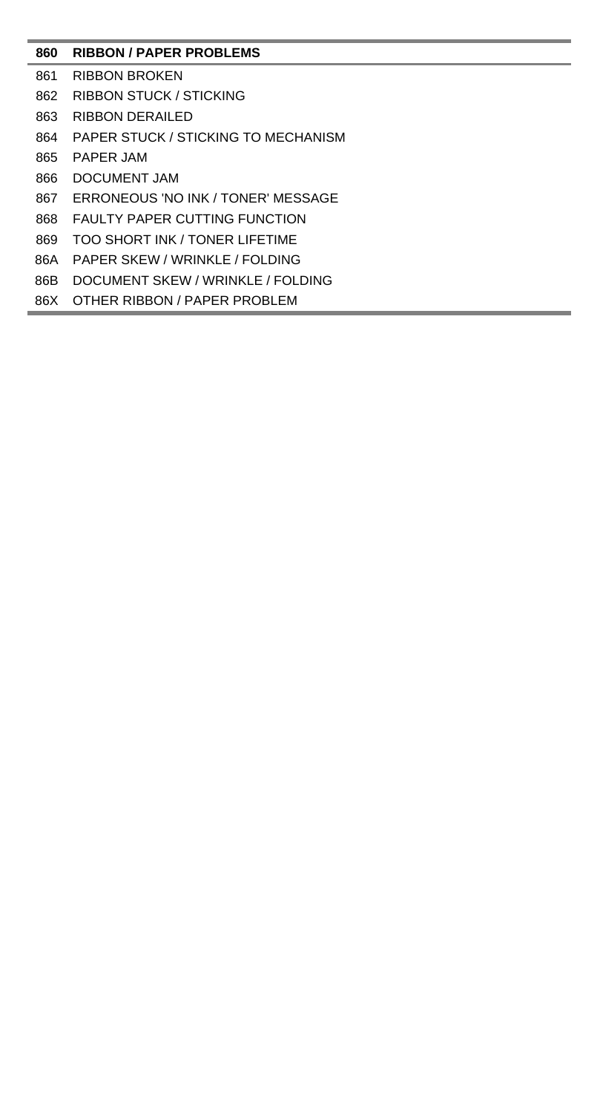# **RIBBON / PAPER PROBLEMS**

- RIBBON BROKEN
- RIBBON STUCK / STICKING
- RIBBON DERAILED
- PAPER STUCK / STICKING TO MECHANISM
- PAPER JAM
- DOCUMENT JAM
- ERRONEOUS 'NO INK / TONER' MESSAGE
- FAULTY PAPER CUTTING FUNCTION
- TOO SHORT INK / TONER LIFETIME
- 86A PAPER SKEW / WRINKLE / FOLDING
- 86B DOCUMENT SKEW / WRINKLE / FOLDING
- 86X OTHER RIBBON / PAPER PROBLEM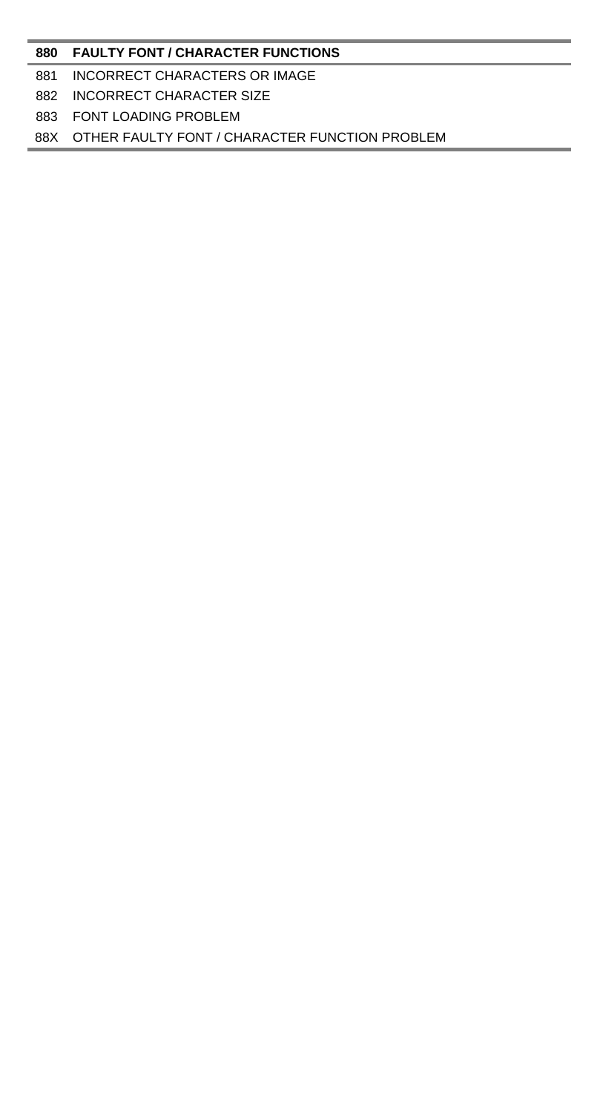#### **FAULTY FONT / CHARACTER FUNCTIONS**

#### INCORRECT CHARACTERS OR IMAGE

## INCORRECT CHARACTER SIZE

### FONT LOADING PROBLEM

## 88X OTHER FAULTY FONT / CHARACTER FUNCTION PROBLEM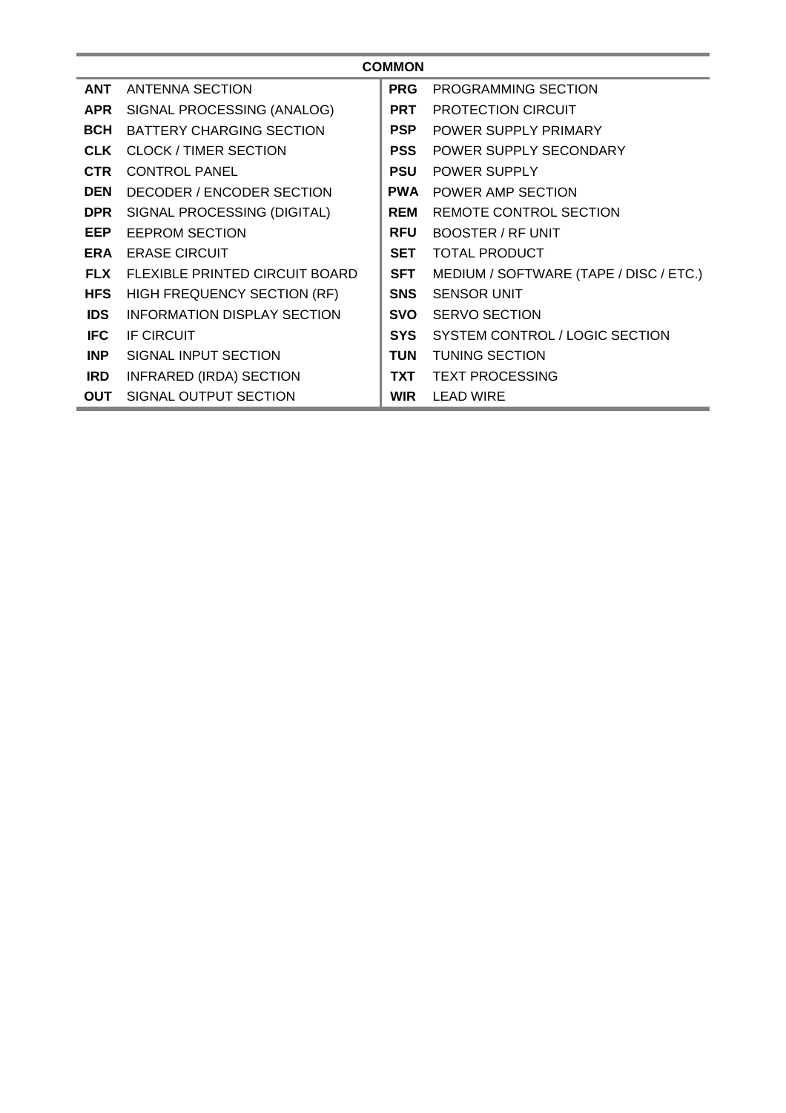| <b>COMMON</b> |                                    |            |                                        |  |  |  |
|---------------|------------------------------------|------------|----------------------------------------|--|--|--|
| <b>ANT</b>    | <b>ANTENNA SECTION</b>             | <b>PRG</b> | PROGRAMMING SECTION                    |  |  |  |
| <b>APR</b>    | SIGNAL PROCESSING (ANALOG)         | <b>PRT</b> | <b>PROTECTION CIRCUIT</b>              |  |  |  |
| <b>BCH</b>    | BATTERY CHARGING SECTION           | <b>PSP</b> | <b>POWER SUPPLY PRIMARY</b>            |  |  |  |
| <b>CLK</b>    | <b>CLOCK / TIMER SECTION</b>       | <b>PSS</b> | POWER SUPPLY SECONDARY                 |  |  |  |
| <b>CTR</b>    | <b>CONTROL PANEL</b>               | <b>PSU</b> | <b>POWER SUPPLY</b>                    |  |  |  |
| <b>DEN</b>    | DECODER / ENCODER SECTION          | <b>PWA</b> | <b>POWER AMP SECTION</b>               |  |  |  |
| <b>DPR</b>    | SIGNAL PROCESSING (DIGITAL)        | <b>REM</b> | REMOTE CONTROL SECTION                 |  |  |  |
| <b>EEP</b>    | <b>EEPROM SECTION</b>              | <b>RFU</b> | <b>BOOSTER / RF UNIT</b>               |  |  |  |
| <b>ERA</b>    | <b>ERASE CIRCUIT</b>               | <b>SET</b> | <b>TOTAL PRODUCT</b>                   |  |  |  |
| <b>FLX</b>    | FLEXIBLE PRINTED CIRCUIT BOARD     | <b>SFT</b> | MEDIUM / SOFTWARE (TAPE / DISC / ETC.) |  |  |  |
| <b>HFS</b>    | <b>HIGH FREQUENCY SECTION (RF)</b> | <b>SNS</b> | <b>SENSOR UNIT</b>                     |  |  |  |
| <b>IDS</b>    | <b>INFORMATION DISPLAY SECTION</b> | <b>SVO</b> | <b>SERVO SECTION</b>                   |  |  |  |
| <b>IFC</b>    | <b>IF CIRCUIT</b>                  | <b>SYS</b> | SYSTEM CONTROL / LOGIC SECTION         |  |  |  |
| <b>INP</b>    | SIGNAL INPUT SECTION               | TUN        | <b>TUNING SECTION</b>                  |  |  |  |
| <b>IRD</b>    | <b>INFRARED (IRDA) SECTION</b>     | <b>TXT</b> | <b>TEXT PROCESSING</b>                 |  |  |  |
| <b>OUT</b>    | SIGNAL OUTPUT SECTION              | <b>WIR</b> | LEAD WIRE                              |  |  |  |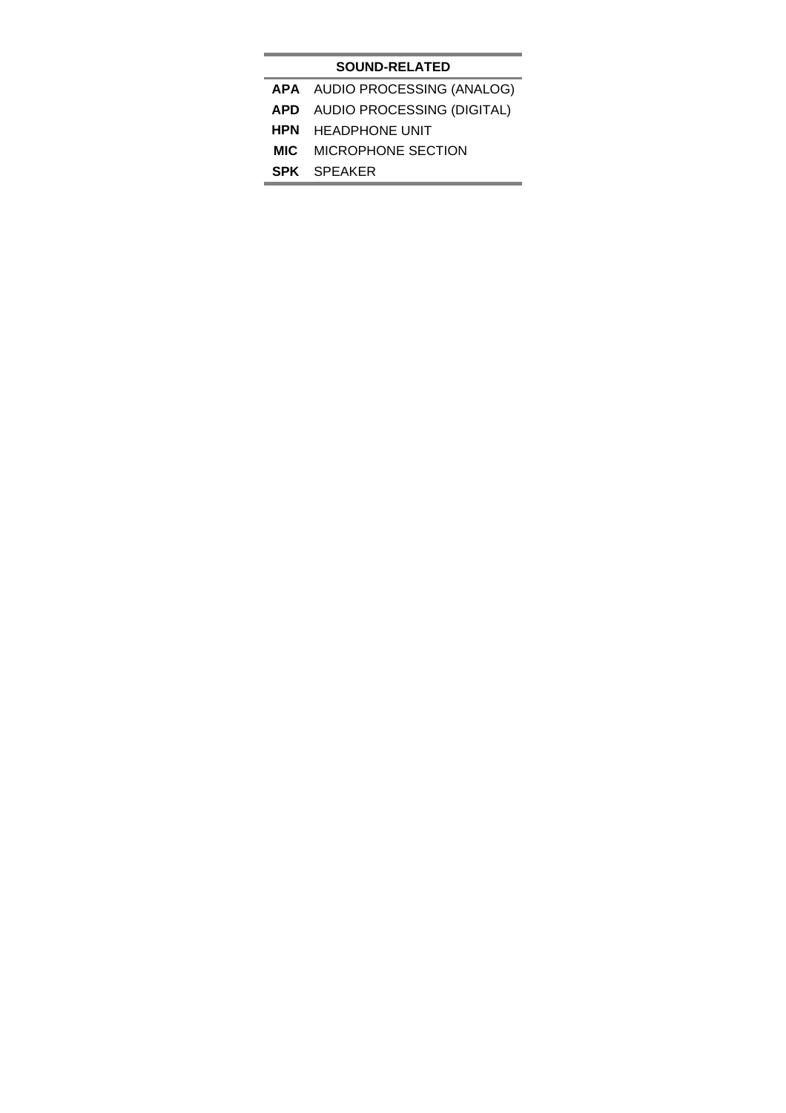## **SOUND-RELATED**

- **APA** AUDIO PROCESSING (ANALOG)
- **APD** AUDIO PROCESSING (DIGITAL)
- **HPN** HEADPHONE UNIT
- **MIC** MICROPHONE SECTION
- **SPK** SPEAKER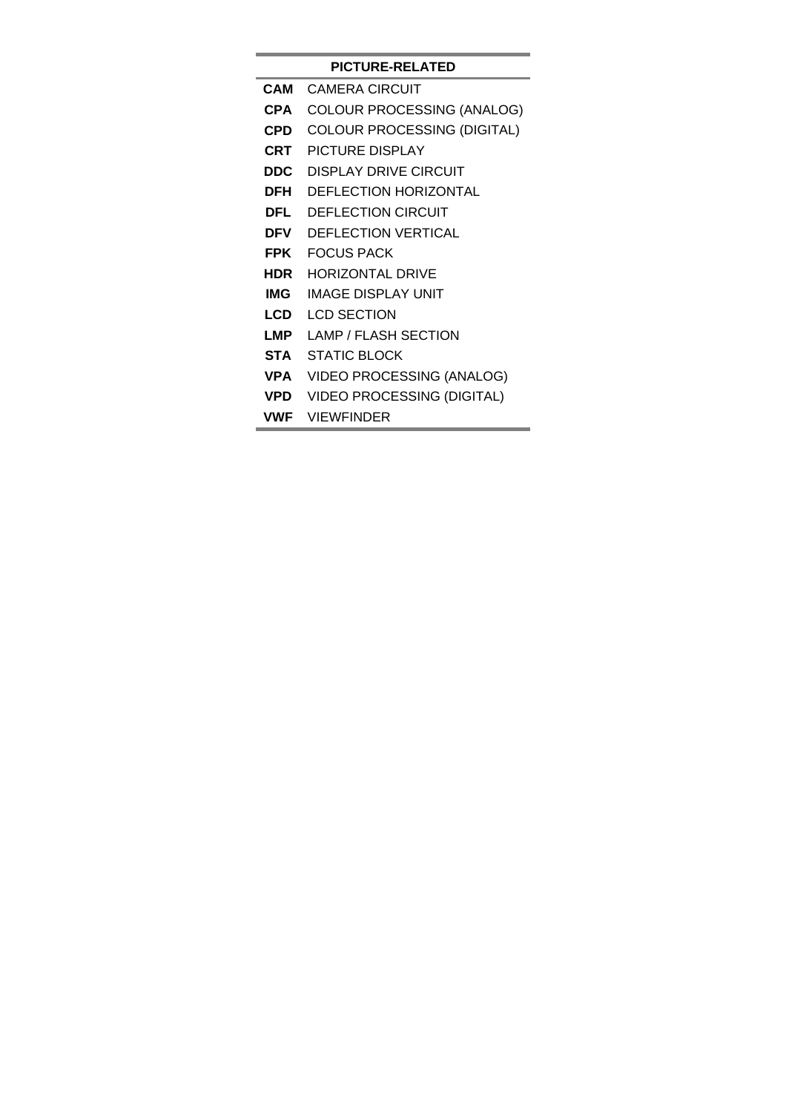# **VWF** VIEWFINDER

- **VPD** VIDEO PROCESSING (DIGITAL)
- **VPA** VIDEO PROCESSING (ANALOG)
- **STA** STATIC BLOCK
- **LMP** LAMP / FLASH SECTION
- **LCD** LCD SECTION
- **IMG** IMAGE DISPLAY UNIT
- **HDR** HORIZONTAL DRIVE
- **FPK** FOCUS PACK
- **DFV** DEFLECTION VERTICAL
- **DFL** DEFLECTION CIRCUIT
- **DEH DEFLECTION HORIZONTAL**
- **DDC** DISPLAY DRIVE CIRCUIT
- **CRT** PICTURE DISPLAY
- 
- 
- 
- 
- **CPD** COLOUR PROCESSING (DIGITAL)
- 
- 
- **CPA** COLOUR PROCESSING (ANALOG)

# **PICTURE-RELATED CAM** CAMERA CIRCUIT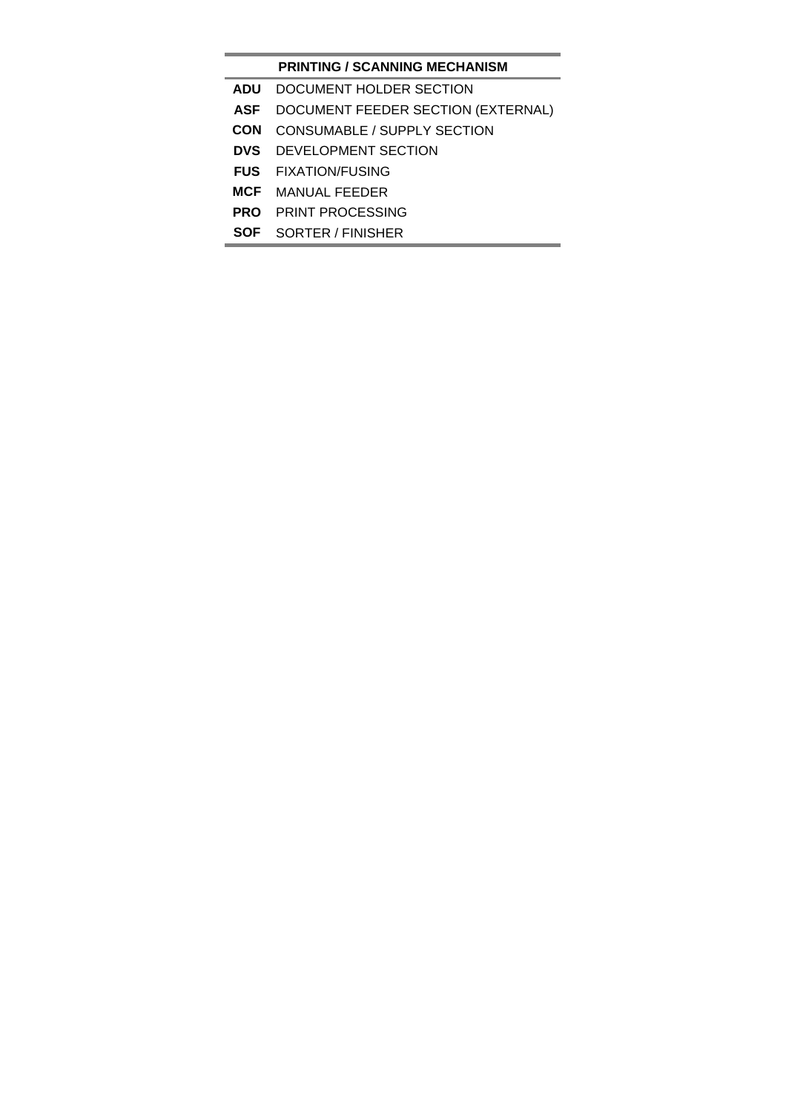## **PRINTING / SCANNING MECHANISM**

- **ADU** DOCUMENT HOLDER SECTION
- **ASF** DOCUMENT FEEDER SECTION (EXTERNAL)
- **CON** CONSUMABLE / SUPPLY SECTION
- **DVS** DEVELOPMENT SECTION
- **FUS** FIXATION/FUSING
- **MCF** MANUAL FEEDER
- **PRO** PRINT PROCESSING
- **SOF** SORTER / FINISHER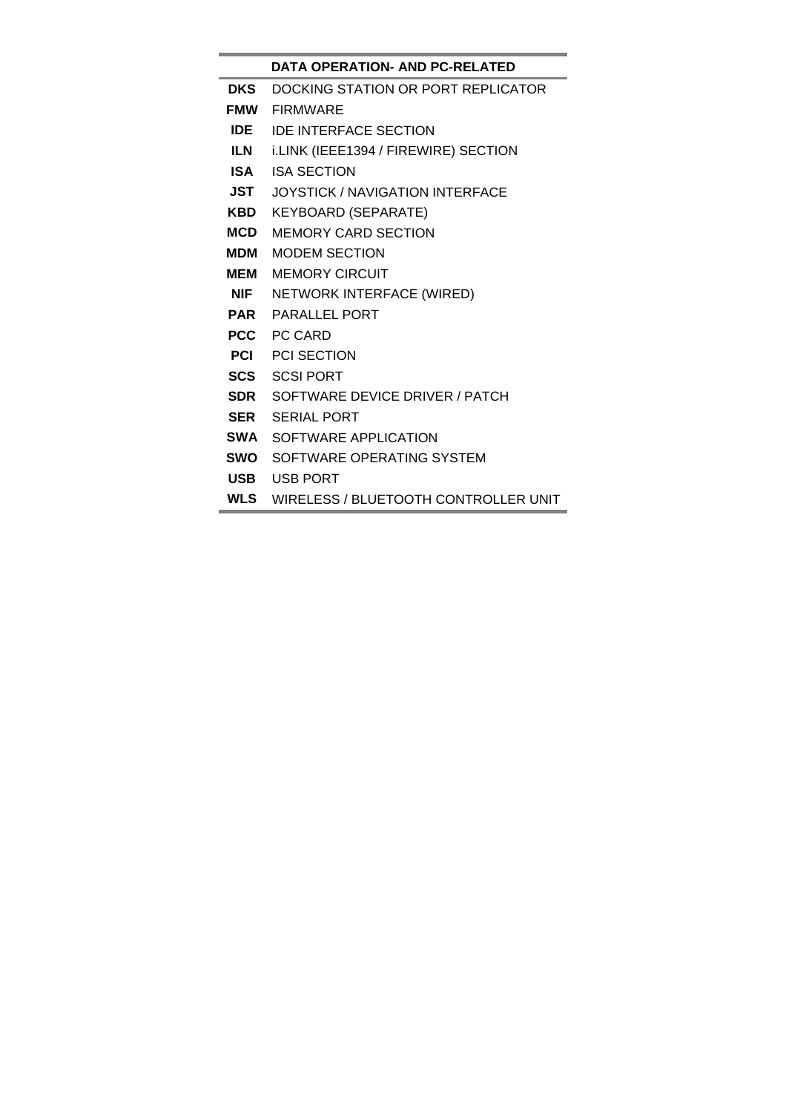# **DATA OPERATION- AND PC-RELATED**

- **DKS** DOCKING STATION OR PORT REPLICATOR
- **FMW** FIRMWARE
- **IDE** IDE INTERFACE SECTION
- **ILN** i.LINK (IEEE1394 / FIREWIRE) SECTION
- **ISA** ISA SECTION
- **JST** JOYSTICK / NAVIGATION INTERFACE
- **KBD** KEYBOARD (SEPARATE)
- **MCD** MEMORY CARD SECTION
- **MDM** MODEM SECTION
- **MEM** MEMORY CIRCUIT
- **NIF** NETWORK INTERFACE (WIRED)
- **PAR** PARALLEL PORT
- **PCC** PC CARD
- **PCI** PCI SECTION
- **SCS** SCSI PORT
- **SDR** SOFTWARE DEVICE DRIVER / PATCH
- **SER** SERIAL PORT
- **SWA** SOFTWARE APPLICATION
- **SWO** SOFTWARE OPERATING SYSTEM
- **USB** USB PORT
- **WLS** WIRELESS / BLUETOOTH CONTROLLER UNIT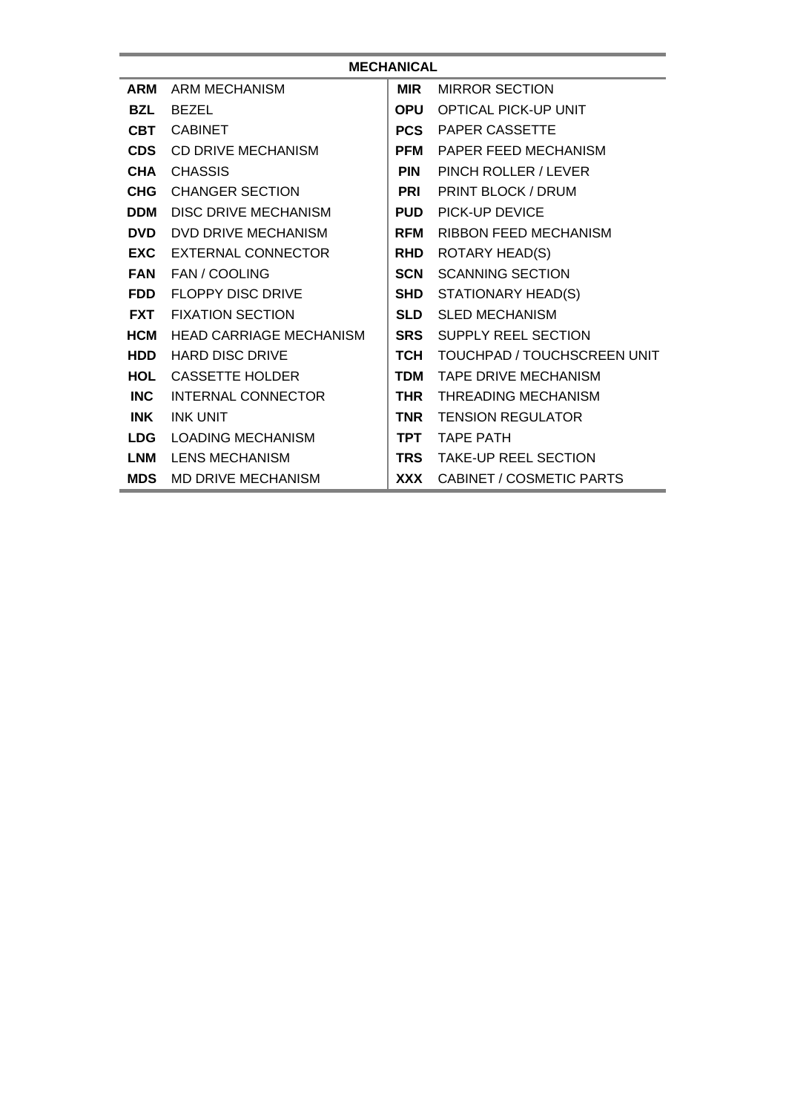| <b>MECHANICAL</b> |                                |            |                                    |  |  |  |
|-------------------|--------------------------------|------------|------------------------------------|--|--|--|
| <b>ARM</b>        | ARM MECHANISM                  | <b>MIR</b> | <b>MIRROR SECTION</b>              |  |  |  |
| <b>BZL</b>        | <b>BEZEL</b>                   | <b>OPU</b> | <b>OPTICAL PICK-UP UNIT</b>        |  |  |  |
| <b>CBT</b>        | <b>CABINET</b>                 | <b>PCS</b> | <b>PAPER CASSETTE</b>              |  |  |  |
| <b>CDS</b>        | CD DRIVE MECHANISM             | <b>PFM</b> | PAPER FEED MECHANISM               |  |  |  |
| <b>CHA</b>        | <b>CHASSIS</b>                 | <b>PIN</b> | PINCH ROLLER / LEVER               |  |  |  |
|                   | <b>CHG</b> CHANGER SECTION     | <b>PRI</b> | PRINT BLOCK / DRUM                 |  |  |  |
| <b>DDM</b>        | <b>DISC DRIVE MECHANISM</b>    | <b>PUD</b> | PICK-UP DEVICE                     |  |  |  |
| <b>DVD</b>        | DVD DRIVE MECHANISM            | <b>RFM</b> | <b>RIBBON FEED MECHANISM</b>       |  |  |  |
|                   | <b>EXC</b> EXTERNAL CONNECTOR  | <b>RHD</b> | <b>ROTARY HEAD(S)</b>              |  |  |  |
|                   | <b>FAN FAN/COOLING</b>         | <b>SCN</b> | <b>SCANNING SECTION</b>            |  |  |  |
| <b>FDD</b>        | <b>FLOPPY DISC DRIVE</b>       | SHD        | STATIONARY HEAD(S)                 |  |  |  |
|                   | <b>FXT</b> FIXATION SECTION    | <b>SLD</b> | <b>SLED MECHANISM</b>              |  |  |  |
| <b>HCM</b>        | <b>HEAD CARRIAGE MECHANISM</b> | <b>SRS</b> | <b>SUPPLY REEL SECTION</b>         |  |  |  |
| <b>HDD</b>        | <b>HARD DISC DRIVE</b>         | тсн        | <b>TOUCHPAD / TOUCHSCREEN UNIT</b> |  |  |  |
| HOL               | CASSETTE HOLDER                | <b>TDM</b> | <b>TAPE DRIVE MECHANISM</b>        |  |  |  |
| INC               | <b>INTERNAL CONNECTOR</b>      | <b>THR</b> | <b>THREADING MECHANISM</b>         |  |  |  |
| <b>INK</b>        | <b>INK UNIT</b>                | <b>TNR</b> | <b>TENSION REGULATOR</b>           |  |  |  |
|                   | LDG LOADING MECHANISM          | <b>TPT</b> | <b>TAPE PATH</b>                   |  |  |  |
| LNM               | <b>LENS MECHANISM</b>          | <b>TRS</b> | <b>TAKE-UP REEL SECTION</b>        |  |  |  |
| <b>MDS</b>        | MD DRIVE MECHANISM             | <b>XXX</b> | <b>CABINET / COSMETIC PARTS</b>    |  |  |  |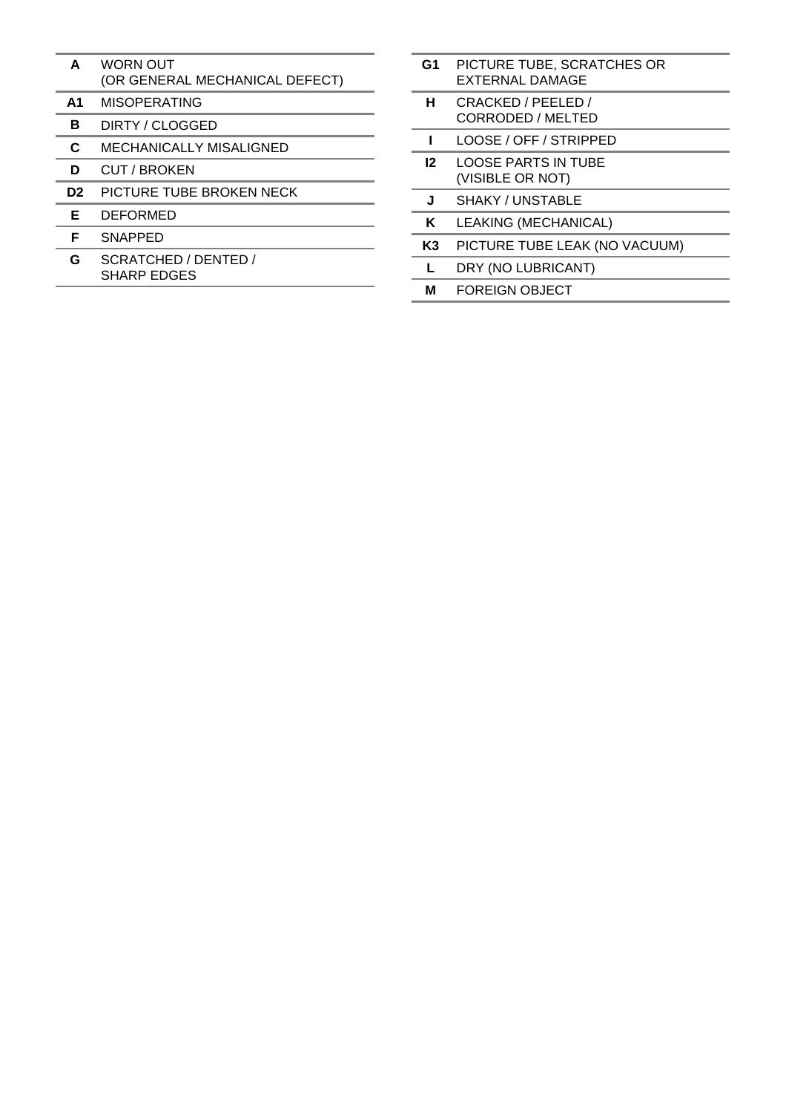- **A** WORN OUT (OR GENERAL MECHANICAL DEFECT)
- **A1** MISOPERATING
- **B** DIRTY / CLOGGED
- **C** MECHANICALLY MISALIGNED
- **D** CUT / BROKEN
- **D2** PICTURE TUBE BROKEN NECK
- **E** DEFORMED
- **F** SNAPPED
- **G** SCRATCHED / DENTED / SHARP EDGES
- **G1** PICTURE TUBE, SCRATCHES OR EXTERNAL DAMAGE
- **H** CRACKED / PEELED / CORRODED / MELTED
- **I** LOOSE / OFF / STRIPPED
- **I2** LOOSE PARTS IN TUBE (VISIBLE OR NOT)
- **J** SHAKY / UNSTABLE
- **K** LEAKING (MECHANICAL)
- **K3** PICTURE TUBE LEAK (NO VACUUM)
- **L** DRY (NO LUBRICANT)
- **M** FOREIGN OBJECT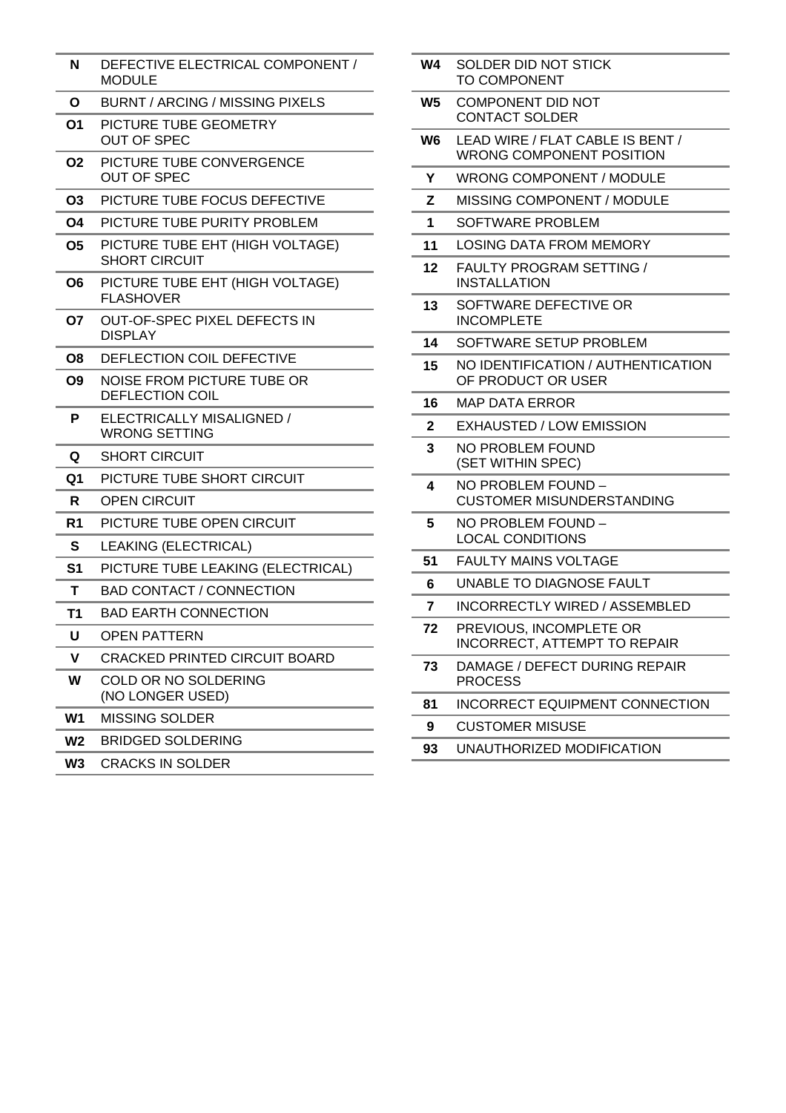| N              | DEFECTIVE ELECTRICAL COMPONENT /<br><b>MODULE</b>           |  |
|----------------|-------------------------------------------------------------|--|
| O              | <b>BURNT / ARCING / MISSING PIXELS</b>                      |  |
| O1             | PICTURE TUBE GEOMETRY<br><b>OUT OF SPEC</b>                 |  |
| O <sub>2</sub> | PICTURE TUBE CONVERGENCE<br><b>OUT OF SPEC</b>              |  |
| O3             | PICTURE TUBE FOCUS DEFECTIVE                                |  |
| O4             | PICTURE TUBE PURITY PROBLEM                                 |  |
| 05             | PICTURE TUBE EHT (HIGH VOLTAGE)<br><b>SHORT CIRCUIT</b>     |  |
| O <sub>6</sub> | PICTURE TUBE EHT (HIGH VOLTAGE)<br><b>FLASHOVER</b>         |  |
| 07             | OUT-OF-SPEC PIXEL DEFECTS IN<br><b>DISPLAY</b>              |  |
| O8             | DEFLECTION COIL DEFECTIVE                                   |  |
| O <sub>9</sub> | <b>NOISE FROM PICTURE TUBE OR</b><br><b>DEFLECTION COIL</b> |  |
| P              | ELECTRICALLY MISALIGNED /<br><b>WRONG SETTING</b>           |  |
| Q              | <b>SHORT CIRCUIT</b>                                        |  |
| Q1             | PICTURE TUBE SHORT CIRCUIT                                  |  |
| R              | <b>OPEN CIRCUIT</b>                                         |  |
| R <sub>1</sub> | PICTURE TUBE OPEN CIRCUIT                                   |  |
| S              | LEAKING (ELECTRICAL)                                        |  |
| S <sub>1</sub> | PICTURE TUBE LEAKING (ELECTRICAL)                           |  |
| т              | <b>BAD CONTACT / CONNECTION</b>                             |  |
| T1             | <b>BAD EARTH CONNECTION</b>                                 |  |
| U              | <b>OPEN PATTERN</b>                                         |  |
| v              | <b>CRACKED PRINTED CIRCUIT BOARD</b>                        |  |
| W              | COLD OR NO SOLDERING<br>(NO LONGER USED)                    |  |
| W <sub>1</sub> | <b>MISSING SOLDER</b>                                       |  |
| W <sub>2</sub> | <b>BRIDGED SOLDERING</b>                                    |  |
| W <sub>3</sub> | <b>CRACKS IN SOLDER</b>                                     |  |

| W4             | SOLDER DID NOT STICK<br><b>TO COMPONENT</b>                         |
|----------------|---------------------------------------------------------------------|
| W5             | <b>COMPONENT DID NOT</b><br><b>CONTACT SOLDER</b>                   |
| W6             | LEAD WIRE / FLAT CABLE IS BENT /<br><b>WRONG COMPONENT POSITION</b> |
| Υ              | <b>WRONG COMPONENT / MODULE</b>                                     |
| Z              | MISSING COMPONENT / MODULE                                          |
| 1              | SOFTWARE PROBLEM                                                    |
| 11             | LOSING DATA FROM MEMORY                                             |
| 12             | <b>FAULTY PROGRAM SETTING /</b><br><b>INSTALLATION</b>              |
| 13             | SOFTWARE DEFECTIVE OR<br><b>INCOMPLETE</b>                          |
| 14             | SOFTWARE SETUP PROBLEM                                              |
| 15             | NO IDENTIFICATION / AUTHENTICATION<br>OF PRODUCT OR USER            |
| 16             | <b>MAP DATA ERROR</b>                                               |
| $\overline{2}$ | <b>EXHAUSTED / LOW EMISSION</b>                                     |
| 3              | NO PROBLEM FOUND<br>(SET WITHIN SPEC)                               |
| 4              | NO PROBLEM FOUND -<br><b>CUSTOMER MISUNDERSTANDING</b>              |
| 5              | NO PROBLEM FOUND -<br><b>LOCAL CONDITIONS</b>                       |
| 51             | <b>FAULTY MAINS VOLTAGE</b>                                         |
| 6              | UNABLE TO DIAGNOSE FAULT                                            |
| $\overline{7}$ | <b>INCORRECTLY WIRED / ASSEMBLED</b>                                |
| 72             | PREVIOUS, INCOMPLETE OR<br>INCORRECT, ATTEMPT TO REPAIR             |
| 73             | DAMAGE / DEFECT DURING REPAIR<br><b>PROCESS</b>                     |
| 81             | <b>INCORRECT EQUIPMENT CONNECTION</b>                               |
| 9              | <b>CUSTOMER MISUSE</b>                                              |
| 93             | UNAUTHORIZED MODIFICATION                                           |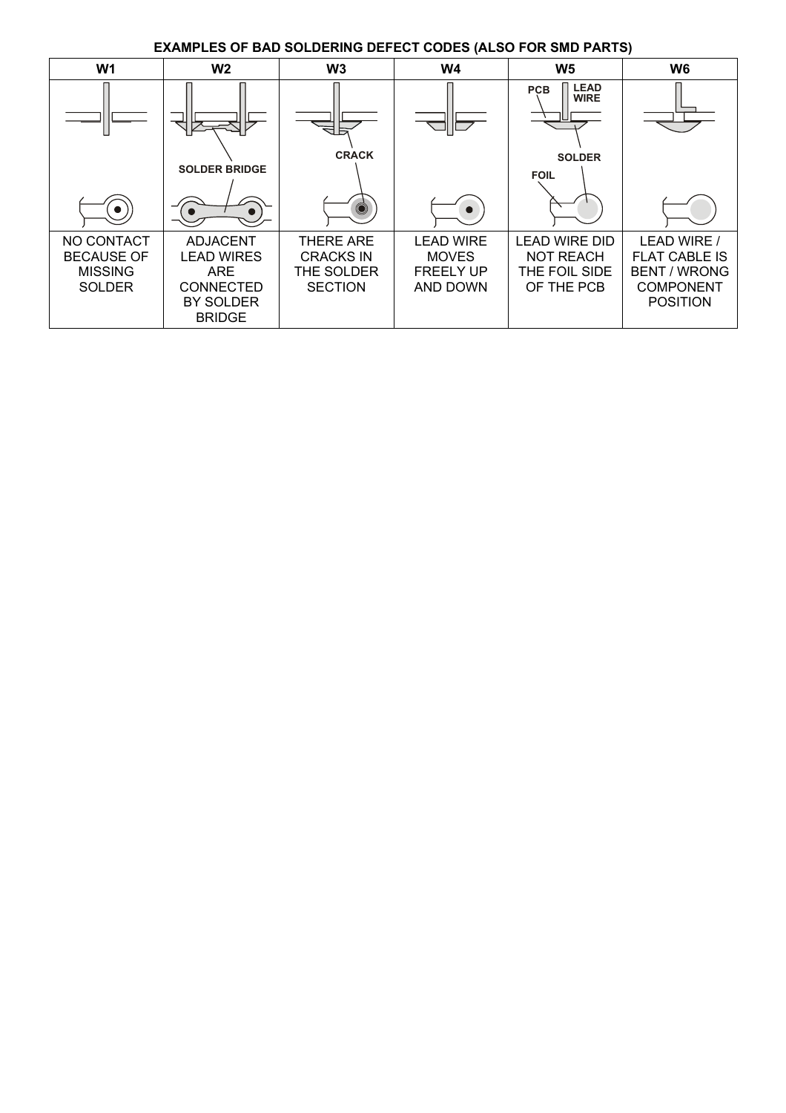**EXAMPLES OF BAD SOLDERING DEFECT CODES (ALSO FOR SMD PARTS)** 

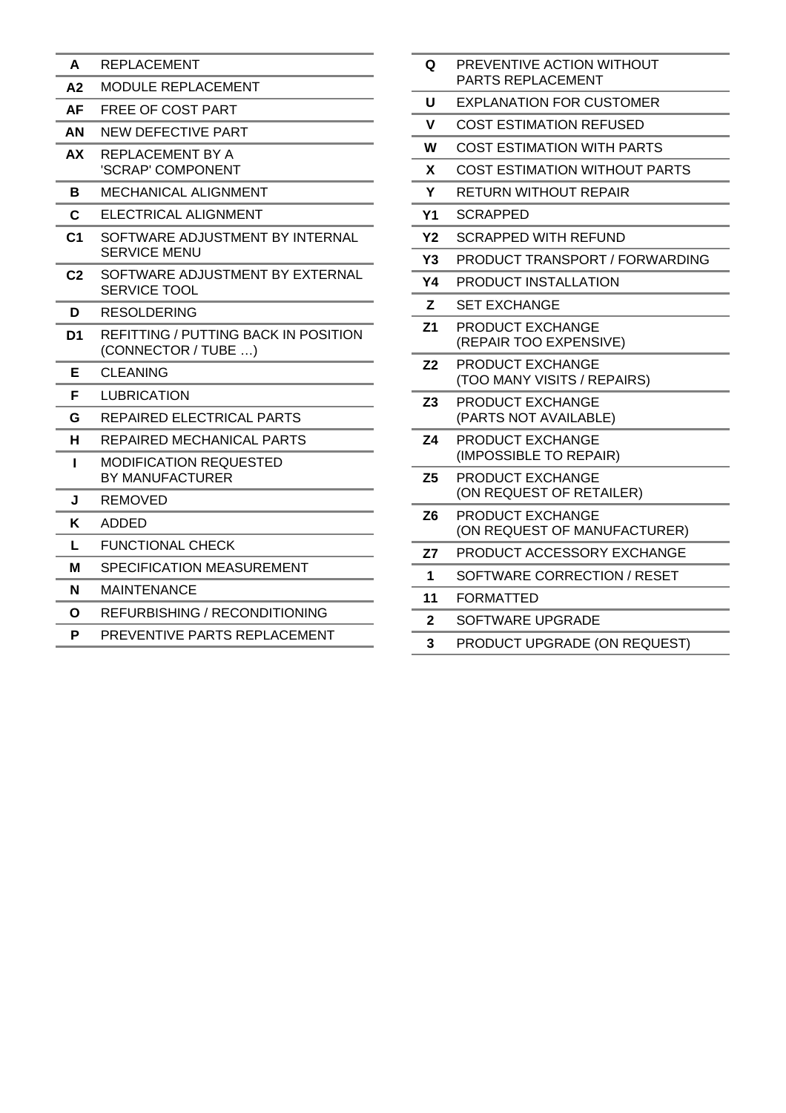- **A** REPLACEMENT
- **A2** MODULE REPLACEMENT
- **AF** FREE OF COST PART
- **AN** NEW DEFECTIVE PART
- **AX** REPLACEMENT BY A 'SCRAP' COMPONENT
- **B** MECHANICAL ALIGNMENT
- **C** ELECTRICAL ALIGNMENT
- **C1** SOFTWARE ADJUSTMENT BY INTERNAL SERVICE MENU
- **C2** SOFTWARE ADJUSTMENT BY EXTERNAL SERVICE TOOL
- **D** RESOLDERING
- **D1** REFITTING / PUTTING BACK IN POSITION (CONNECTOR / TUBE …)
- **E** CLEANING
- **F** LUBRICATION
- **G** REPAIRED ELECTRICAL PARTS
- **H** REPAIRED MECHANICAL PARTS
- **I** MODIFICATION REQUESTED BY MANUFACTURER
- **J** REMOVED
- **K** ADDED
- **L** FUNCTIONAL CHECK
- **M** SPECIFICATION MEASUREMENT
- **N** MAINTENANCE
- **O** REFURBISHING / RECONDITIONING
- **P** PREVENTIVE PARTS REPLACEMENT

| Q              | PREVENTIVE ACTION WITHOUT<br>PARTS REPLACEMENT   |
|----------------|--------------------------------------------------|
| U              | <b>EXPLANATION FOR CUSTOMER</b>                  |
| V              | <b>COST ESTIMATION REFUSED</b>                   |
| W              | <b>COST ESTIMATION WITH PARTS</b>                |
| X              | <b>COST ESTIMATION WITHOUT PARTS</b>             |
| Y              | RETURN WITHOUT REPAIR                            |
| Υ1             | SCRAPPED                                         |
| <b>Y2</b>      | <b>SCRAPPED WITH REFUND</b>                      |
| Y3             | <b>PRODUCT TRANSPORT / FORWARDING</b>            |
| Y4             | PRODUCT INSTALLATION                             |
| z              | <b>SET EXCHANGE</b>                              |
| Z <sub>1</sub> | PRODUCT EXCHANGE<br>(REPAIR TOO EXPENSIVE)       |
| Z <sub>2</sub> | PRODUCT EXCHANGE<br>(TOO MANY VISITS / REPAIRS)  |
| Z <sub>3</sub> | PRODUCT EXCHANGE<br>(PARTS NOT AVAILABLE)        |
| Z <sub>4</sub> | PRODUCT EXCHANGE<br>(IMPOSSIBLE TO REPAIR)       |
| Z <sub>5</sub> | PRODUCT EXCHANGE<br>(ON REQUEST OF RETAILER)     |
| Z <sub>6</sub> | PRODUCT EXCHANGE<br>(ON REQUEST OF MANUFACTURER) |
| Z7             | PRODUCT ACCESSORY EXCHANGE                       |
| 1              | SOFTWARE CORRECTION / RESET                      |
| 11             | <b>FORMATTED</b>                                 |
| 2              | SOFTWARE UPGRADE                                 |
| 3              | PRODUCT UPGRADE (ON REQUEST)                     |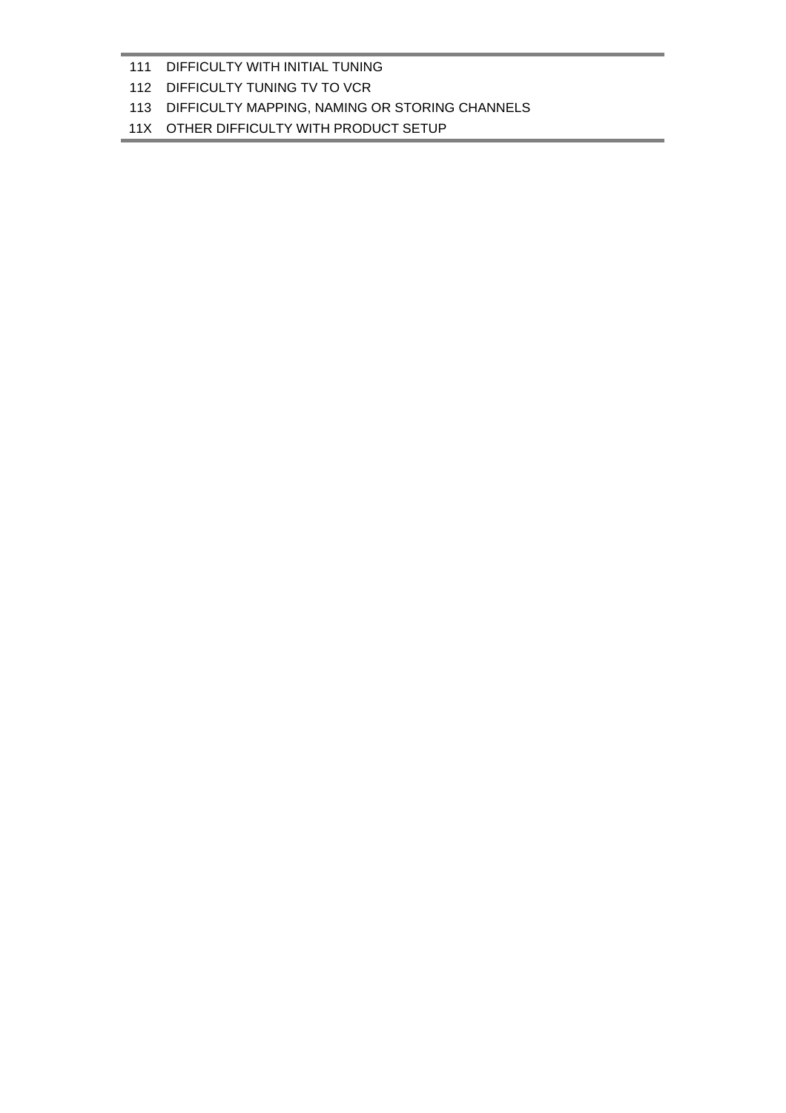#### 11X OTHER DIFFICULTY WITH PRODUCT SETUP

#### 113 DIFFICULTY MAPPING, NAMING OR STORING CHANNELS

### 112 DIFFICULTY TUNING TV TO VCR

## 111 DIFFICULTY WITH INITIAL TUNING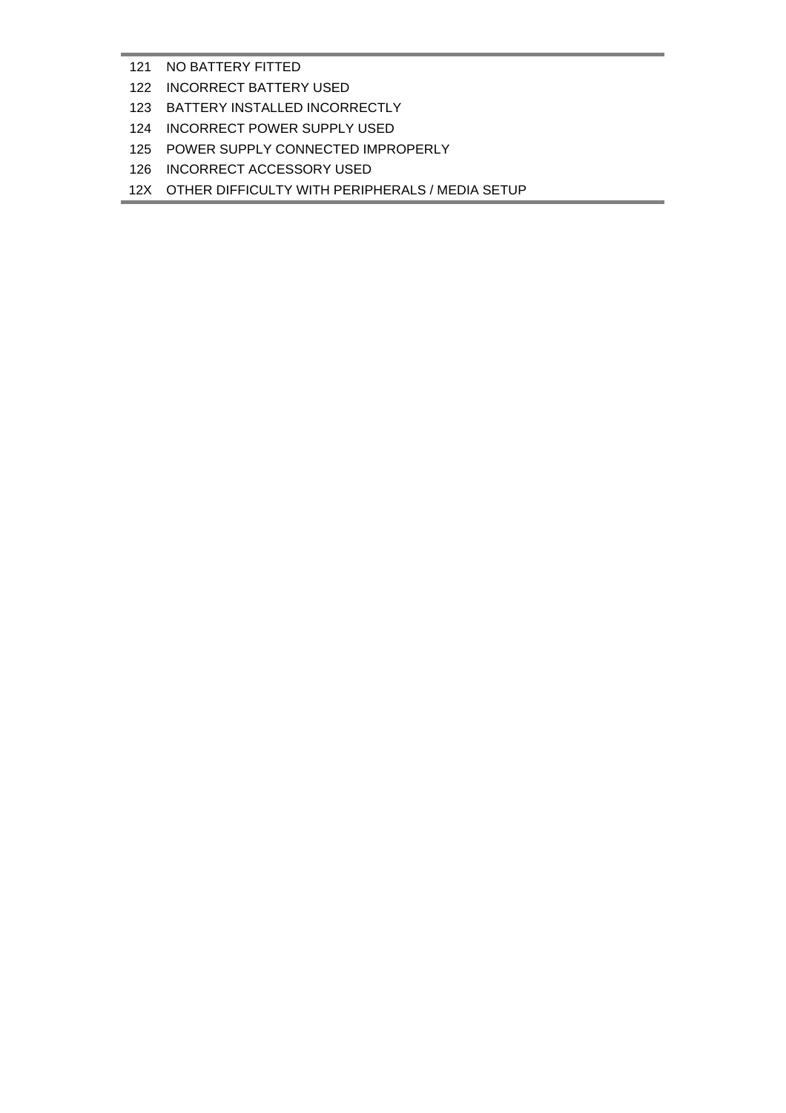- NO BATTERY FITTED
- INCORRECT BATTERY USED
- BATTERY INSTALLED INCORRECTLY
- INCORRECT POWER SUPPLY USED
- POWER SUPPLY CONNECTED IMPROPERLY
- INCORRECT ACCESSORY USED
- 12X OTHER DIFFICULTY WITH PERIPHERALS / MEDIA SETUP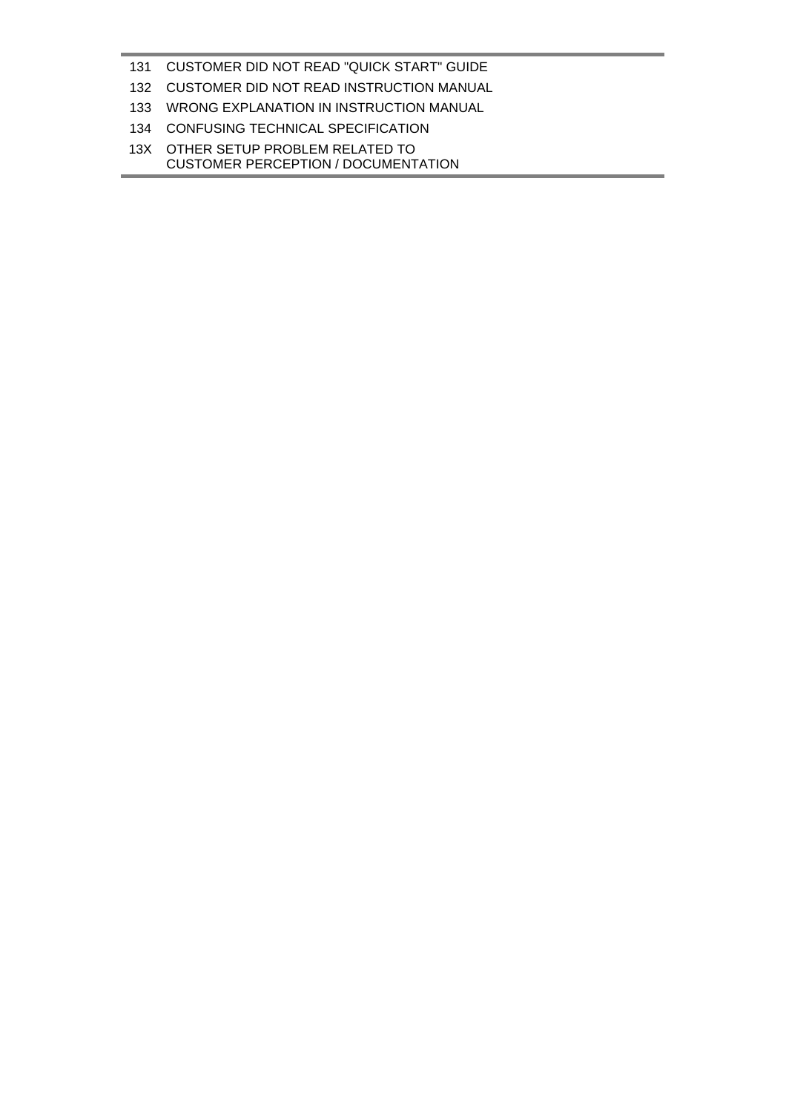## CUSTOMER DID NOT READ "QUICK START" GUIDE

- CUSTOMER DID NOT READ INSTRUCTION MANUAL
- WRONG EXPLANATION IN INSTRUCTION MANUAL
- CONFUSING TECHNICAL SPECIFICATION
- 13X OTHER SETUP PROBLEM RELATED TO CUSTOMER PERCEPTION / DOCUMENTATION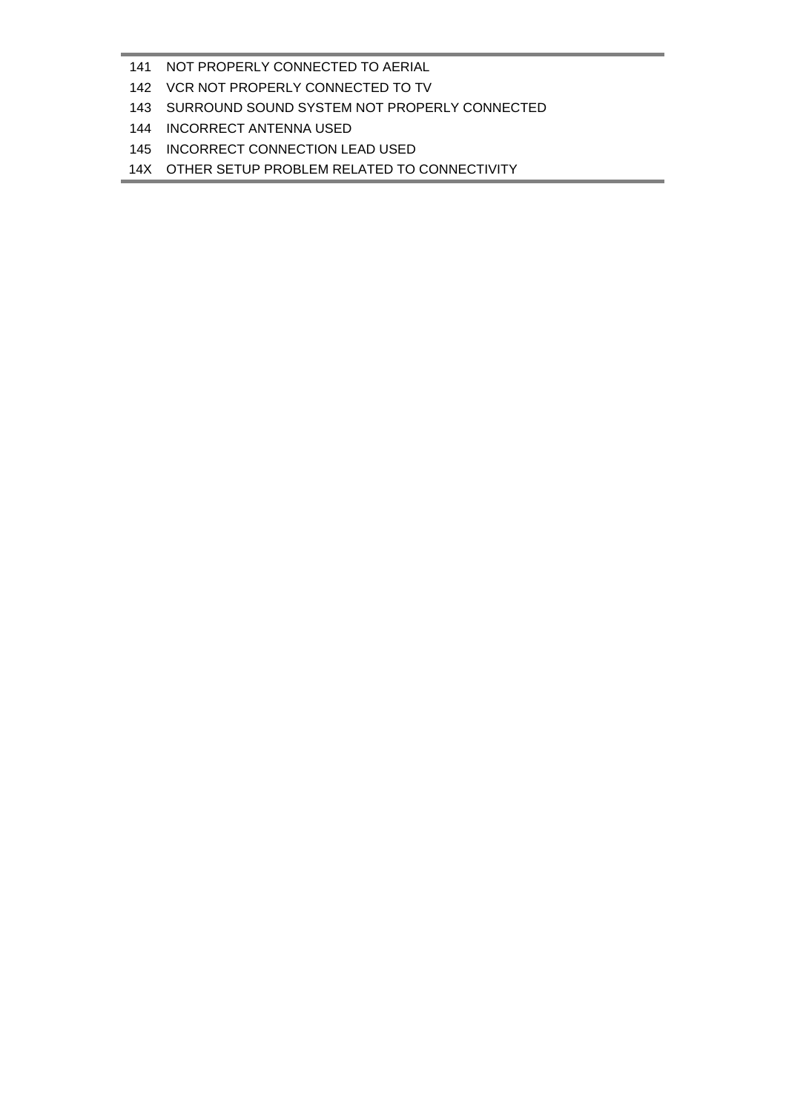- NOT PROPERLY CONNECTED TO AERIAL
- VCR NOT PROPERLY CONNECTED TO TV
- SURROUND SOUND SYSTEM NOT PROPERLY CONNECTED
- INCORRECT ANTENNA USED
- INCORRECT CONNECTION LEAD USED
- 14X OTHER SETUP PROBLEM RELATED TO CONNECTIVITY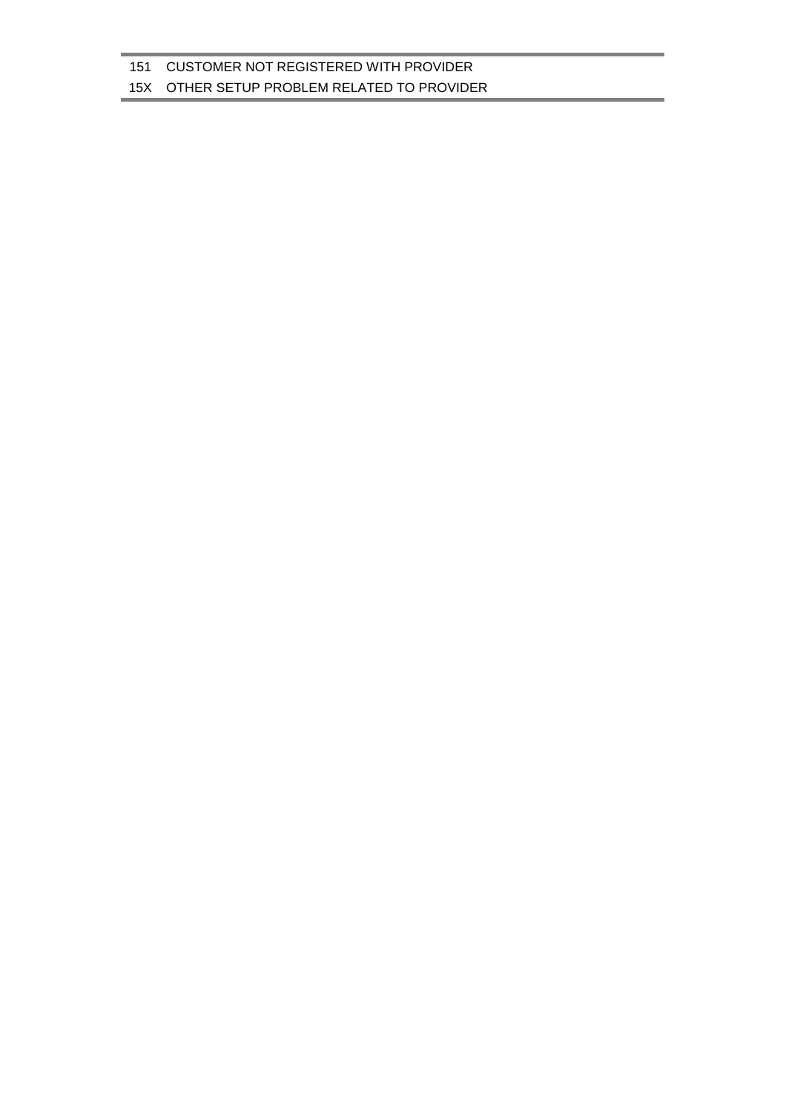#### 15X OTHER SETUP PROBLEM RELATED TO PROVIDER

151 CUSTOMER NOT REGISTERED WITH PROVIDER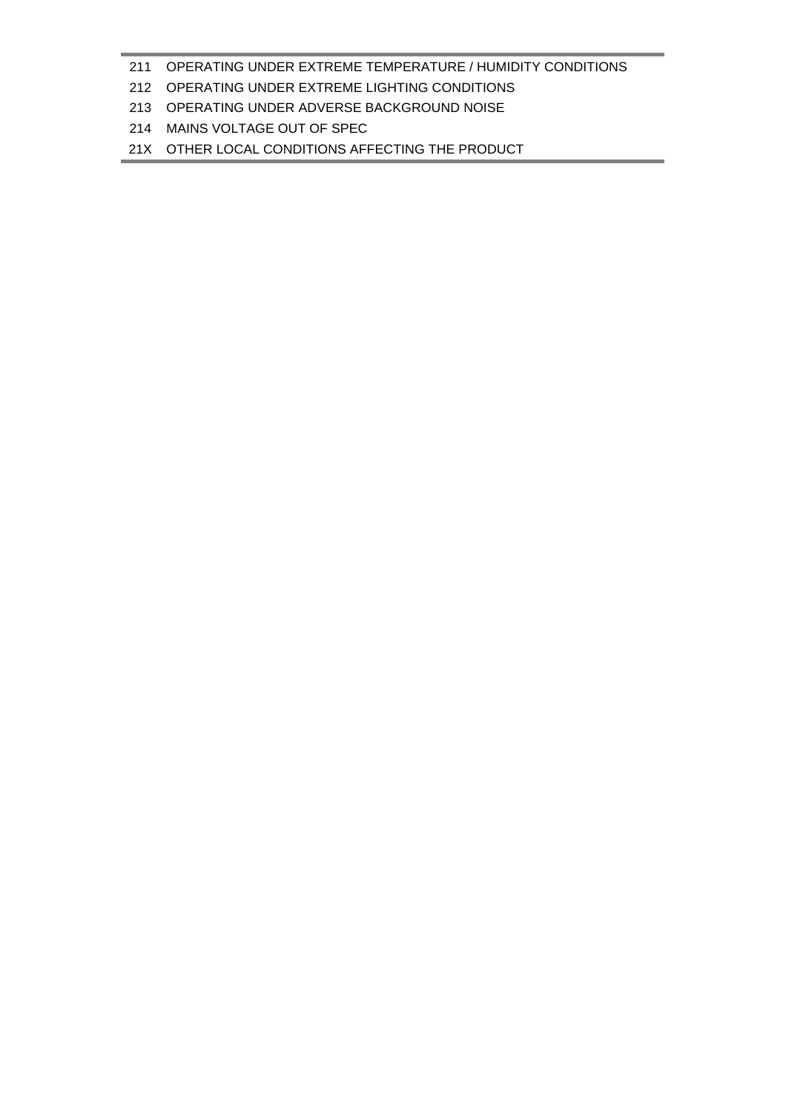### OPERATING UNDER EXTREME TEMPERATURE / HUMIDITY CONDITIONS

## OPERATING UNDER EXTREME LIGHTING CONDITIONS

- OPERATING UNDER ADVERSE BACKGROUND NOISE
- MAINS VOLTAGE OUT OF SPEC

21X OTHER LOCAL CONDITIONS AFFECTING THE PRODUCT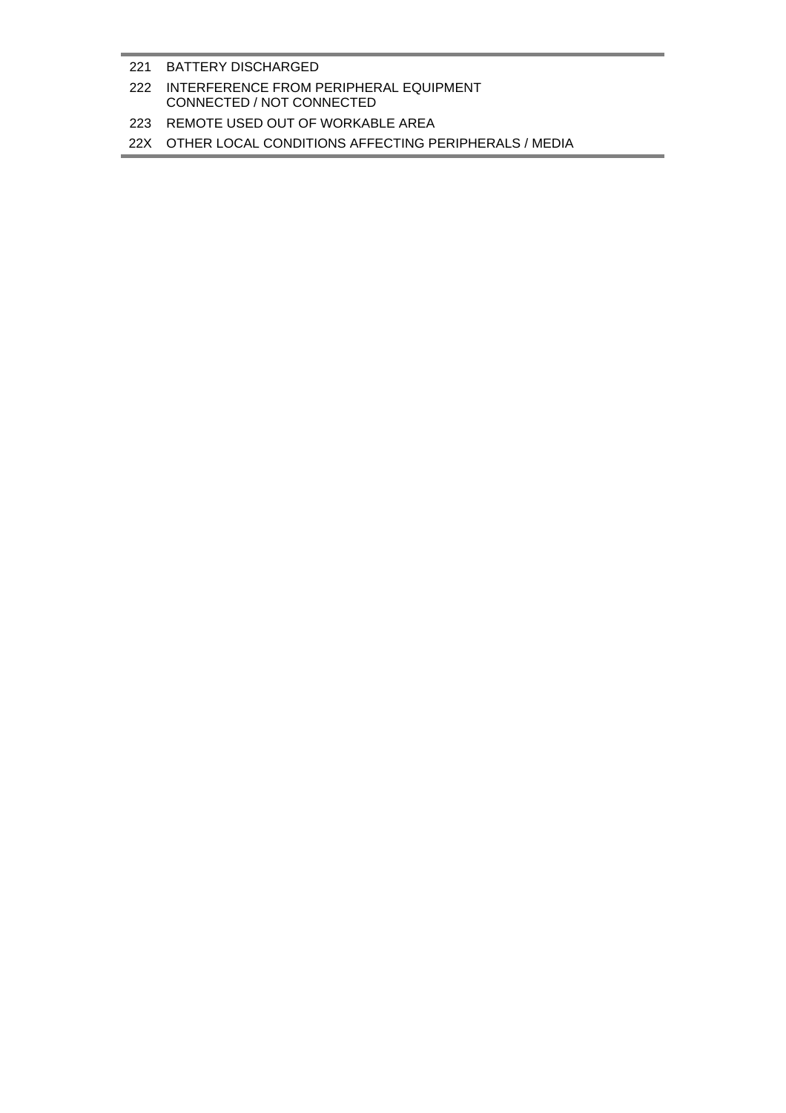#### 221 BATTERY DISCHARGED

## 222 INTERFERENCE FROM PERIPHERAL EQUIPMENT CONNECTED / NOT CONNECTED

### 223 REMOTE USED OUT OF WORKABLE AREA

#### 22X OTHER LOCAL CONDITIONS AFFECTING PERIPHERALS / MEDIA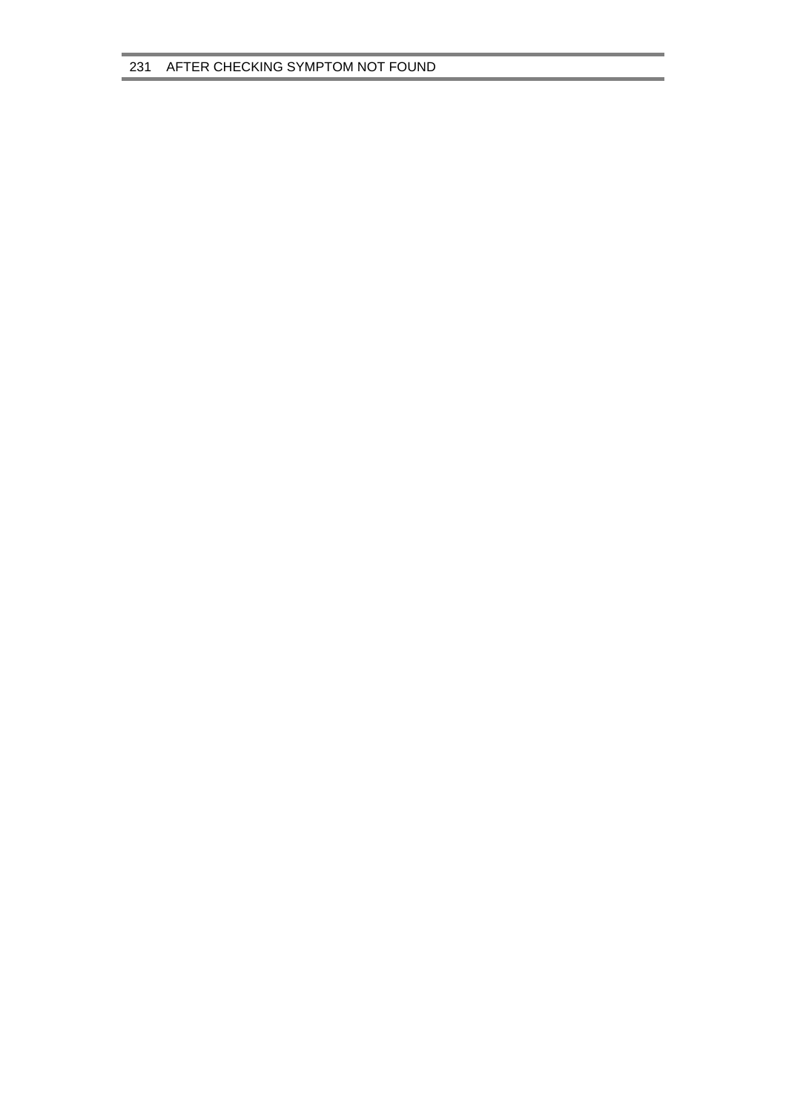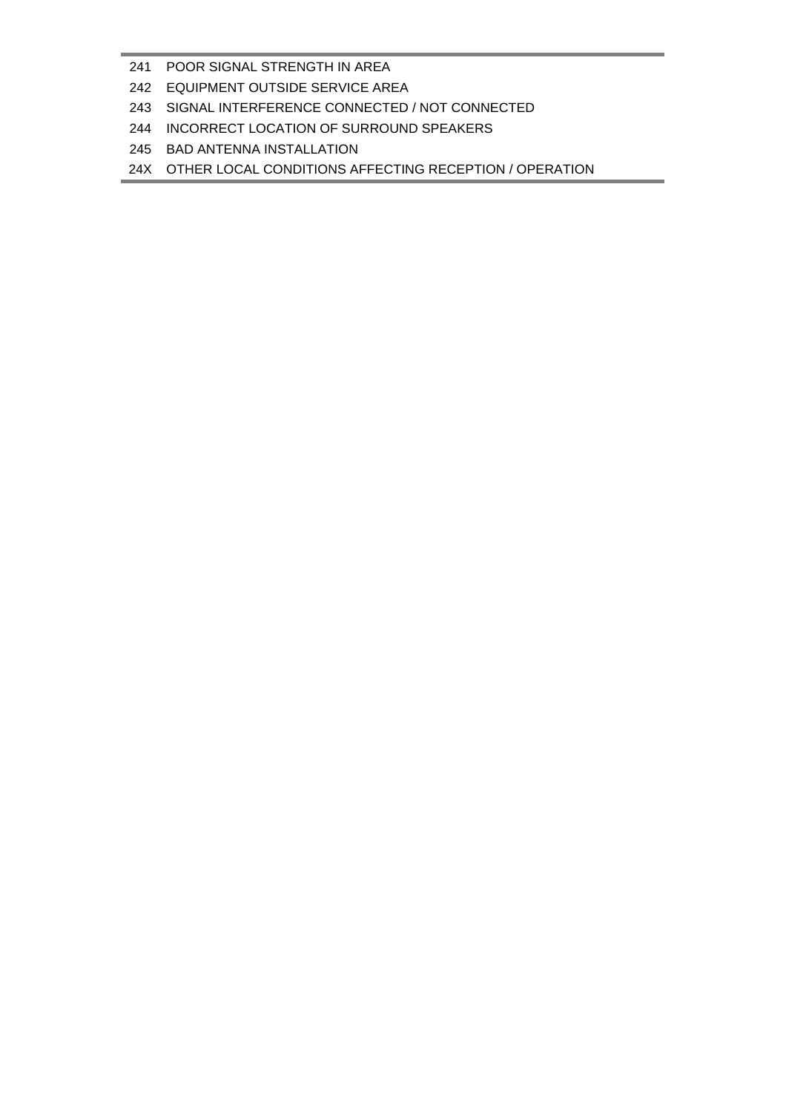### POOR SIGNAL STRENGTH IN AREA

- EQUIPMENT OUTSIDE SERVICE AREA
- SIGNAL INTERFERENCE CONNECTED / NOT CONNECTED
- INCORRECT LOCATION OF SURROUND SPEAKERS
- BAD ANTENNA INSTALLATION

24X OTHER LOCAL CONDITIONS AFFECTING RECEPTION / OPERATION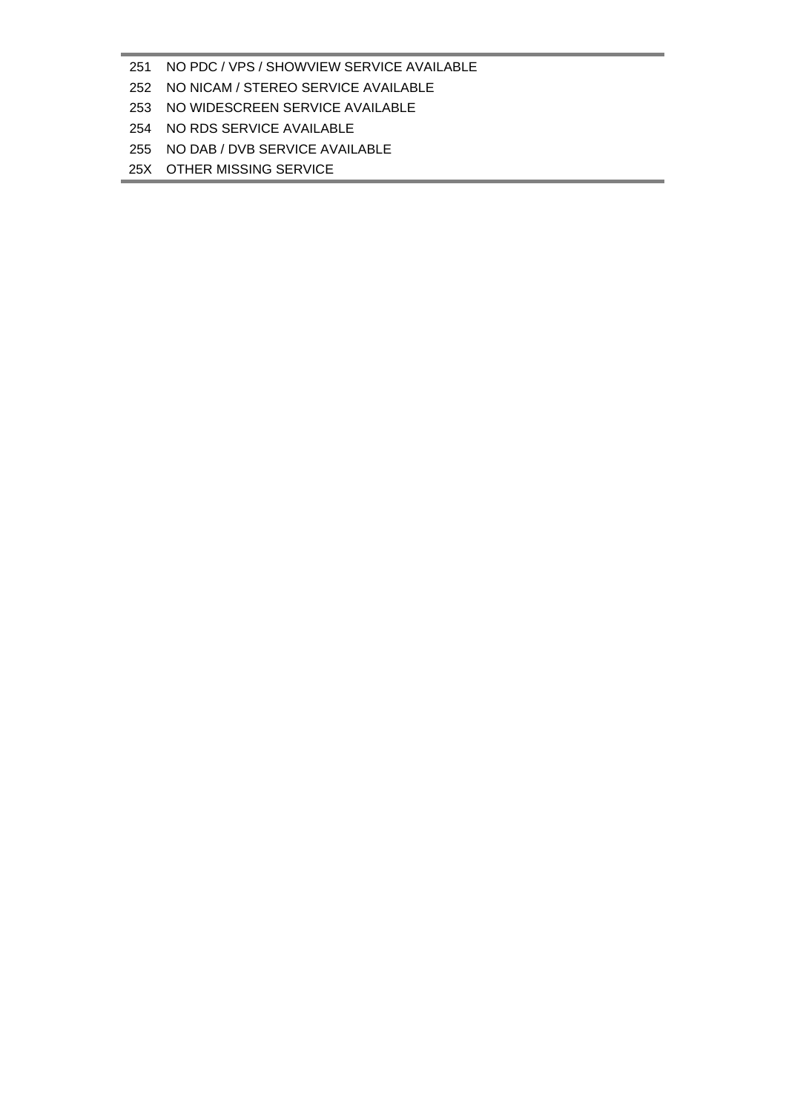## NO PDC / VPS / SHOWVIEW SERVICE AVAILABLE

- NO NICAM / STEREO SERVICE AVAILABLE
- NO WIDESCREEN SERVICE AVAILABLE
- NO RDS SERVICE AVAILABLE
- NO DAB / DVB SERVICE AVAILABLE
- 25X OTHER MISSING SERVICE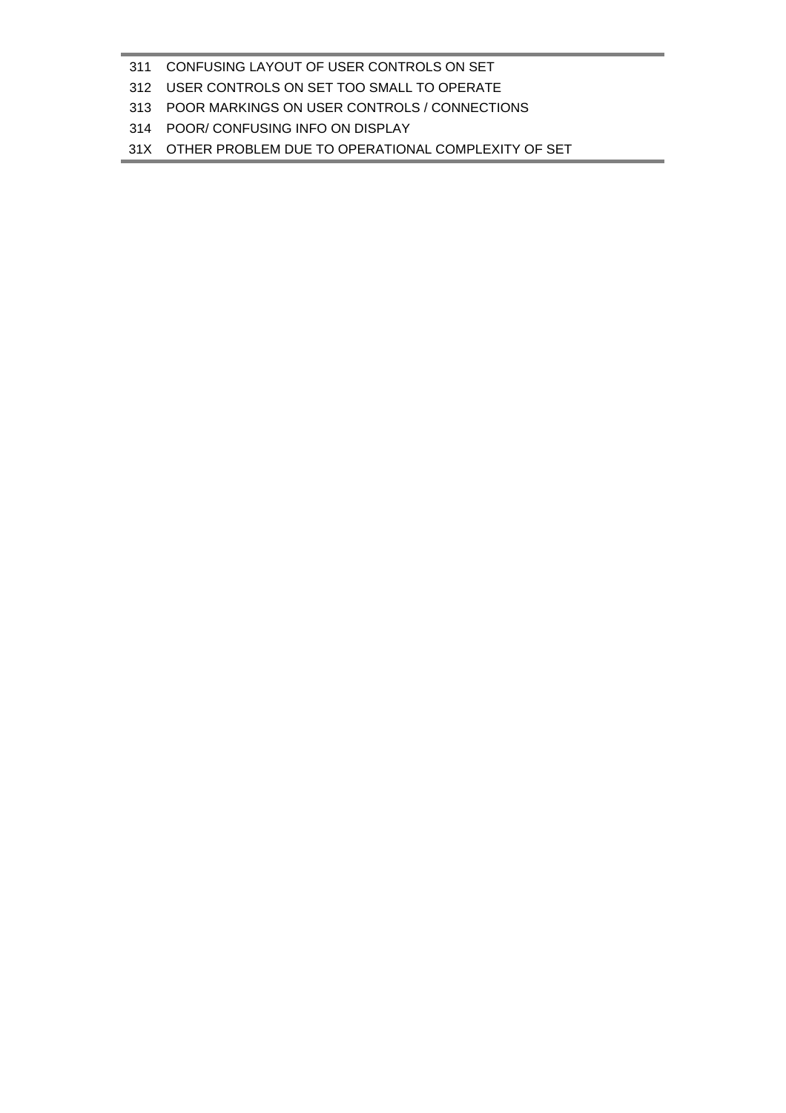### CONFUSING LAYOUT OF USER CONTROLS ON SET

- USER CONTROLS ON SET TOO SMALL TO OPERATE
- POOR MARKINGS ON USER CONTROLS / CONNECTIONS
- POOR/ CONFUSING INFO ON DISPLAY

31X OTHER PROBLEM DUE TO OPERATIONAL COMPLEXITY OF SET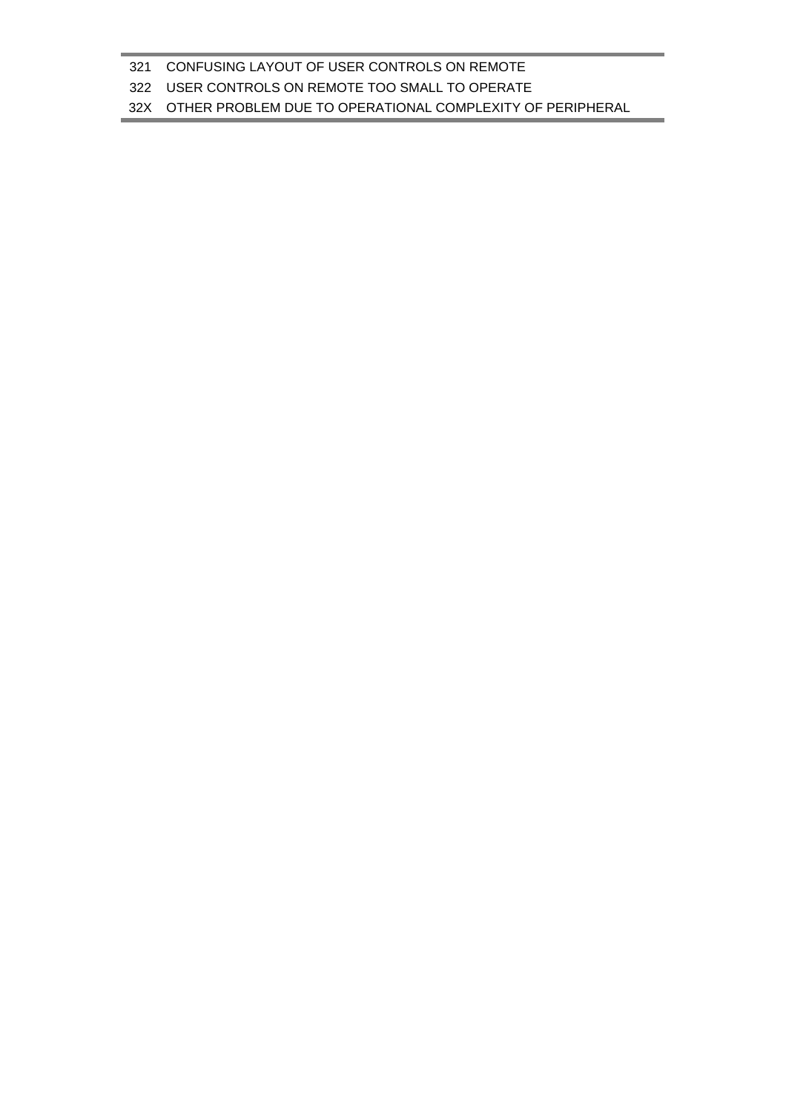## 32X OTHER PROBLEM DUE TO OPERATIONAL COMPLEXITY OF PERIPHERAL

### USER CONTROLS ON REMOTE TOO SMALL TO OPERATE

## CONFUSING LAYOUT OF USER CONTROLS ON REMOTE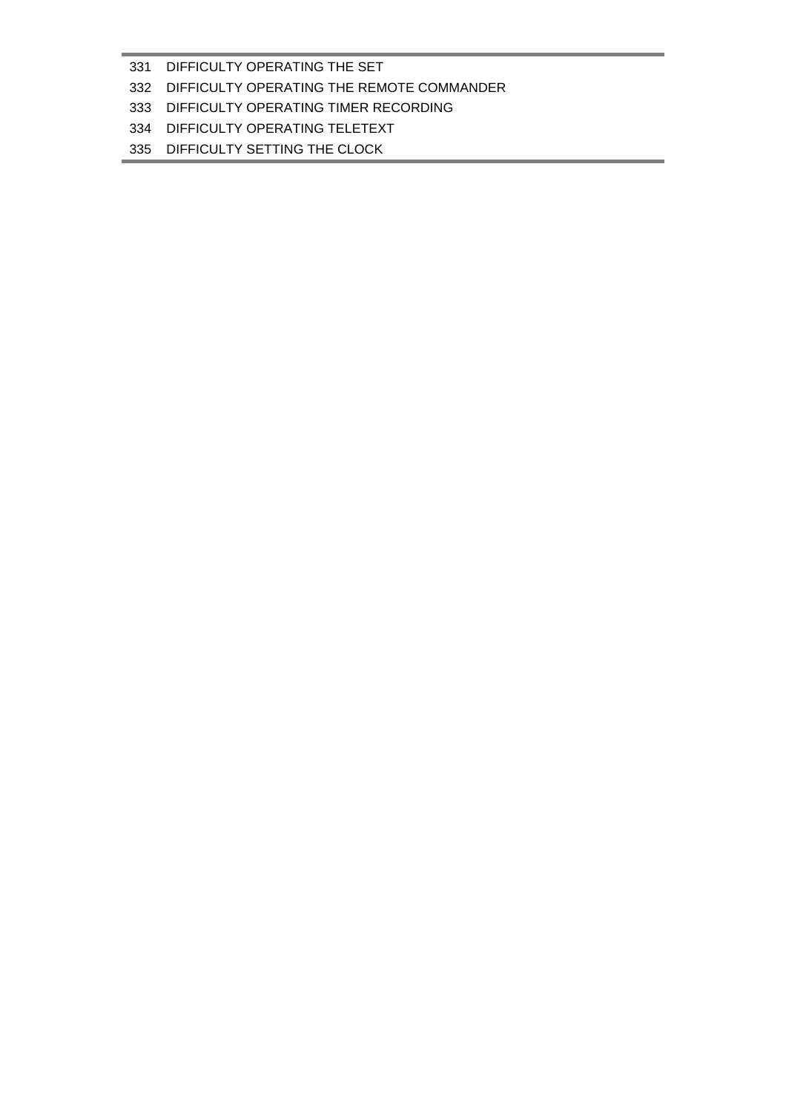### 331 DIFFICULTY OPERATING THE SET

### 332 DIFFICULTY OPERATING THE REMOTE COMMANDER

## 333 DIFFICULTY OPERATING TIMER RECORDING

## 334 DIFFICULTY OPERATING TELETEXT

335 DIFFICULTY SETTING THE CLOCK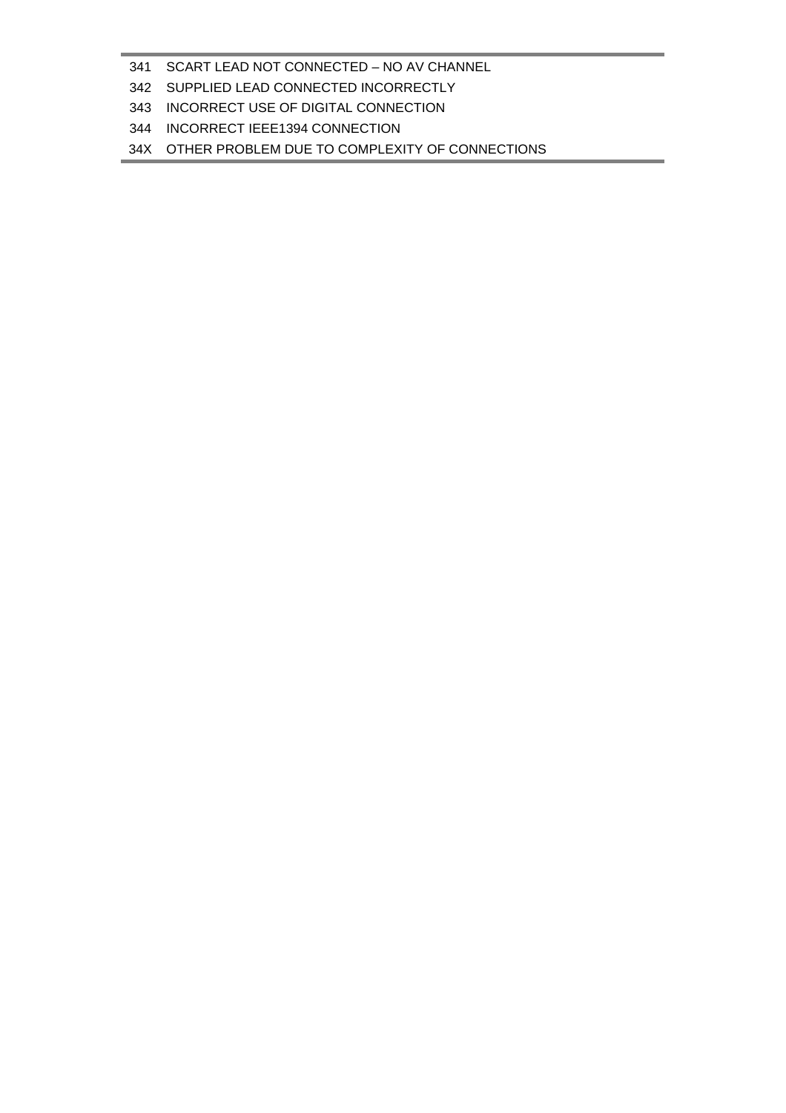### SCART LEAD NOT CONNECTED – NO AV CHANNEL

- SUPPLIED LEAD CONNECTED INCORRECTLY
- INCORRECT USE OF DIGITAL CONNECTION
- INCORRECT IEEE1394 CONNECTION
- 34X OTHER PROBLEM DUE TO COMPLEXITY OF CONNECTIONS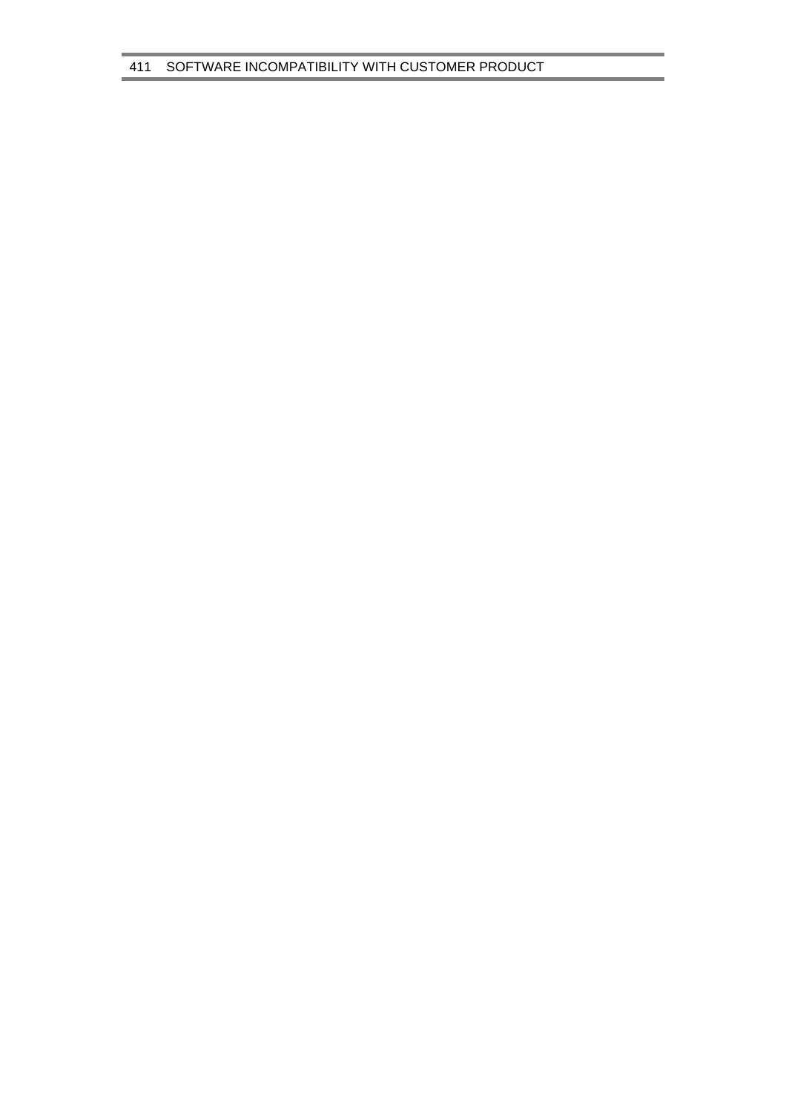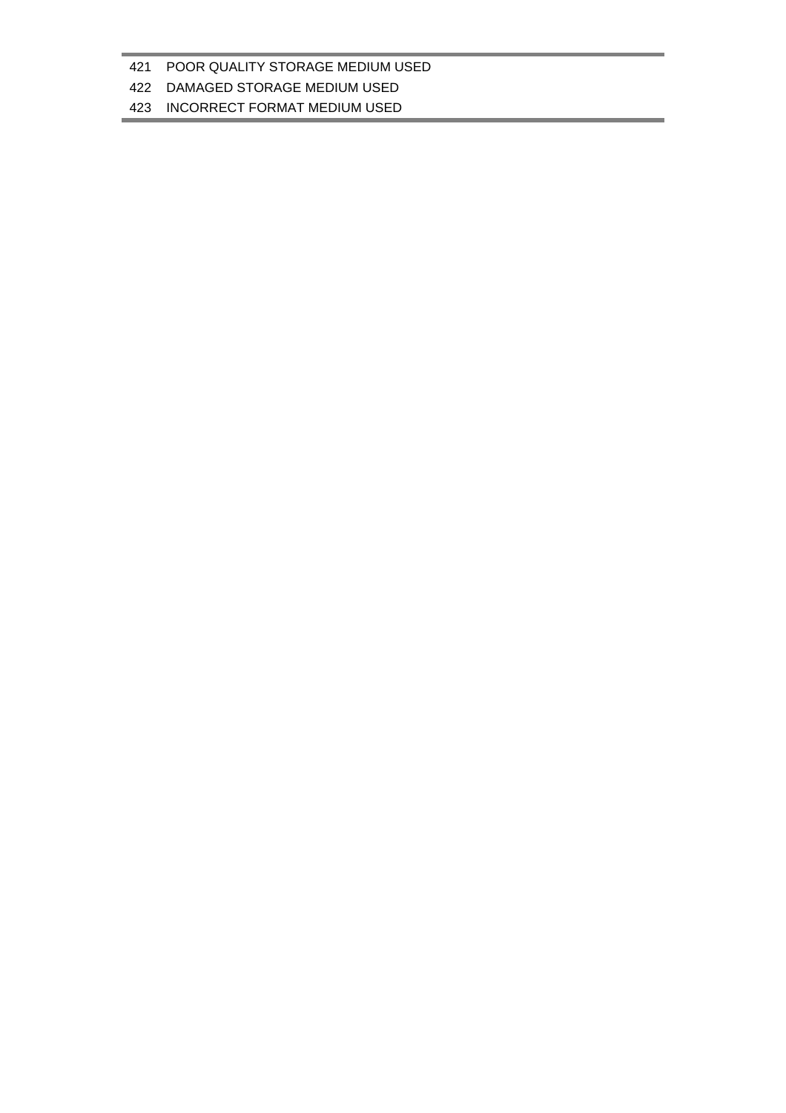### POOR QUALITY STORAGE MEDIUM USED

### DAMAGED STORAGE MEDIUM USED

#### INCORRECT FORMAT MEDIUM USED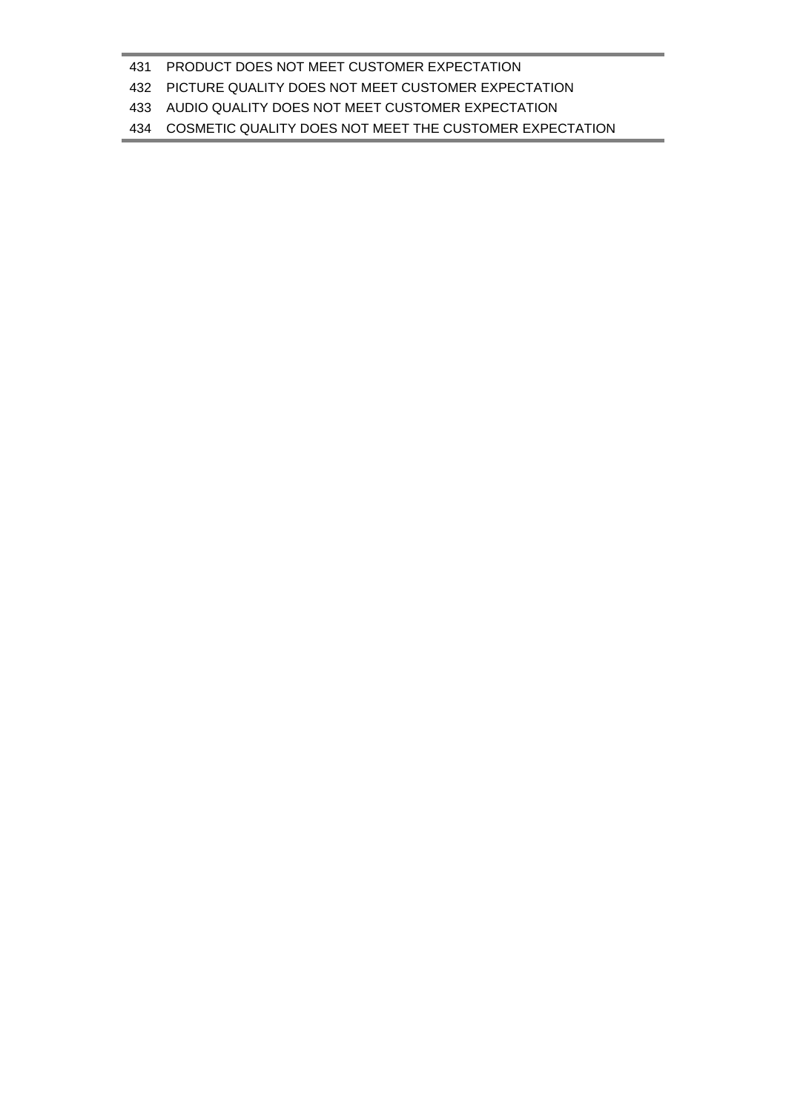#### PRODUCT DOES NOT MEET CUSTOMER EXPECTATION

#### PICTURE QUALITY DOES NOT MEET CUSTOMER EXPECTATION

#### AUDIO QUALITY DOES NOT MEET CUSTOMER EXPECTATION

#### COSMETIC QUALITY DOES NOT MEET THE CUSTOMER EXPECTATION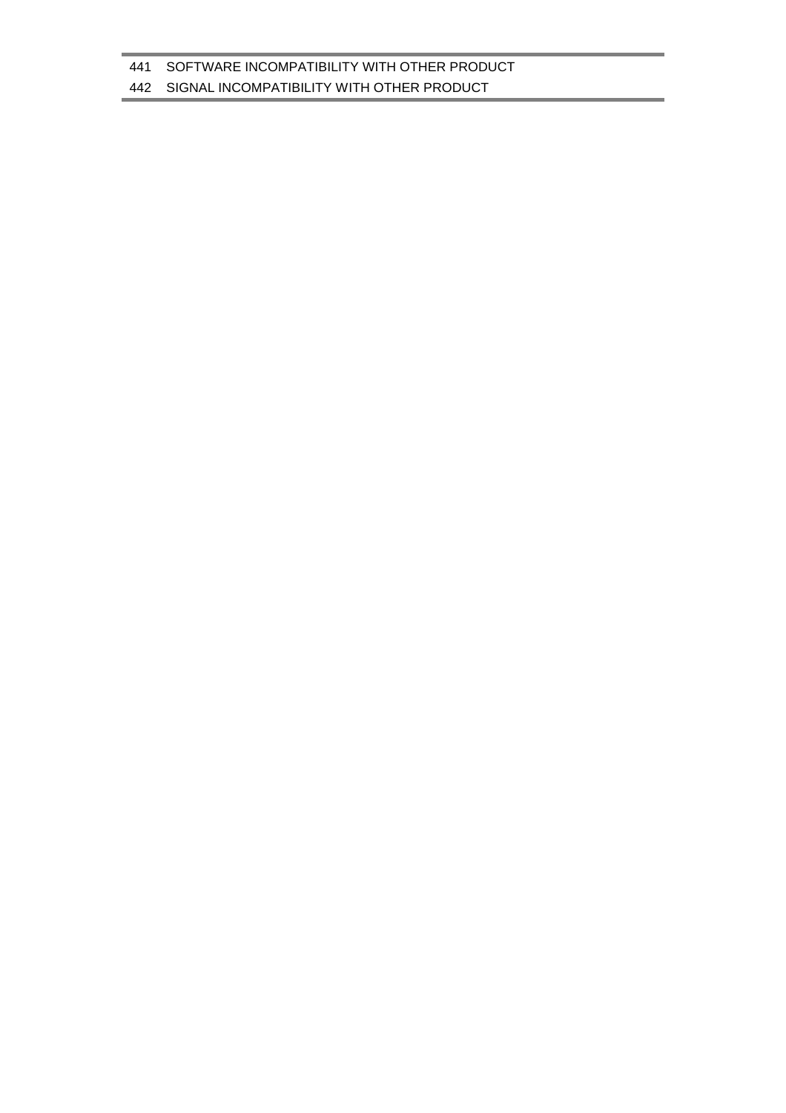## SIGNAL INCOMPATIBILITY WITH OTHER PRODUCT

#### SOFTWARE INCOMPATIBILITY WITH OTHER PRODUCT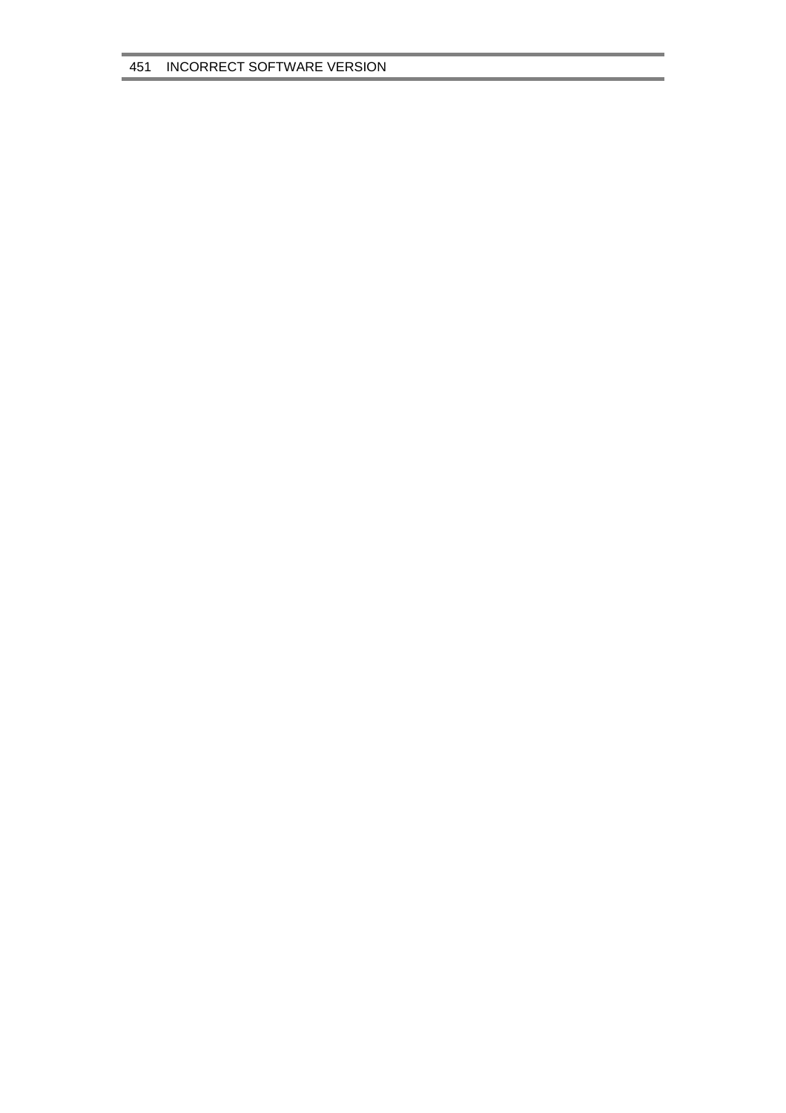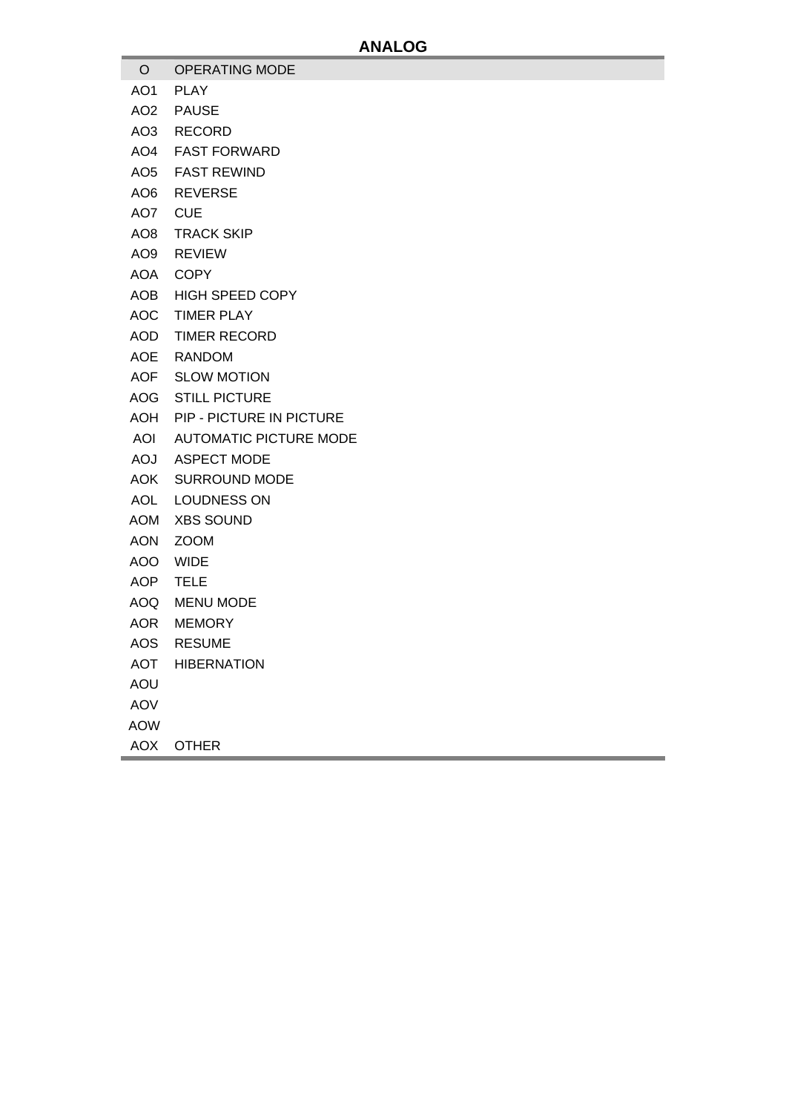- O OPERATING MODE
- AO1 PLAY
- AO2 PAUSE
- AO3 RECORD
- AO4 FAST FORWARD
- AO5 FAST REWIND
- AO6 REVERSE
- AO7 CUE
- AO8 TRACK SKIP
- AO9 REVIEW
- AOA COPY
- AOB HIGH SPEED COPY
- AOC TIMER PLAY
- AOD TIMER RECORD
- AOE RANDOM
- AOF SLOW MOTION
- AOG STILL PICTURE
- AOH PIP PICTURE IN PICTURE
- AOI AUTOMATIC PICTURE MODE
- AOJ ASPECT MODE
- AOK SURROUND MODE
- AOL LOUDNESS ON
- AOM XBS SOUND
- AON ZOOM
- AOO WIDE
- AOP TELE
- AOQ MENU MODE
- AOR MEMORY
- AOS RESUME
- AOT HIBERNATION
- AOU
- AOV
- AOW
- AOX OTHER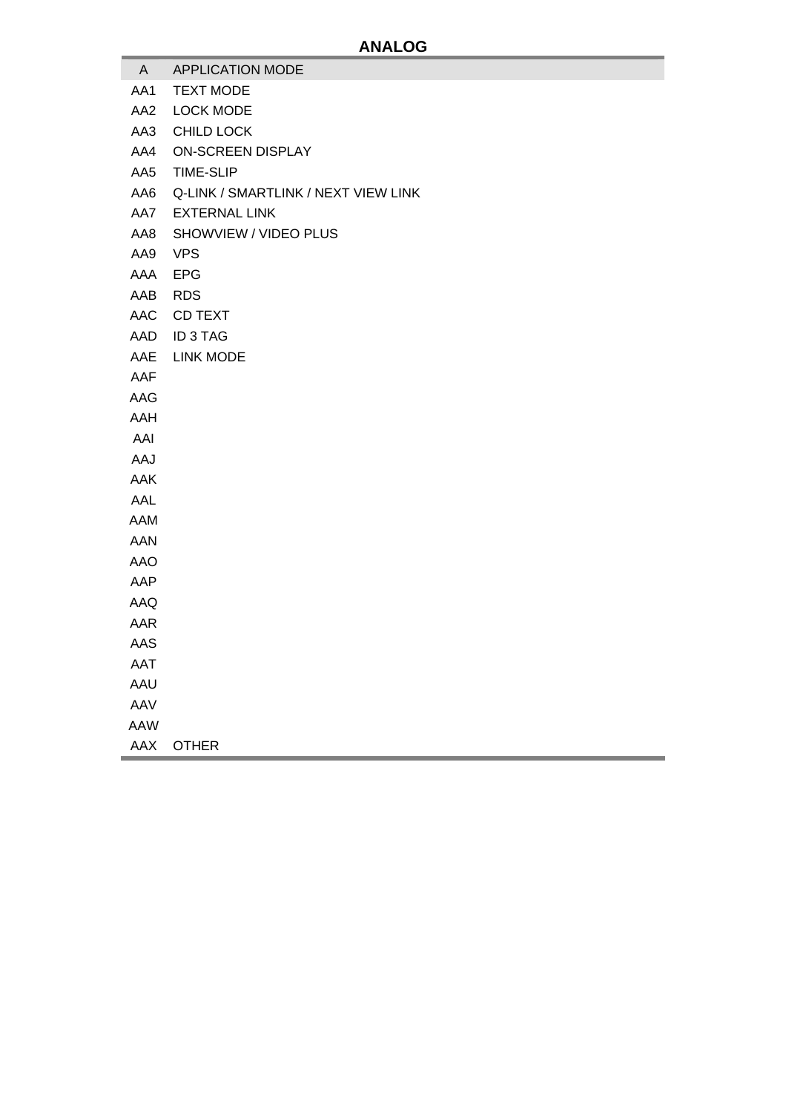- A APPLICATION MODE
- AA1 TEXT MODE
- AA2 LOCK MODE
- AA3 CHILD LOCK
- AA4 ON-SCREEN DISPLAY
- AA5 TIME-SLIP
- AA6 Q-LINK / SMARTLINK / NEXT VIEW LINK
- AA7 EXTERNAL LINK
- AA8 SHOWVIEW / VIDEO PLUS
- AA9 VPS
- AAA EPG
- AAB RDS
- AAC CD TEXT
- AAD ID 3 TAG
- AAE LINK MODE
- AAF
- AAG
- AAH
- AAI
- AAJ
- AAK
- AAL
- AAM
- AAN
- AAO
- 
- AAP
- AAQ
- AAR
- AAS
- AAT
- AAU
- AAV
- AAW
- AAX OTHER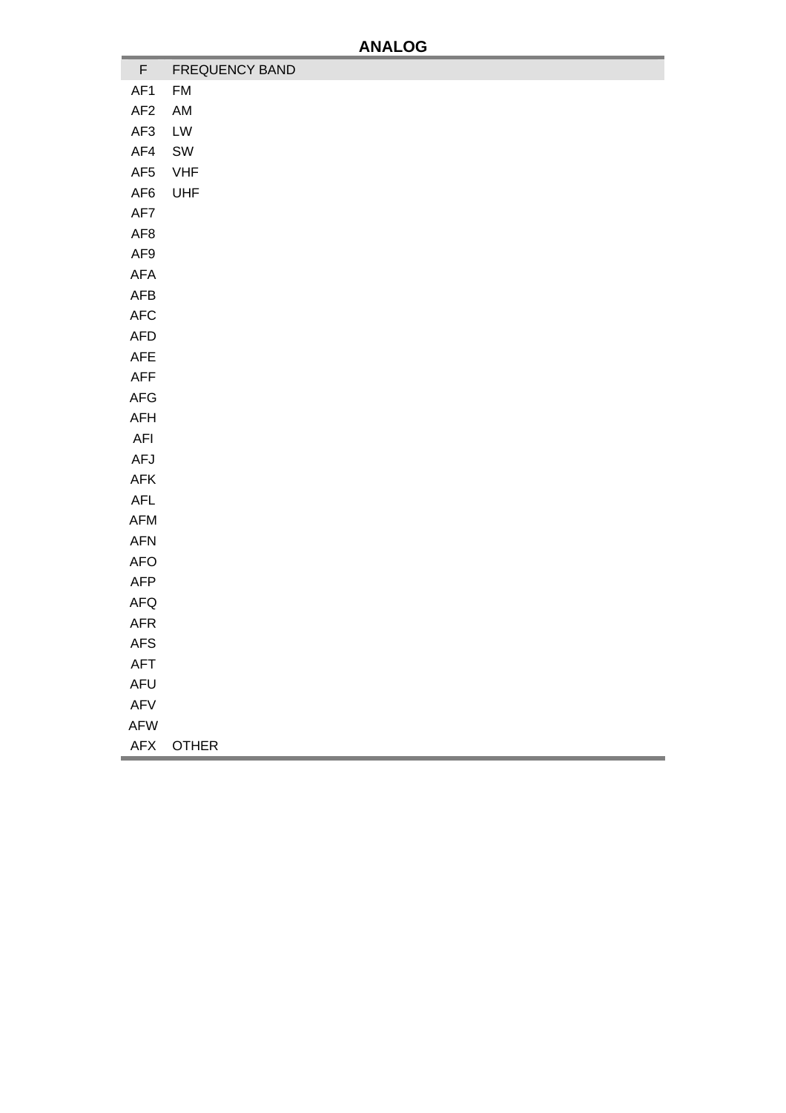a,

| F               | FREQUENCY BAND |
|-----------------|----------------|
| AF1             | <b>FM</b>      |
| AF <sub>2</sub> | AM             |
| AF3             | LW             |
| AF4             | ${\sf SW}$     |
| AF5             | <b>VHF</b>     |
| AF6             | UHF            |
| AF7             |                |
| AF <sub>8</sub> |                |
| AF9             |                |
| AFA             |                |
| ${\sf AFB}$     |                |
| $\mathsf{AFC}$  |                |
| AFD             |                |
| ${\sf AFE}$     |                |
| AFF             |                |
| AFG             |                |
| AFH             |                |
| AFI             |                |
| AFJ             |                |
| ${\sf AFK}$     |                |
| ${\sf AFL}$     |                |
| AFM             |                |
| AFN             |                |
| <b>AFO</b>      |                |
| AFP             |                |
| ${\sf AFG}$     |                |
| AFR             |                |
| <b>AFS</b>      |                |
| <b>AFT</b>      |                |
| AFU             |                |
| $\mathsf{AFV}$  |                |
| AFW             |                |
| ${\sf AFX}$     | <b>OTHER</b>   |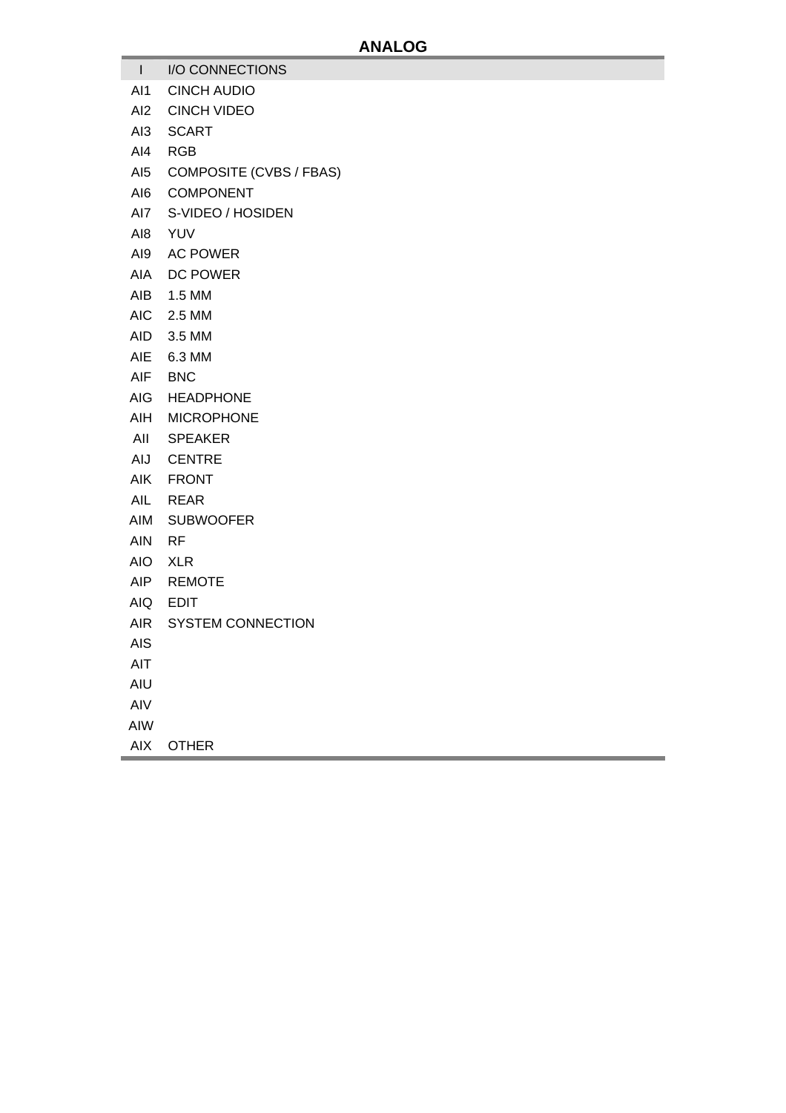- I I/O CONNECTIONS
- AI1 CINCH AUDIO
- AI2 CINCH VIDEO
- AI3 SCART
- AI4 RGB
- AI5 COMPOSITE (CVBS / FBAS)
- AI6 COMPONENT
- AI7 S-VIDEO / HOSIDEN
- AI8 YUV
- AI9 AC POWER
- AIA DC POWER
- AIB 1.5 MM
- AIC 2.5 MM
- AID 3.5 MM
- AIE 6.3 MM
- AIF BNC
- AIG HEADPHONE
- AIH MICROPHONE
- AII SPEAKER
- AIJ CENTRE
- AIK FRONT
- AIL REAR
- AIM SUBWOOFER
- AIN RF
- AIO XLR
- AIP REMOTE
- AIQ EDIT
- AIR SYSTEM CONNECTION
- AIS
- AIT
- AIU
- AIV
- AIW
- AIX OTHER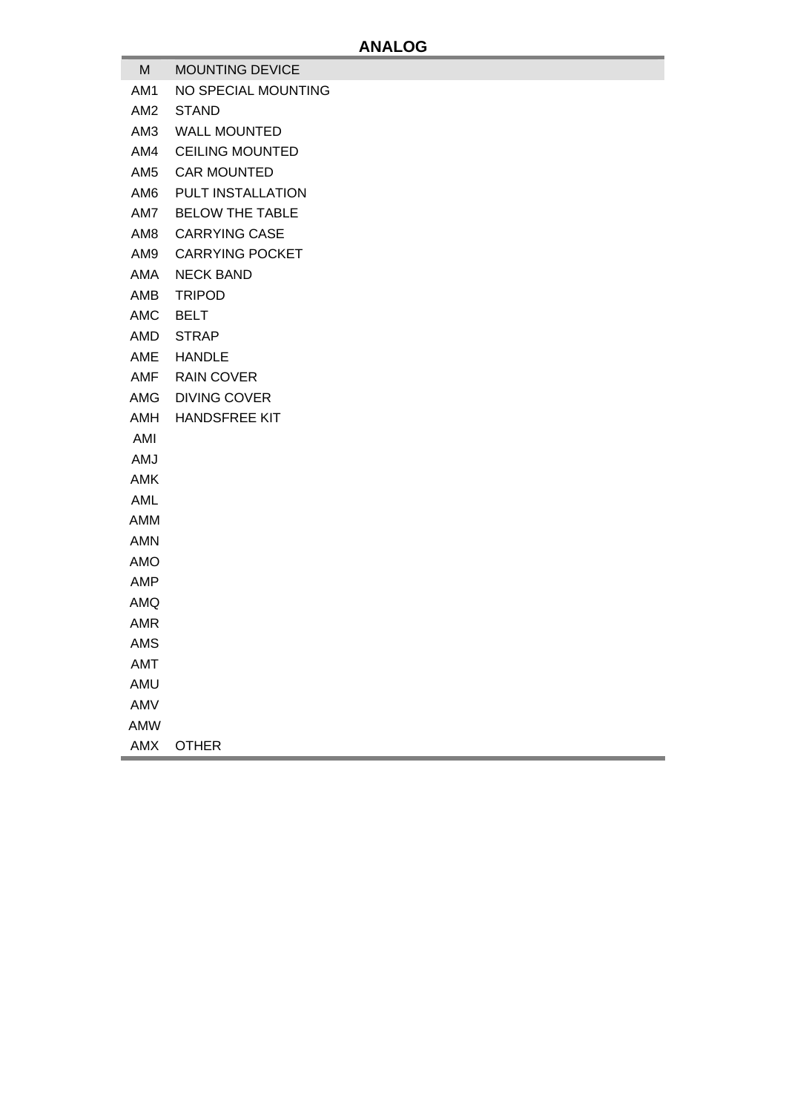- M MOUNTING DEVICE
- AM1 NO SPECIAL MOUNTING
- AM2 STAND
- AM3 WALL MOUNTED
- AM4 CEILING MOUNTED
- AM5 CAR MOUNTED
- AM6 PULT INSTALLATION
- AM7 BELOW THE TABLE
- AM8 CARRYING CASE
- AM9 CARRYING POCKET
- AMA NECK BAND
- AMB TRIPOD
- AMC BELT
- AMD STRAP
- AME HANDLE
- AMF RAIN COVER
- AMG DIVING COVER
- AMH HANDSFREE KIT
- AMI
- AMJ
- AMK
- AML
- AMM
- AMN
- AMO
- AMP
- AMQ
- AMR
- AMS
- 
- AMT
- AMU
- AMV
- AMW
- AMX OTHER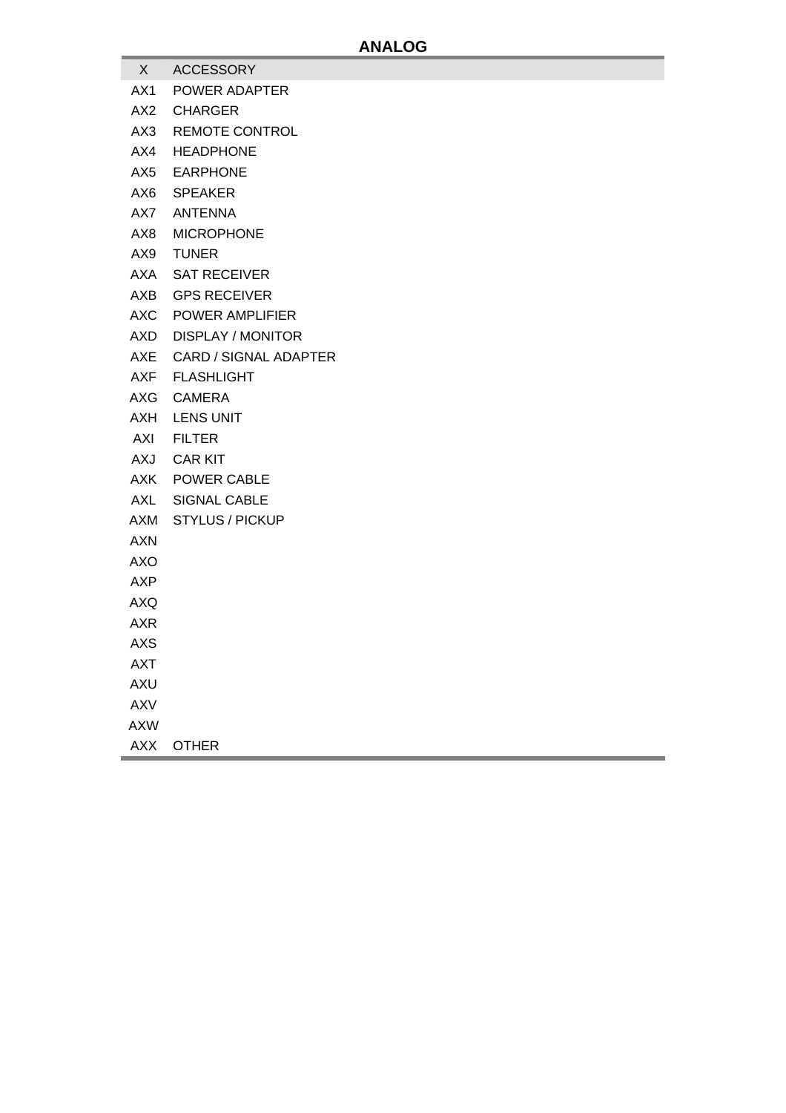- X ACCESSORY
- AX1 POWER ADAPTER
- AX2 CHARGER
- AX3 REMOTE CONTROL
- AX4 HEADPHONE
- AX5 EARPHONE
- AX6 SPEAKER
- AX7 ANTENNA
- AX8 MICROPHONE
- AX9 TUNER
- AXA SAT RECEIVER
- AXB GPS RECEIVER
- AXC POWER AMPLIFIER
- AXD DISPLAY / MONITOR
- AXE CARD / SIGNAL ADAPTER
- AXF FLASHLIGHT
- AXG CAMERA
- AXH LENS UNIT
- AXI FILTER
- AXJ CAR KIT
- AXK POWER CABLE
- AXL SIGNAL CABLE
- AXM STYLUS / PICKUP
- AXN
- AXO
- AXP
- AXQ
- AXR
- AXS
- AXT
- 
- AXU
- AXV
- AXW
- AXX OTHER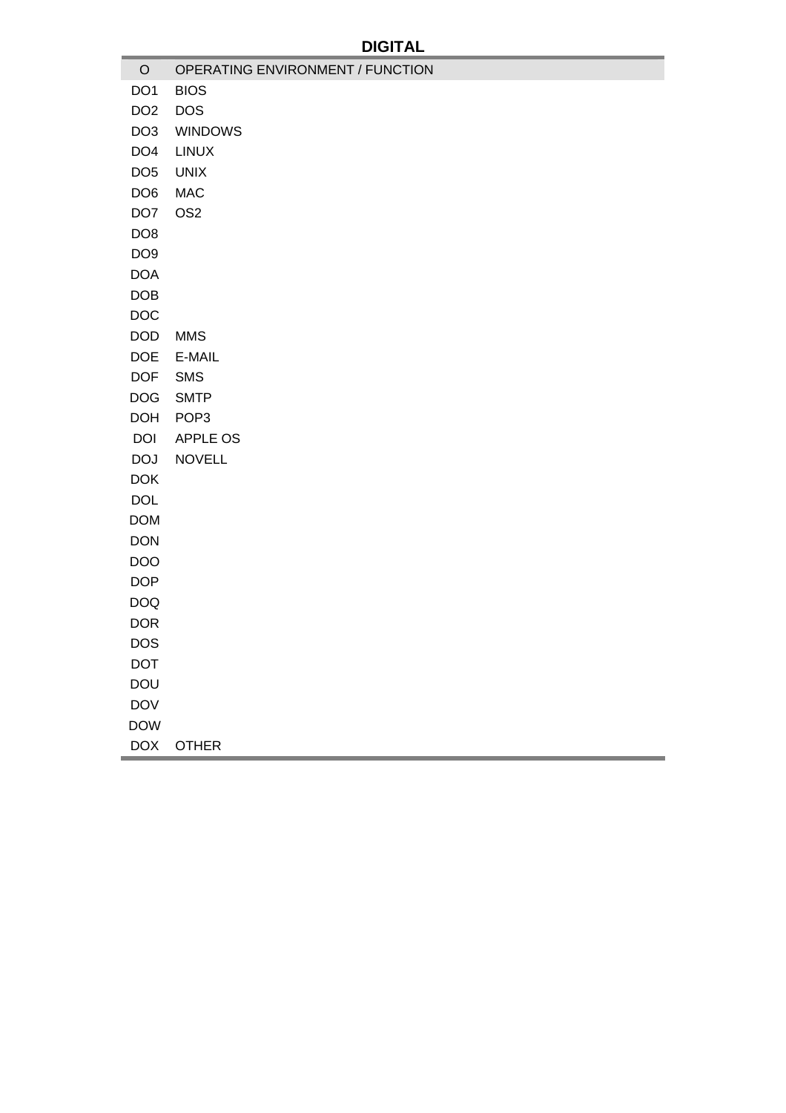| $\mathsf O$     | OPERATING ENVIRONMENT / FUNCTION |
|-----------------|----------------------------------|
| DO <sub>1</sub> | <b>BIOS</b>                      |
| DO <sub>2</sub> | <b>DOS</b>                       |
| DO <sub>3</sub> | <b>WINDOWS</b>                   |
| DO <sub>4</sub> | <b>LINUX</b>                     |
| DO <sub>5</sub> | <b>UNIX</b>                      |
| DO <sub>6</sub> | <b>MAC</b>                       |
| DO <sub>7</sub> | OS <sub>2</sub>                  |
| DO <sub>8</sub> |                                  |
| DO <sub>9</sub> |                                  |
| <b>DOA</b>      |                                  |
| <b>DOB</b>      |                                  |
| <b>DOC</b>      |                                  |
| <b>DOD</b>      | <b>MMS</b>                       |
| <b>DOE</b>      | E-MAIL                           |
| <b>DOF</b>      | <b>SMS</b>                       |
| <b>DOG</b>      | <b>SMTP</b>                      |
| <b>DOH</b>      | POP <sub>3</sub>                 |
| <b>DOI</b>      | APPLE OS                         |
| <b>DOJ</b>      | <b>NOVELL</b>                    |
| <b>DOK</b>      |                                  |
| <b>DOL</b>      |                                  |
| <b>DOM</b>      |                                  |
| <b>DON</b>      |                                  |
| <b>DOO</b>      |                                  |
| <b>DOP</b>      |                                  |
| <b>DOQ</b>      |                                  |
| <b>DOR</b>      |                                  |
| <b>DOS</b>      |                                  |
| <b>DOT</b>      |                                  |
| <b>DOU</b>      |                                  |
| <b>DOV</b>      |                                  |
| <b>DOW</b>      |                                  |
| DOX             | <b>OTHER</b>                     |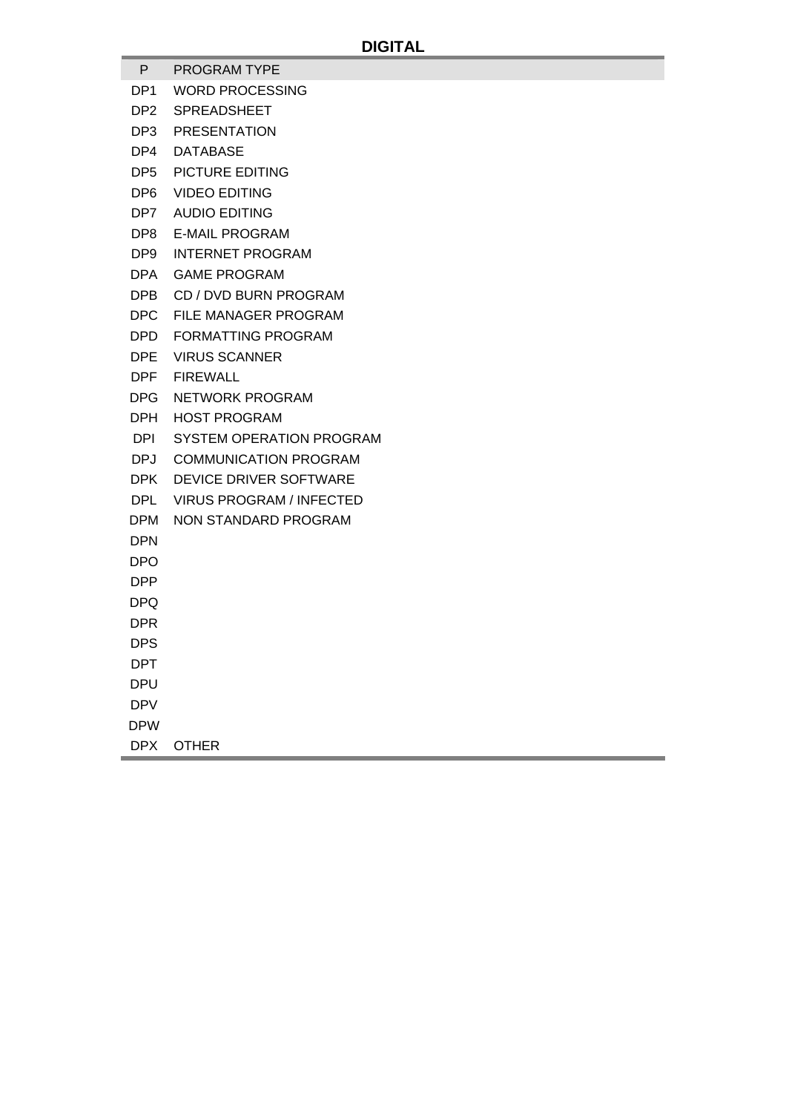- P PROGRAM TYPE
- DP1 WORD PROCESSING
- DP2 SPREADSHEET
- DP3 PRESENTATION
- DP4 DATABASE
- DP5 PICTURE EDITING
- DP6 VIDEO EDITING
- DP7 AUDIO EDITING
- DP8 E-MAIL PROGRAM
- DP9 INTERNET PROGRAM
- DPA GAME PROGRAM
- DPB CD / DVD BURN PROGRAM
- DPC FILE MANAGER PROGRAM
- DPD FORMATTING PROGRAM
- DPE VIRUS SCANNER
- DPF FIREWALL
- DPG NETWORK PROGRAM
- DPH HOST PROGRAM
- DPI SYSTEM OPERATION PROGRAM
- DPJ COMMUNICATION PROGRAM
- DPK DEVICE DRIVER SOFTWARE
- DPL VIRUS PROGRAM / INFECTED
- DPM NON STANDARD PROGRAM
- DPN
- DPO
- DPP
- DPQ
- 
- DPR
- **DPS**
- DPT
- DPU
- DPV
- DPW
- DPX OTHER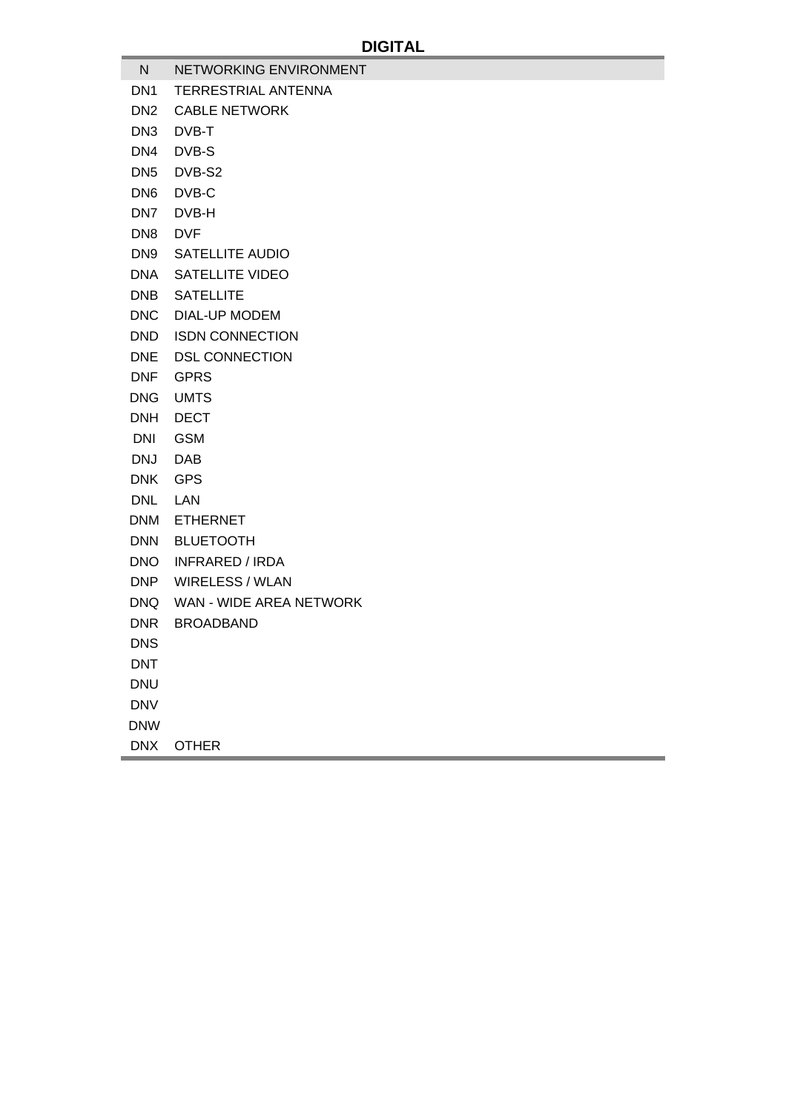- N NETWORKING ENVIRONMENT DN1 TERRESTRIAL ANTENNA DN2 CABLE NETWORK DN3 DVB-T DN4 DVB-S DN5 DVB-S2 DN6 DVB-C DN7 DVB-H DN8 DVF DN9 SATELLITE AUDIO DNA SATELLITE VIDEO DNB SATELLITE DNC DIAL-UP MODEM DND ISDN CONNECTION DNE DSL CONNECTION DNF GPRS DNG UMTS DNH DECT DNI GSM DNJ DAB DNK GPS DNL LAN DNM ETHERNET DNN BLUETOOTH DNO INFRARED / IRDA DNP WIRELESS / WLAN DNQ WAN - WIDE AREA NETWORK DNR BROADBAND **DNS** DNT
- 
- DNU
- DNV
- DNW
- DNX OTHER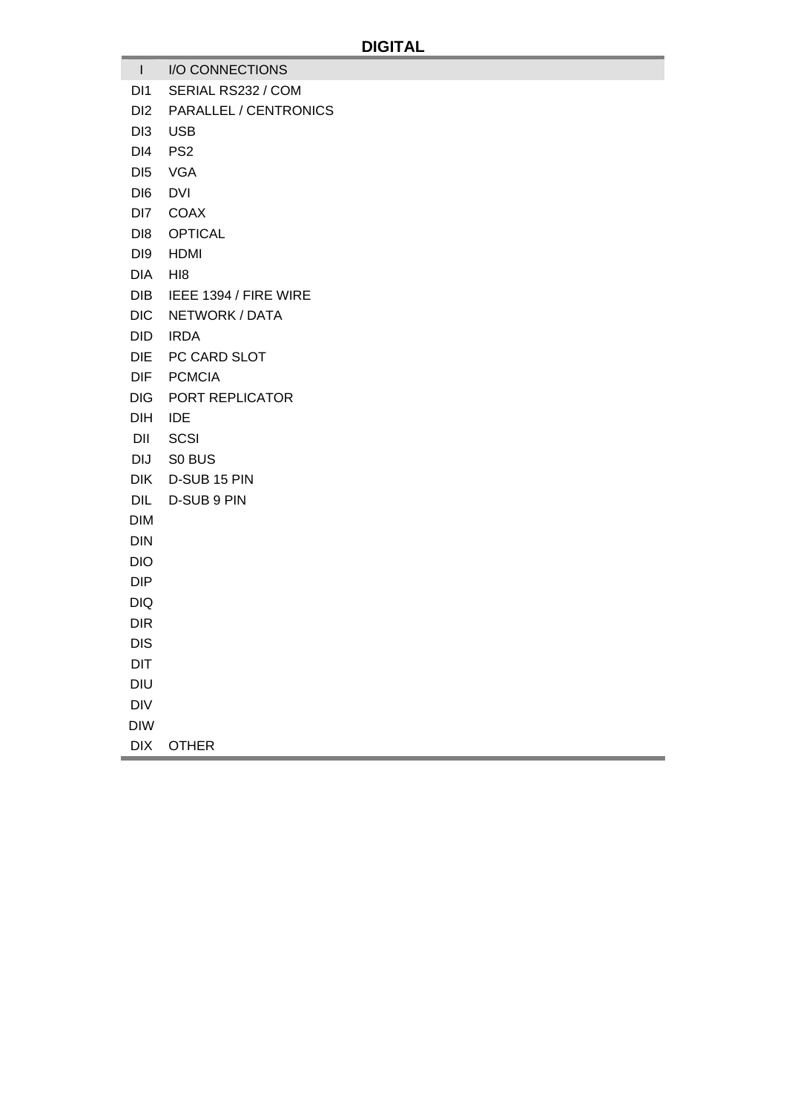- I I/O CONNECTIONS
- DI1 SERIAL RS232 / COM
- DI2 PARALLEL / CENTRONICS
- DI3 USB
- DI4 PS2
- DI5 VGA
- DI6 DVI
- DI7 COAX
- DI8 OPTICAL
- DI9 HDMI
- DIA HI8
- DIB IEEE 1394 / FIRE WIRE
- DIC NETWORK / DATA
- DID IRDA
- DIE PC CARD SLOT
- DIF PCMCIA
- DIG PORT REPLICATOR
- DIH IDE
- DII SCSI
- DIJ S0 BUS
- DIK D-SUB 15 PIN
- DIL D-SUB 9 PIN
- DIM
- DIN
- DIO
- DIP
- DIQ
- DIR
- 
- DIS
- DIT
- DIU
- DIV
- DIW
- DIX OTHER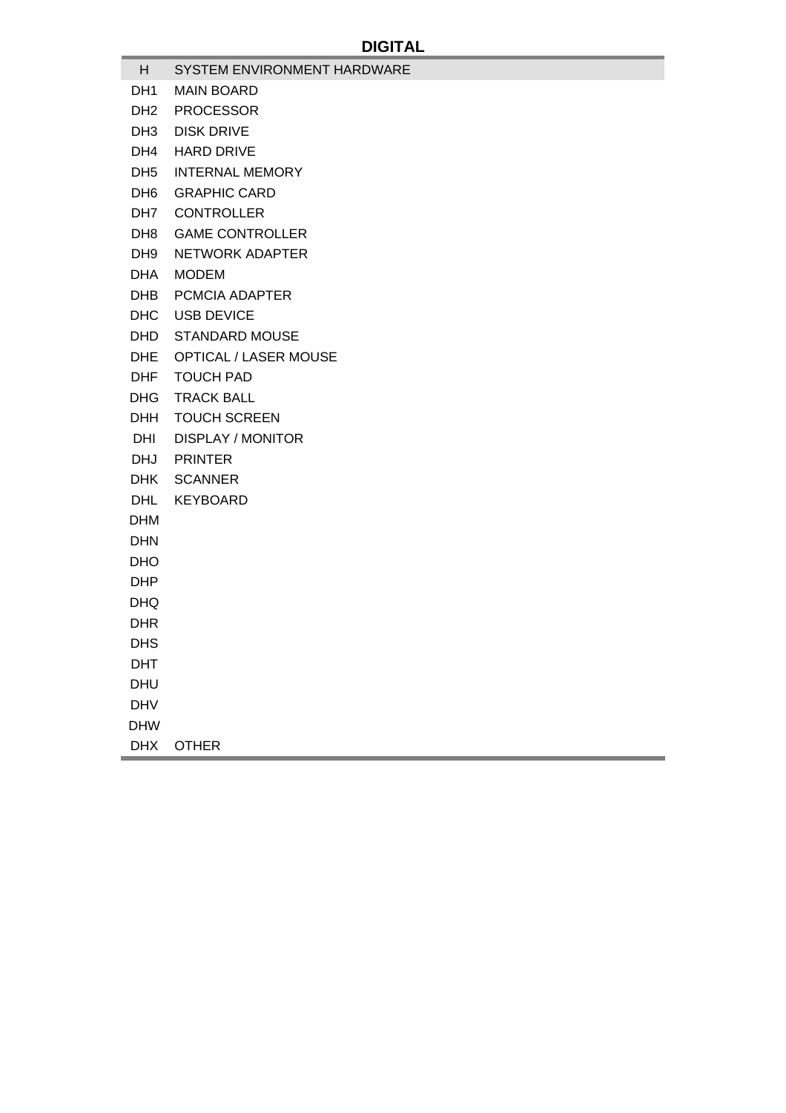- H SYSTEM ENVIRONMENT HARDWARE DH1 MAIN BOARD DH2 PROCESSOR DH3 DISK DRIVE DH4 HARD DRIVE DH5 INTERNAL MEMORY DH6 GRAPHIC CARD DH7 CONTROLLER DH8 GAME CONTROLLER
	- DH9 NETWORK ADAPTER
	- DHA MODEM
	- DHB PCMCIA ADAPTER
	- DHC USB DEVICE
	- DHD STANDARD MOUSE
	- DHE OPTICAL / LASER MOUSE
	- DHF TOUCH PAD
	- DHG TRACK BALL
	- DHH TOUCH SCREEN
	- DHI DISPLAY / MONITOR
	- DHJ PRINTER
	- DHK SCANNER
	- DHL KEYBOARD
	- DHM
	- DHN
	- DHO
	- DHP
	- DHQ
	- DHR
	-
	- DHS
	- DHT
	- DHU
- DHV
- DHW
- DHX OTHER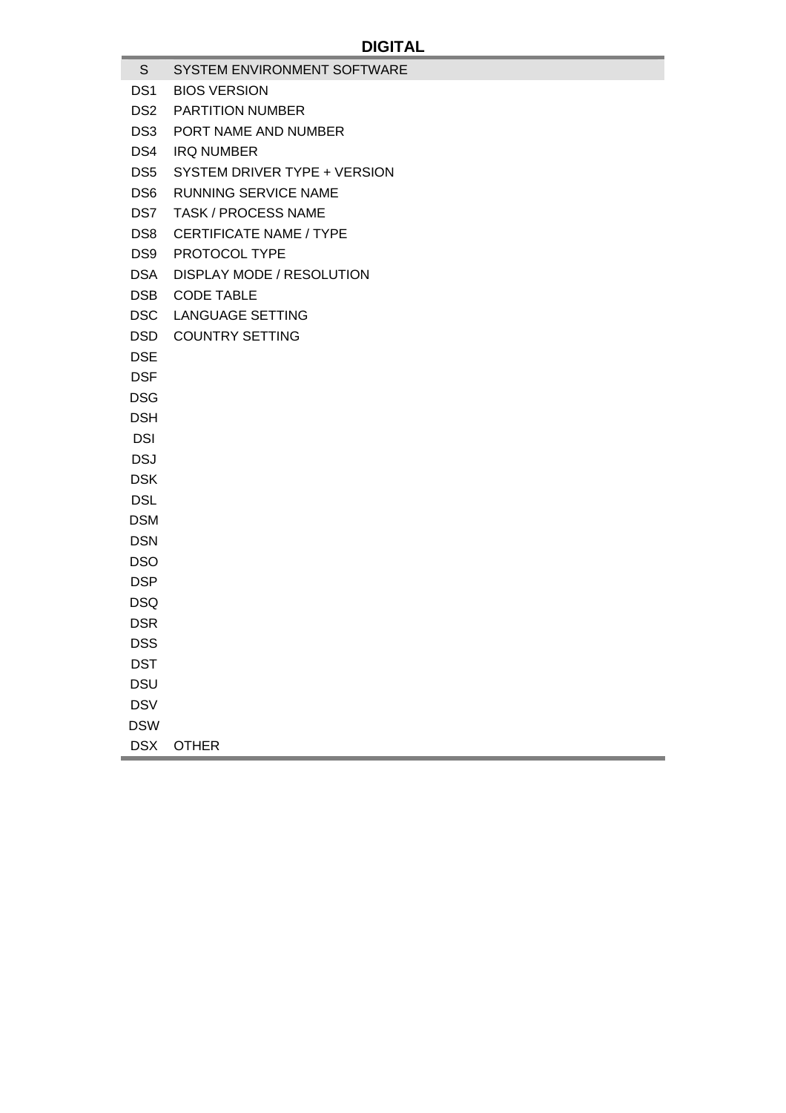- **DIGITAL**  S SYSTEM ENVIRONMENT SOFTWARE DS1 BIOS VERSION DS2 PARTITION NUMBER DS3 PORT NAME AND NUMBER DS4 IRQ NUMBER DS5 SYSTEM DRIVER TYPE + VERSION DS6 RUNNING SERVICE NAME DS7 TASK / PROCESS NAME DS8 CERTIFICATE NAME / TYPE DS9 PROTOCOL TYPE DSA DISPLAY MODE / RESOLUTION DSB CODE TABLE DSC LANGUAGE SETTING DSD COUNTRY SETTING **DSE DSF** DSG DSH **DSI** DSJ DSK **DSL** DSM DSN DSO **DSP**
- DSQ
- DSR
- **DSS**
- DST
- DSU
- **DSV**
- DSW
- DSX OTHER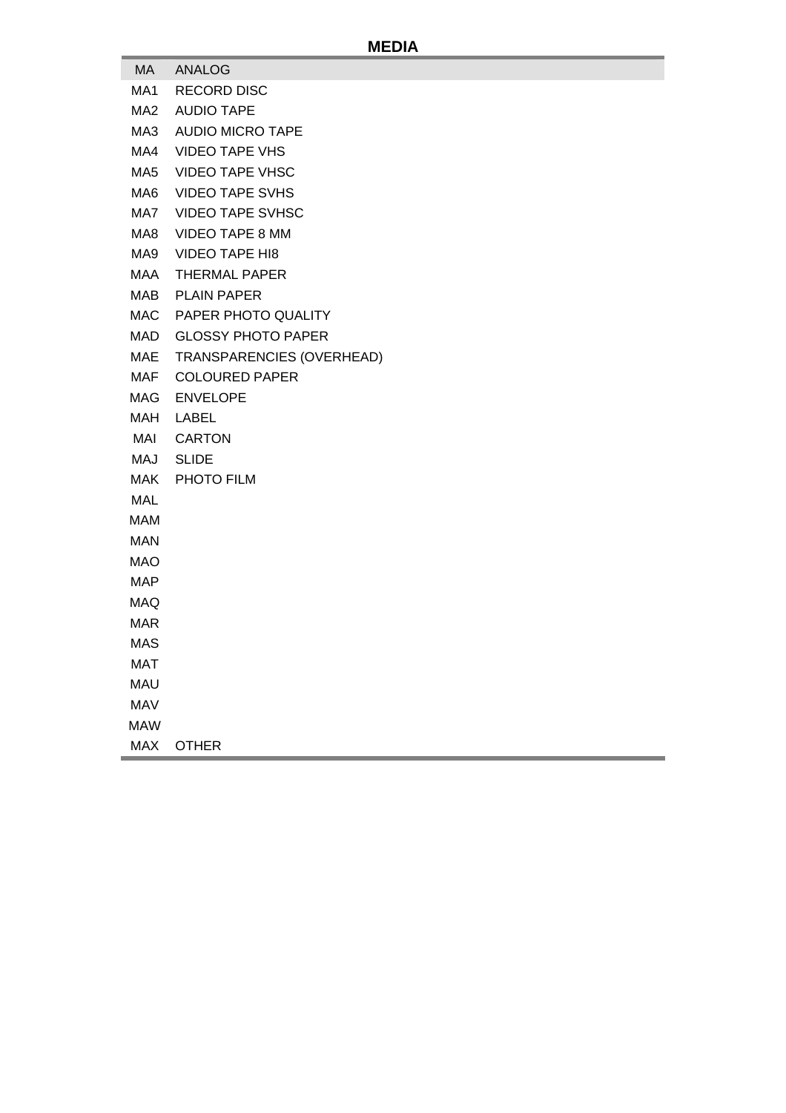## **MEDIA**

- MA ANALOG
- MA1 RECORD DISC
- MA2 AUDIO TAPE
- MA3 AUDIO MICRO TAPE
- MA4 VIDEO TAPE VHS
- MA5 VIDEO TAPE VHSC
- MA6 VIDEO TAPE SVHS
- MA7 VIDEO TAPE SVHSC
- MA8 VIDEO TAPE 8 MM
- MA9 VIDEO TAPE HI8
- MAA THERMAL PAPER
- MAB PLAIN PAPER
- MAC PAPER PHOTO QUALITY
- MAD GLOSSY PHOTO PAPER
- MAE TRANSPARENCIES (OVERHEAD)
- MAF COLOURED PAPER
- MAG ENVELOPE
- MAH LABEL
- MAI CARTON
- MAJ SLIDE
- MAK PHOTO FILM
- MAL
- MAM
- MAN
- MAO
- MAP
- MAQ
- MAR
- MAS
- 
- MAT
- MAU
- MAV
- MAW
- MAX OTHER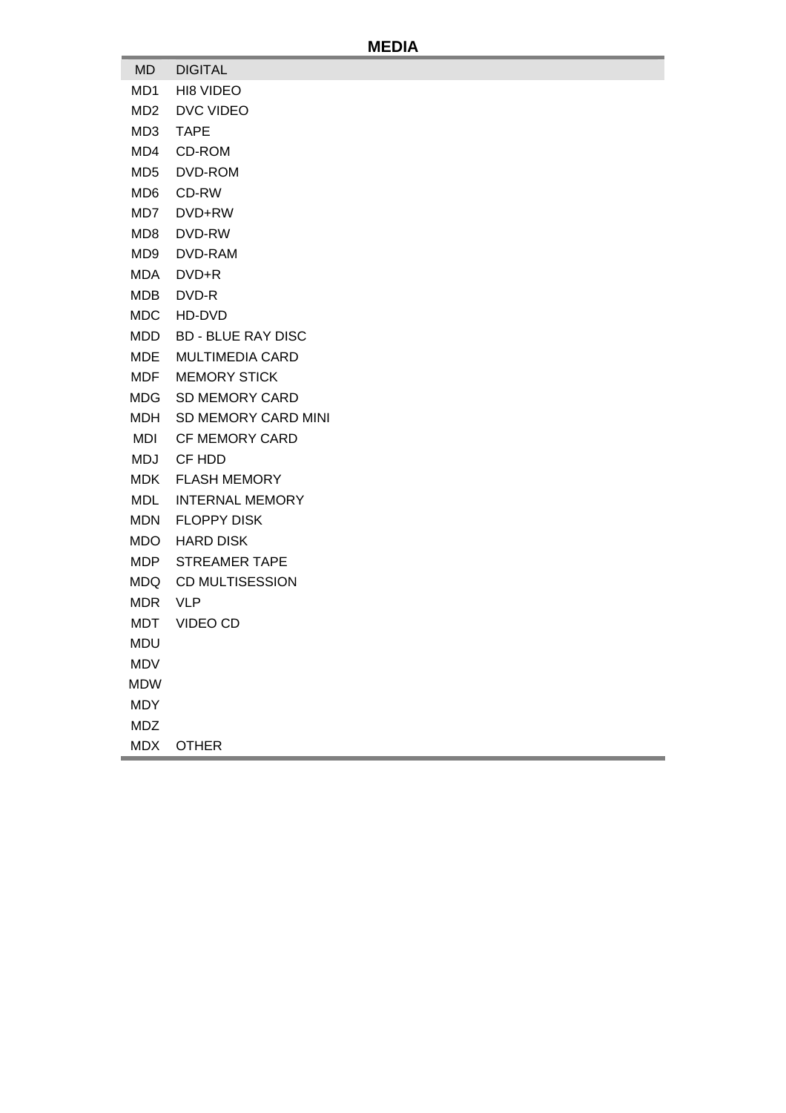## **MEDIA**

- MD DIGITAL
- MD1 HI8 VIDEO
- MD2 DVC VIDEO
- MD3 TAPE
- MD4 CD-ROM
- MD5 DVD-ROM
- MD6 CD-RW
- MD7 DVD+RW
- MD8 DVD-RW
- MD9 DVD-RAM
- MDA DVD+R
- MDB DVD-R
- MDC HD-DVD
- MDD BD BLUE RAY DISC
- MDE MULTIMEDIA CARD
- MDF MEMORY STICK
- MDG SD MEMORY CARD
- MDH SD MEMORY CARD MINI
- MDI CF MEMORY CARD
- MDJ CF HDD
- MDK FLASH MEMORY
- MDL INTERNAL MEMORY
- MDN FLOPPY DISK
- MDO HARD DISK
- MDP STREAMER TAPE
- MDQ CD MULTISESSION
- MDR VLP
- MDT VIDEO CD
- MDU
- MDV
- MDW
- MDY
- MDZ
- MDX OTHER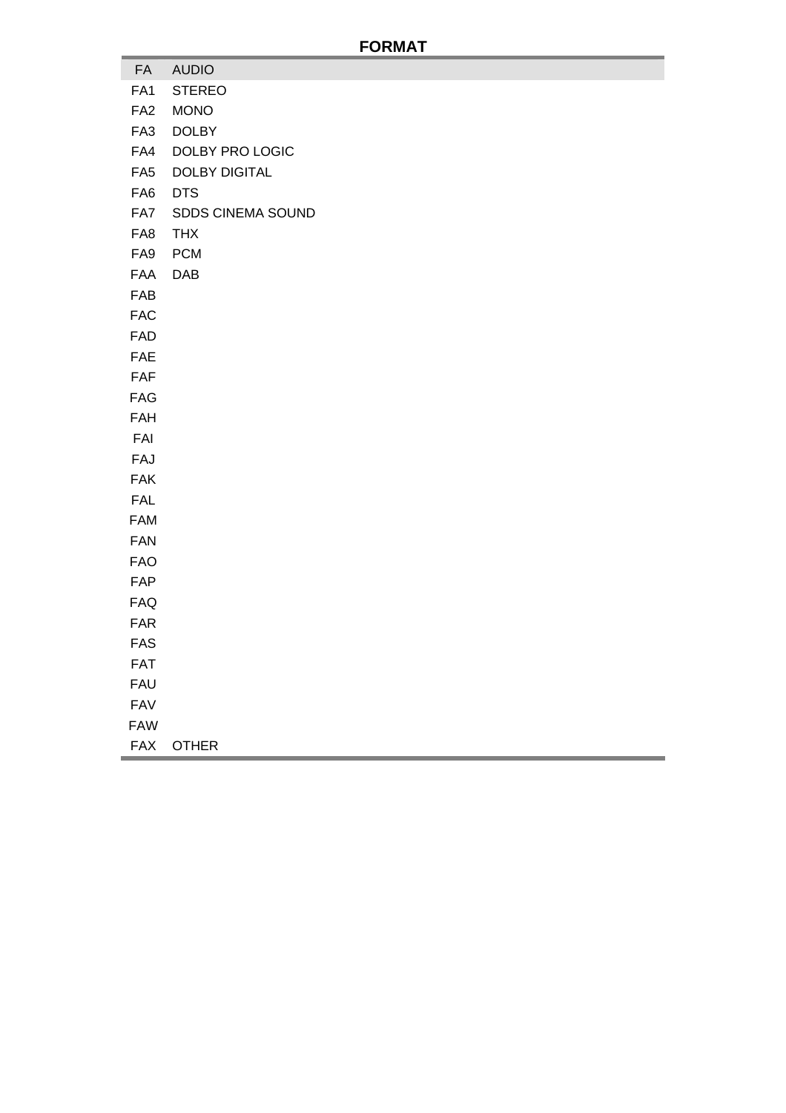# **FORMAT**

- FA AUDIO
- FA1 STEREO
- FA2 MONO
- FA3 DOLBY
- FA4 DOLBY PRO LOGIC
- FA5 DOLBY DIGITAL
- FA6 DTS
- FA7 SDDS CINEMA SOUND
- FA8 THX
- FA9 PCM
- FAA DAB
- FAB
- FAC
- FAD
- FAE
- FAF
- FAG
- FAH
- FAI
- FAJ
- FAK
- FAL
- FAM
- FAN
- FAO
- FAP
- 
- FAQ
- FAR
- FAS
- FAT
- FAU
- FAV
- FAW
- FAX OTHER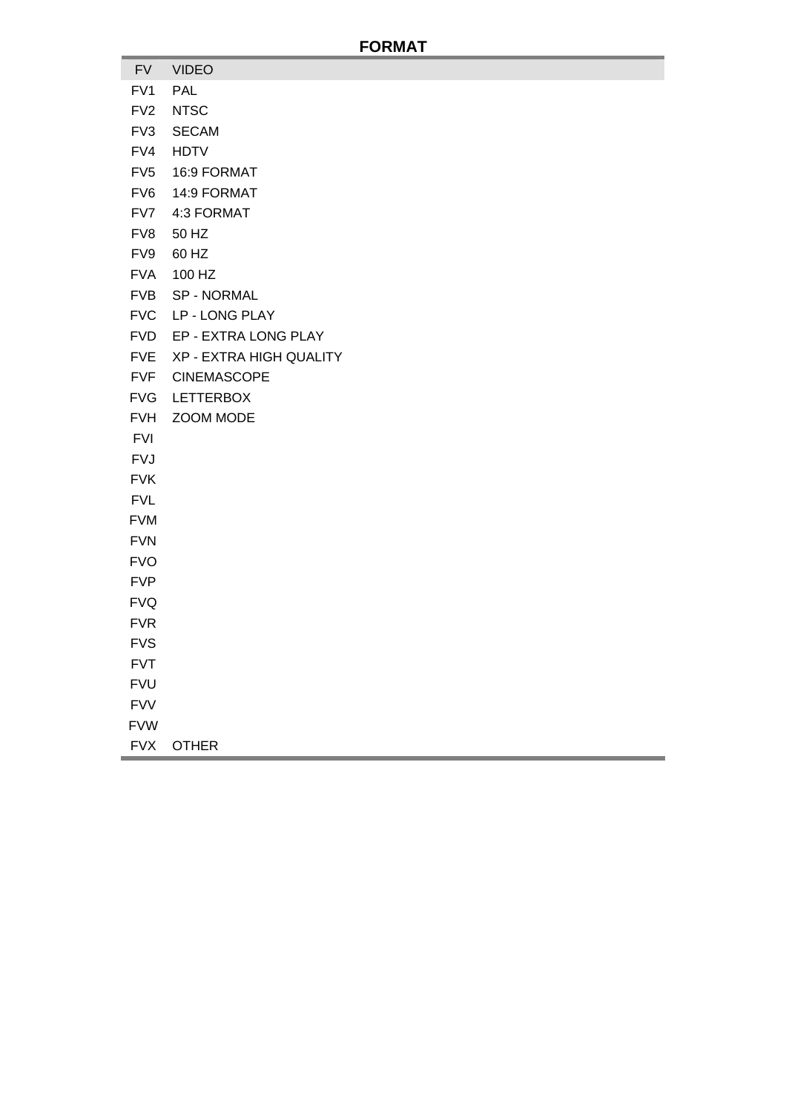#### **FORMAT**

- FV VIDEO
- FV1 PAL
- FV2 NTSC
- FV3 SECAM
- FV4 HDTV
- FV5 16:9 FORMAT
- FV6 14:9 FORMAT
- FV7 4:3 FORMAT
- FV8 50 HZ
- FV9 60 HZ
- FVA 100 HZ
- FVB SP NORMAL
- FVC LP LONG PLAY
- FVD EP EXTRA LONG PLAY
- FVE XP EXTRA HIGH QUALITY
- FVF CINEMASCOPE
- FVG LETTERBOX
- FVH ZOOM MODE
- FVI
- FVJ
- FVK
- FVL
- FVM
- FVN
- FVO
- FVP
- 
- FVQ
- FVR
- FVS
- FVT
- FVU
- FVV
- FVW
- FVX OTHER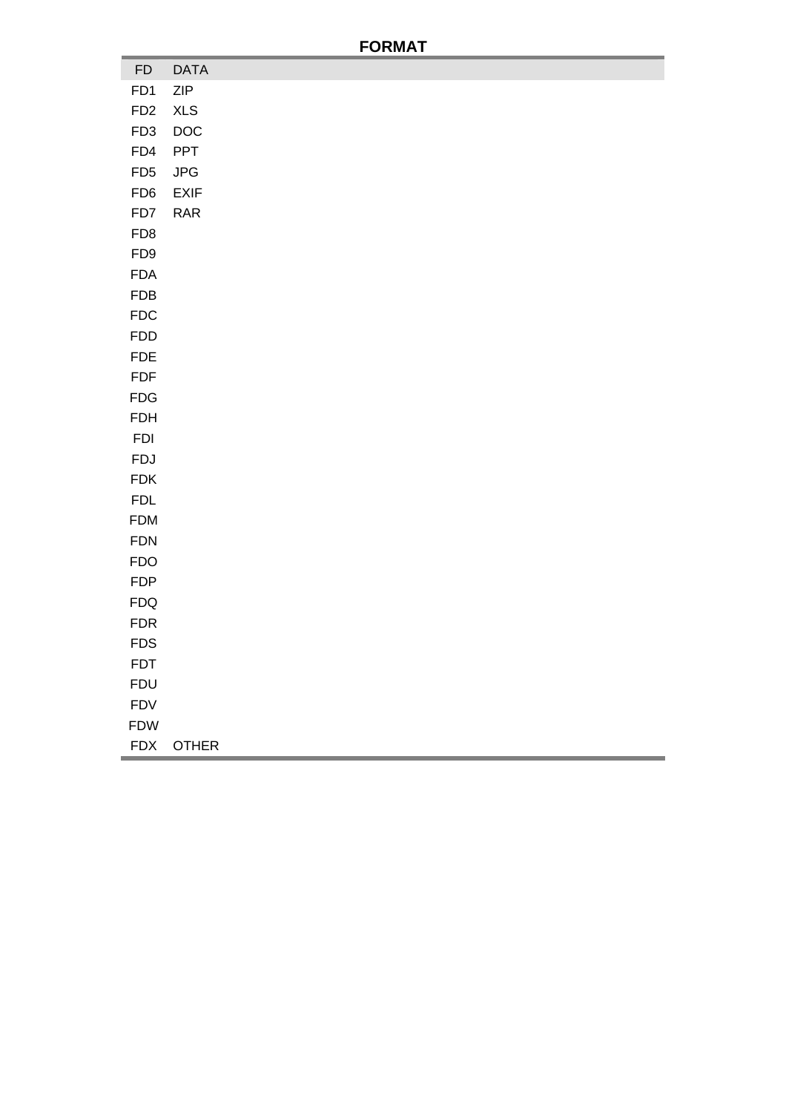# **FORMAT**

| ${\sf FD}$      | <b>DATA</b>                 |
|-----------------|-----------------------------|
| FD1             | ZIP                         |
| FD <sub>2</sub> | <b>XLS</b>                  |
| FD <sub>3</sub> | DOC                         |
| FD4             | PPT                         |
| FD <sub>5</sub> | JPG                         |
| FD <sub>6</sub> | EXIF                        |
| FD7             | $\ensuremath{\mathsf{RAR}}$ |
| FD <sub>8</sub> |                             |
| FD <sub>9</sub> |                             |
| <b>FDA</b>      |                             |
| <b>FDB</b>      |                             |
| <b>FDC</b>      |                             |
| <b>FDD</b>      |                             |
| <b>FDE</b>      |                             |
| <b>FDF</b>      |                             |
| FDG             |                             |
| <b>FDH</b>      |                             |
| <b>FDI</b>      |                             |
| <b>FDJ</b>      |                             |
| <b>FDK</b>      |                             |
| <b>FDL</b>      |                             |
| <b>FDM</b>      |                             |
| <b>FDN</b>      |                             |
| <b>FDO</b>      |                             |
| <b>FDP</b>      |                             |
| FDA             |                             |
| FDR             |                             |
| <b>FDS</b>      |                             |
| <b>FDT</b>      |                             |
| <b>FDU</b>      |                             |
| <b>FDV</b>      |                             |
| <b>FDW</b>      |                             |
| <b>FDX</b>      | <b>OTHER</b>                |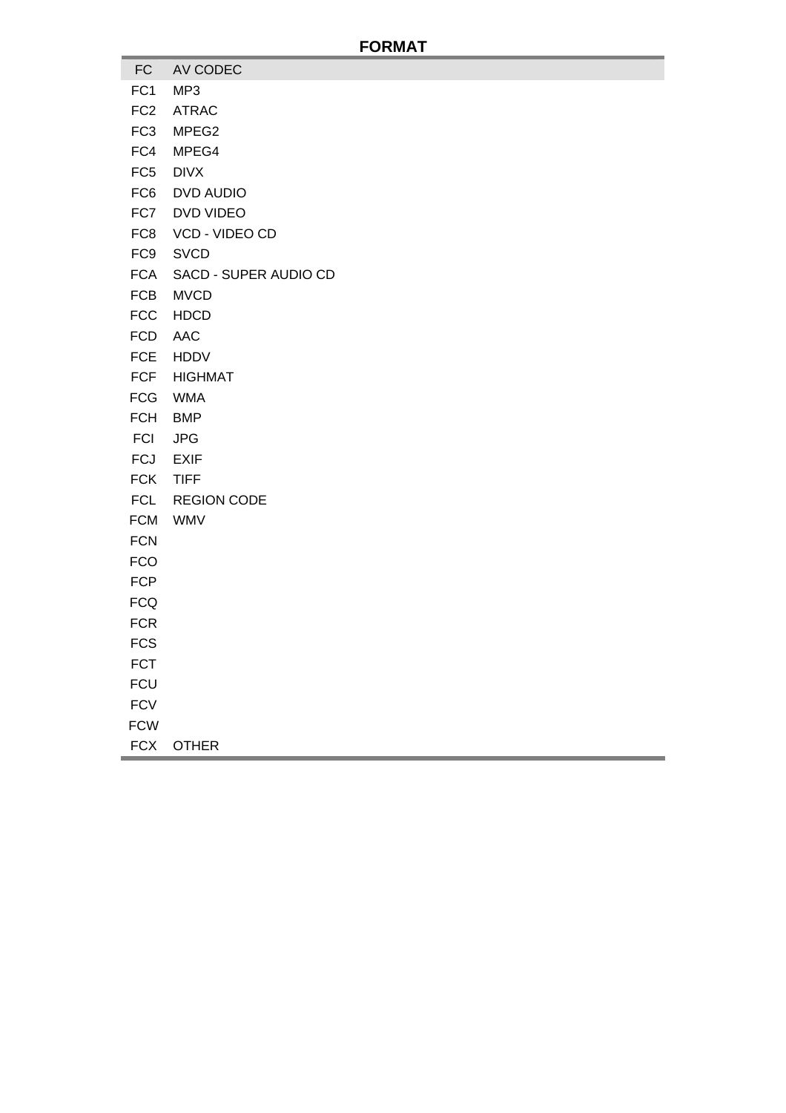#### **FORMAT**

- FC AV CODEC
- FC1 MP3
- FC2 ATRAC
- FC3 MPEG2
- FC4 MPEG4
- FC5 DIVX
- FC6 DVD AUDIO
- FC7 DVD VIDEO
- FC8 VCD VIDEO CD
- FC9 SVCD
- FCA SACD SUPER AUDIO CD
- FCB MVCD
- FCC HDCD
- FCD AAC
- FCE HDDV
- FCF HIGHMAT
- FCG WMA
- FCH BMP
- FCI JPG
- FCJ EXIF
- FCK TIFF
- FCL REGION CODE
- FCM WMV
- FCN
- FCO
- FCP
- FCQ
- **FCR**
- **FCS**
- FCT
- **FCU**
- **FCV**
- FCW
- 
- FCX OTHER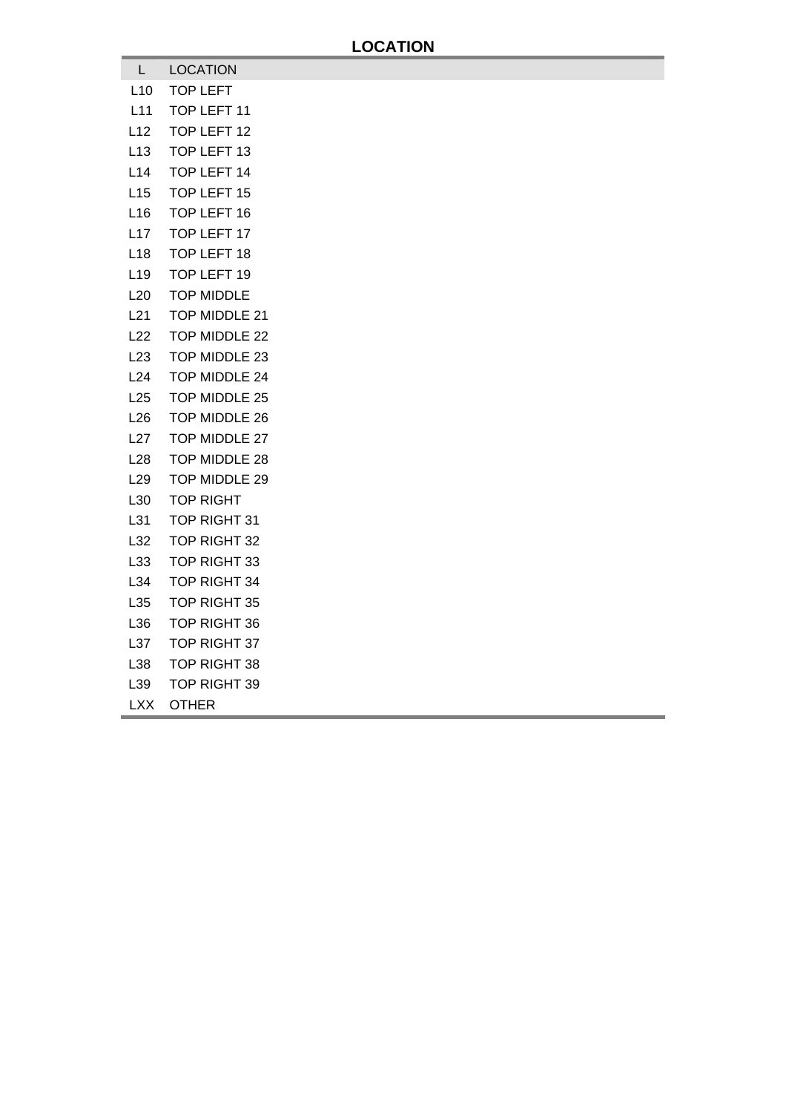| L.              | <b>LOCATION</b>      |
|-----------------|----------------------|
| L <sub>10</sub> | TOP LEFT             |
| L11             | TOP LEFT 11          |
| L12             | TOP LEFT 12          |
| L <sub>13</sub> | TOP LEFT 13          |
| L14             | TOP LEFT 14          |
| L15             | TOP LEFT 15          |
| L <sub>16</sub> | TOP LEFT 16          |
| L17             | TOP LEFT 17          |
| L <sub>18</sub> | TOP LEFT 18          |
| L <sub>19</sub> | TOP LEFT 19          |
| L20             | <b>TOP MIDDLE</b>    |
| L21             | TOP MIDDLE 21        |
| L22             | TOP MIDDLE 22        |
| L <sub>23</sub> | TOP MIDDLE 23        |
| L24             | TOP MIDDLE 24        |
| L25             | TOP MIDDLE 25        |
| L26             | <b>TOP MIDDLE 26</b> |
| L27             | TOP MIDDLE 27        |
| L28             | TOP MIDDLE 28        |
| L29             | TOP MIDDLE 29        |
| L30             | <b>TOP RIGHT</b>     |
| L31             | TOP RIGHT 31         |
| L32             | TOP RIGHT 32         |
| L33             | TOP RIGHT 33         |
| L34             | TOP RIGHT 34         |
| L35             | TOP RIGHT 35         |
| L36             | <b>TOP RIGHT 36</b>  |
| L37             | TOP RIGHT 37         |
| L38             | TOP RIGHT 38         |
| L39             | TOP RIGHT 39         |

LXX OTHER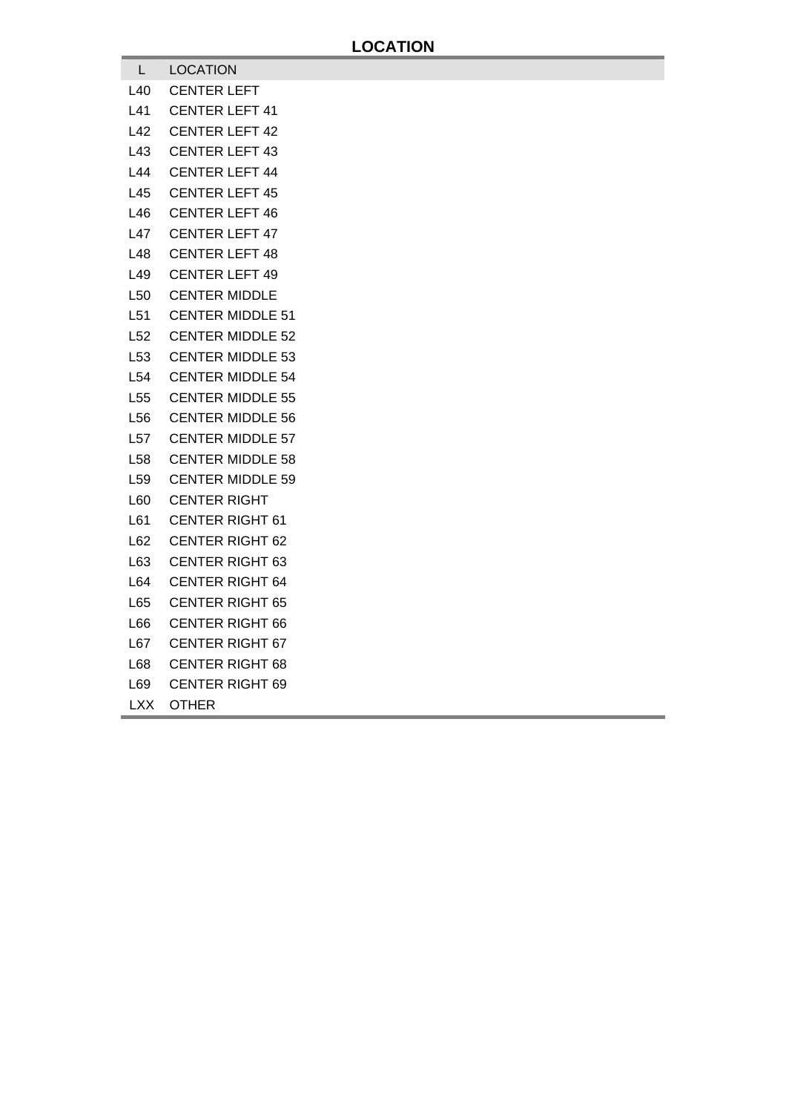- L LOCATION
- L40 CENTER LEFT
- L41 CENTER LEFT 41
- L42 CENTER LEFT 42
- L43 CENTER LEFT 43
- L44 CENTER LEFT 44
- L45 CENTER LEFT 45
- L46 CENTER LEFT 46
- L47 CENTER LEFT 47
- L48 CENTER LEFT 48
- L49 CENTER LEFT 49
- L50 CENTER MIDDLE
- L51 CENTER MIDDLE 51
- L52 CENTER MIDDLE 52
- L53 CENTER MIDDLE 53
- L54 CENTER MIDDLE 54
- L55 CENTER MIDDLE 55
- L56 CENTER MIDDLE 56
- L57 CENTER MIDDLE 57
- L58 CENTER MIDDLE 58
- L59 CENTER MIDDLE 59
- L60 CENTER RIGHT
- L61 CENTER RIGHT 61
- L62 CENTER RIGHT 62
- L63 CENTER RIGHT 63
- L64 CENTER RIGHT 64
- L65 CENTER RIGHT 65
- L66 CENTER RIGHT 66
- L67 CENTER RIGHT 67
- L68 CENTER RIGHT 68
- L69 CENTER RIGHT 69
- LXX OTHER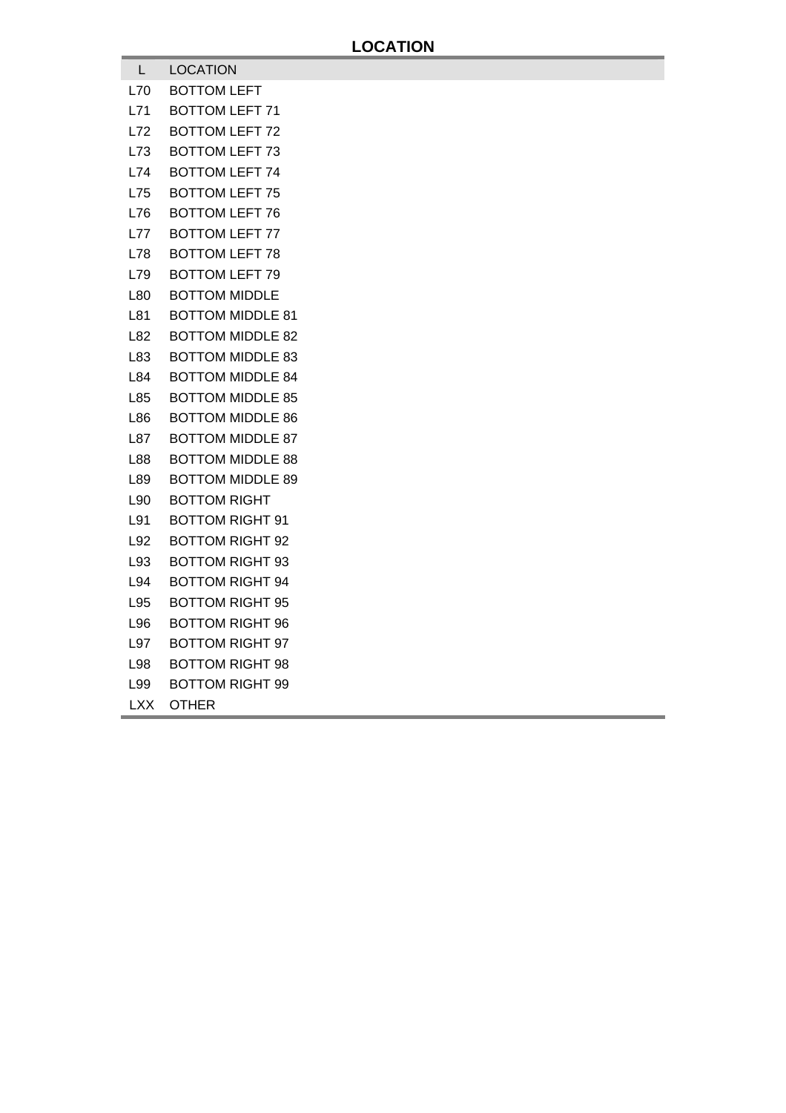- L LOCATION
- L70 BOTTOM LEFT
- L71 BOTTOM LEFT 71
- L72 BOTTOM LEFT 72
- L73 BOTTOM LEFT 73
- L74 BOTTOM LEFT 74
- L75 BOTTOM LEFT 75
- L76 BOTTOM LEFT 76
- L77 BOTTOM LEFT 77
- L78 BOTTOM LEFT 78
- L79 BOTTOM LEFT 79
- L80 BOTTOM MIDDLE
- L81 BOTTOM MIDDLE 81
- L82 BOTTOM MIDDLE 82
- L83 BOTTOM MIDDLE 83
- L84 BOTTOM MIDDLE 84
- L85 BOTTOM MIDDLE 85
- L86 BOTTOM MIDDLE 86
- L87 BOTTOM MIDDLE 87
- L88 BOTTOM MIDDLE 88
- L89 BOTTOM MIDDLE 89
- L90 BOTTOM RIGHT
- L91 BOTTOM RIGHT 91
- L92 BOTTOM RIGHT 92
- L93 BOTTOM RIGHT 93
- L94 BOTTOM RIGHT 94
- L95 BOTTOM RIGHT 95
- L96 BOTTOM RIGHT 96
- L97 BOTTOM RIGHT 97
- L98 BOTTOM RIGHT 98
- L99 BOTTOM RIGHT 99
- LXX OTHER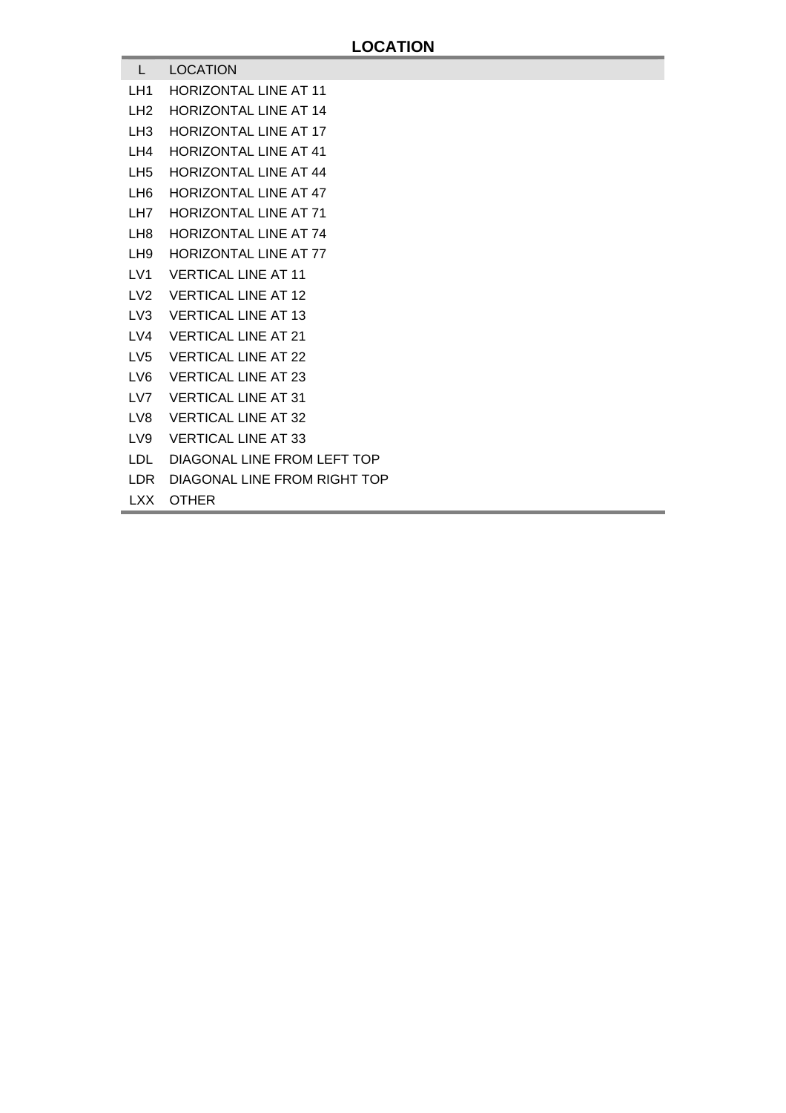#### L LOCATION

- LH1 HORIZONTAL LINE AT 11
- LH2 HORIZONTAL LINE AT 14
- LH3 HORIZONTAL LINE AT 17
- LH4 HORIZONTAL LINE AT 41
- LH5 HORIZONTAL LINE AT 44
- LH6 HORIZONTAL LINE AT 47
- LH7 HORIZONTAL LINE AT 71
- LH8 HORIZONTAL LINE AT 74
- LH9 HORIZONTAL LINE AT 77
- LV1 VERTICAL LINE AT 11
- LV2 VERTICAL LINE AT 12
- LV3 VERTICAL LINE AT 13
- LV4 VERTICAL LINE AT 21
- LV5 VERTICAL LINE AT 22
- LV6 VERTICAL LINE AT 23
- LV7 VERTICAL LINE AT 31
- LV8 VERTICAL LINE AT 32
- LV9 VERTICAL LINE AT 33
- LDL DIAGONAL LINE FROM LEFT TOP
- LDR DIAGONAL LINE FROM RIGHT TOP
- LXX OTHER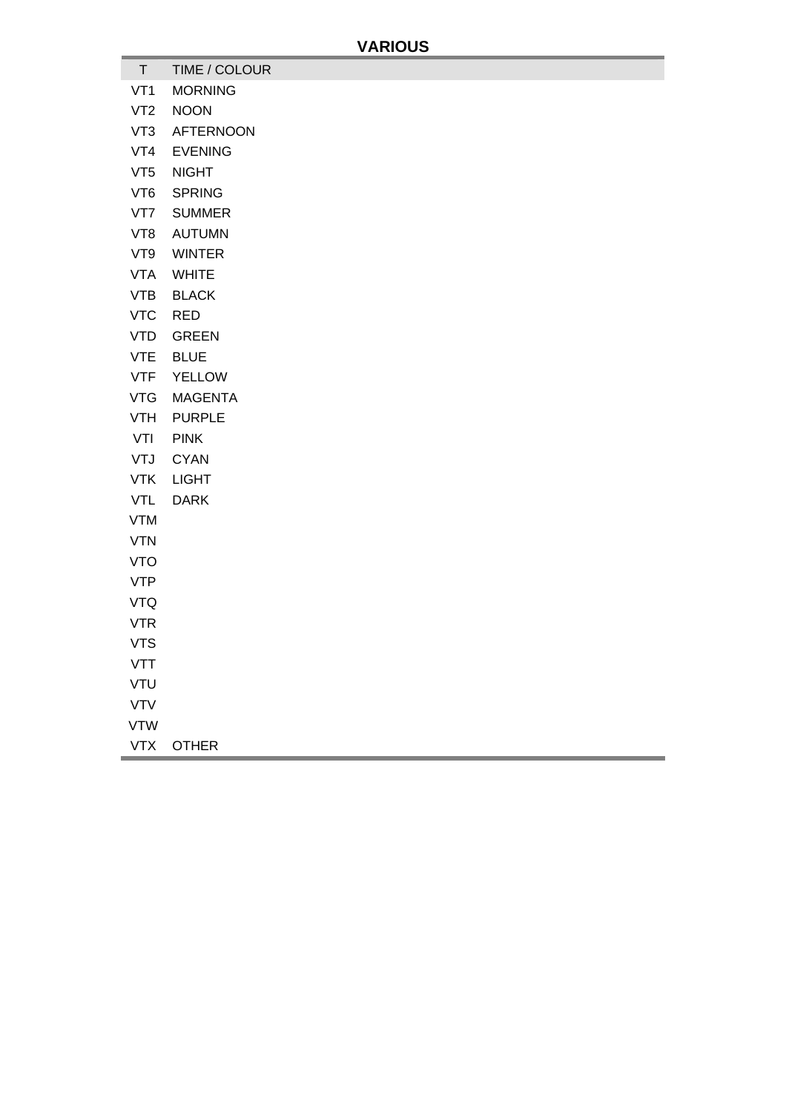- T TIME / COLOUR
- VT1 MORNING
- VT2 NOON
- VT3 AFTERNOON
- VT4 EVENING
- VT5 NIGHT
- VT6 SPRING
- VT7 SUMMER
- VT8 AUTUMN
- VT9 WINTER
- VTA WHITE
- VTB BLACK
- VTC RED
- VTD GREEN
- VTE BLUE
- VTF YELLOW
- VTG MAGENTA
- VTH PURPLE
- VTI PINK
- VTJ CYAN
- VTK LIGHT
- VTL DARK
- VTM
- VTN
- VTO
- VTP
- VTQ
- VTR
- VTS
- VTT
- VTU
- VTV
- VTW
- VTX OTHER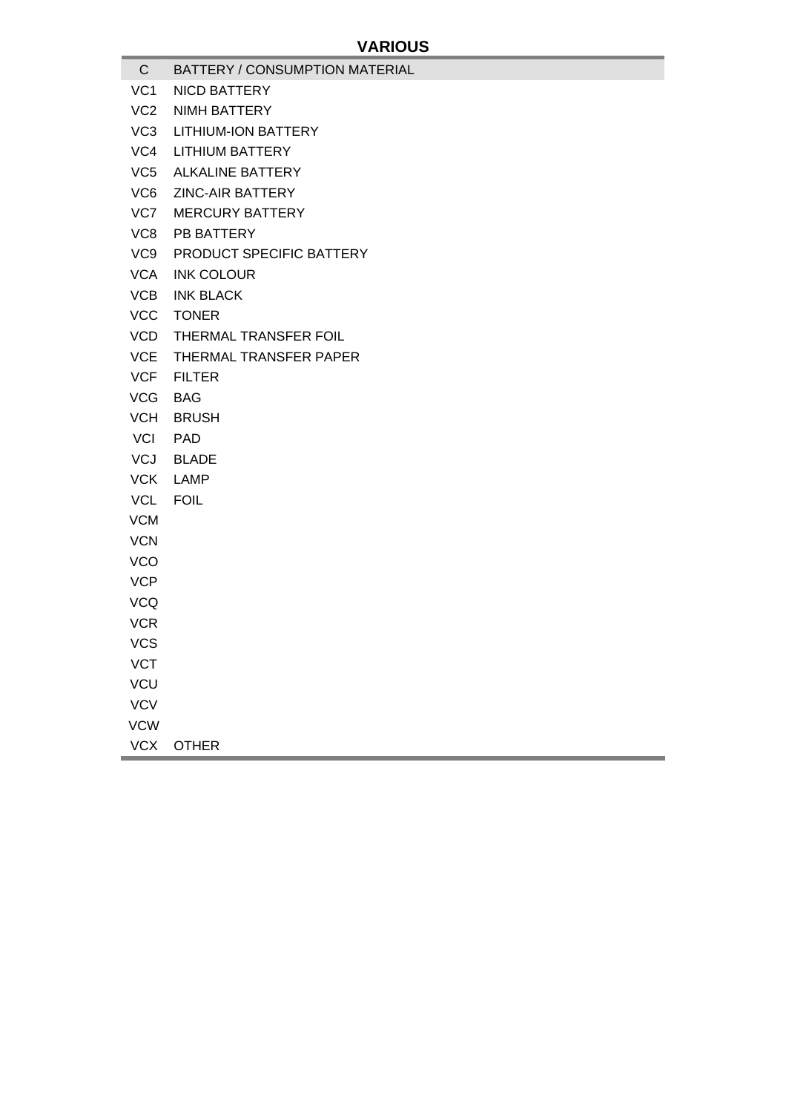- C BATTERY / CONSUMPTION MATERIAL
- VC1 NICD BATTERY
- VC2 NIMH BATTERY
- VC3 LITHIUM-ION BATTERY
- VC4 LITHIUM BATTERY
- VC5 ALKALINE BATTERY
- VC6 ZINC-AIR BATTERY
- VC7 MERCURY BATTERY
- VC8 PB BATTERY
- VC9 PRODUCT SPECIFIC BATTERY
- VCA INK COLOUR
- VCB INK BLACK
- VCC TONER
- VCD THERMAL TRANSFER FOIL
- VCE THERMAL TRANSFER PAPER
- VCF FILTER
- VCG BAG
- VCH BRUSH
- VCI PAD
- VCJ BLADE
- VCK LAMP
- VCL FOIL
- VCM
- **VCN**
- VCO
- **VCP**
- VCQ
- VCR
- VCS
- **VCT**
- **VCU**
- **VCV**
- VCW
- 
- VCX OTHER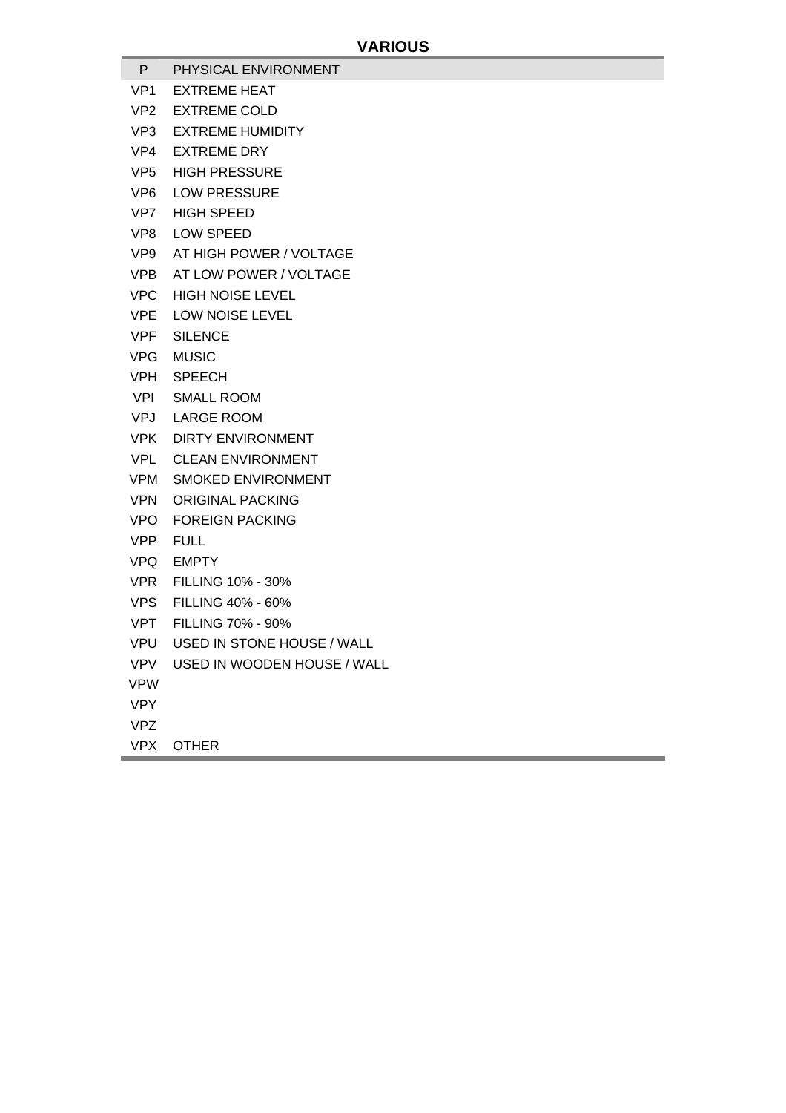- P PHYSICAL ENVIRONMENT
- VP1 EXTREME HEAT
- VP2 EXTREME COLD
- VP3 EXTREME HUMIDITY
- VP4 EXTREME DRY
- VP5 HIGH PRESSURE
- VP6 LOW PRESSURE
- VP7 HIGH SPEED
- VP8 LOW SPEED
- VP9 AT HIGH POWER / VOLTAGE
- VPB AT LOW POWER / VOLTAGE
- VPC HIGH NOISE LEVEL
- VPE LOW NOISE LEVEL
- VPF SILENCE
- VPG MUSIC
- VPH SPEECH
- VPI SMALL ROOM
- VPJ LARGE ROOM
- VPK DIRTY ENVIRONMENT
- VPL CLEAN ENVIRONMENT
- VPM SMOKED ENVIRONMENT
- VPN ORIGINAL PACKING
- VPO FOREIGN PACKING
- VPP FULL
- VPQ EMPTY
- VPR FILLING 10% 30%
- VPS FILLING 40% 60%
- VPT FILLING 70% 90%
- VPU USED IN STONE HOUSE / WALL
- VPV USED IN WOODEN HOUSE / WALL
- VPW
- VPY
- VPZ
- VPX OTHER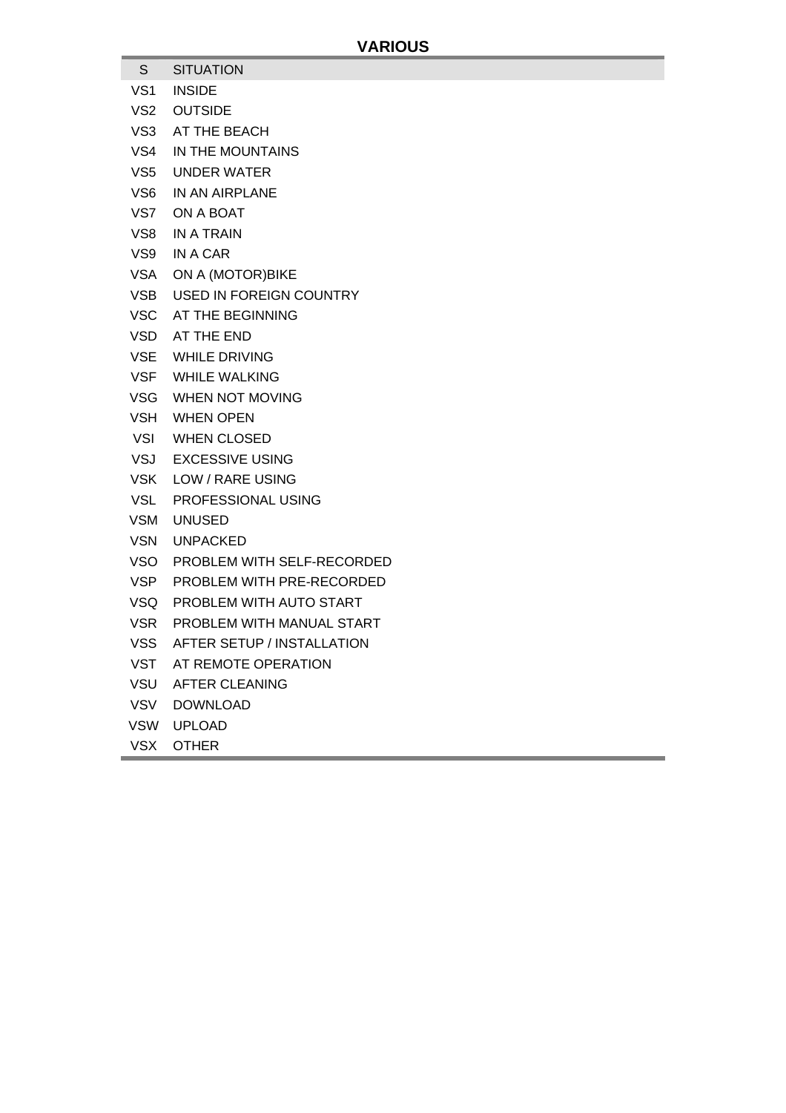- S SITUATION
- VS1 INSIDE
- VS2 OUTSIDE
- VS3 AT THE BEACH
- VS4 IN THE MOUNTAINS
- VS5 UNDER WATER
- VS6 IN AN AIRPLANE
- VS7 ON A BOAT
- VS8 IN A TRAIN
- VS9 IN A CAR
- VSA ON A (MOTOR)BIKE
- VSB USED IN FOREIGN COUNTRY
- VSC AT THE BEGINNING
- VSD AT THE END
- VSE WHILE DRIVING
- VSF WHILE WALKING
- VSG WHEN NOT MOVING
- VSH WHEN OPEN
- VSI WHEN CLOSED
- VSJ EXCESSIVE USING
- VSK LOW / RARE USING
- VSL PROFESSIONAL USING
- VSM UNUSED
- VSN UNPACKED
- VSO PROBLEM WITH SELF-RECORDED
- VSP PROBLEM WITH PRE-RECORDED
- VSQ PROBLEM WITH AUTO START
- VSR PROBLEM WITH MANUAL START
- VSS AFTER SETUP / INSTALLATION
- VST AT REMOTE OPERATION
- VSU AFTER CLEANING
- VSV DOWNLOAD
- VSW UPLOAD
- VSX OTHER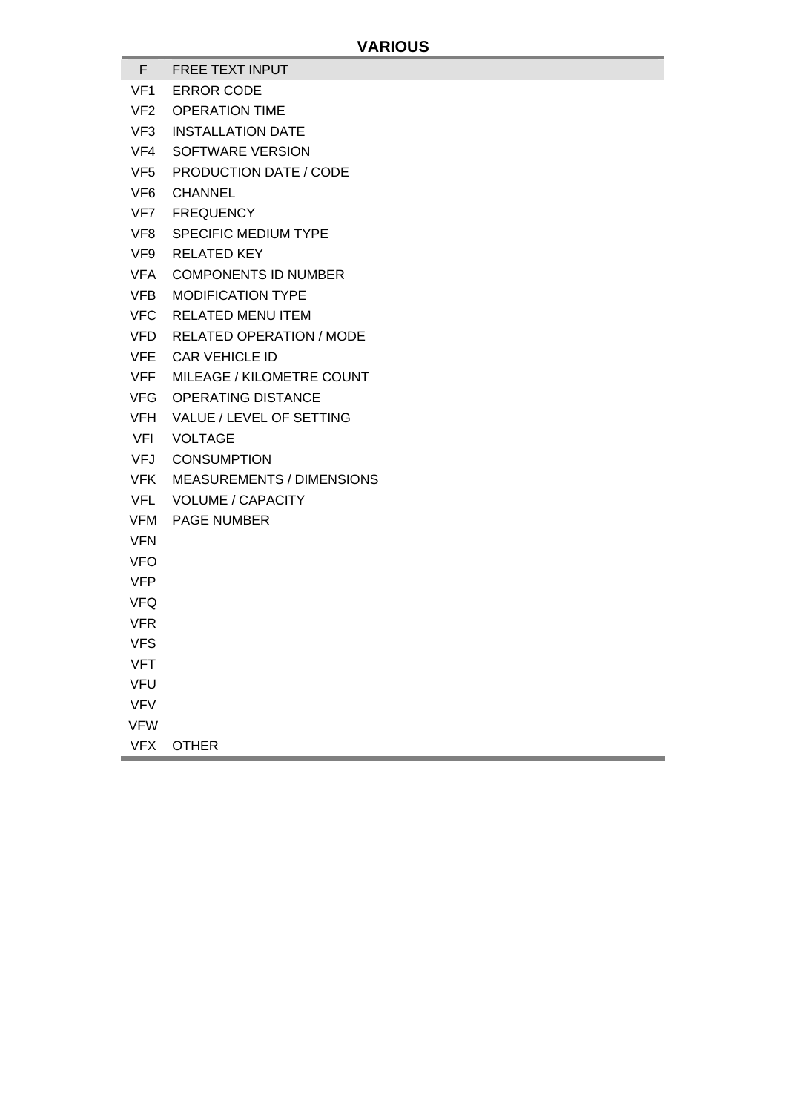- F FREE TEXT INPUT
- VF1 ERROR CODE
- VF2 OPERATION TIME
- VF3 INSTALLATION DATE
- VF4 SOFTWARE VERSION
- VF5 PRODUCTION DATE / CODE
- VF6 CHANNEL
- VF7 FREQUENCY
- VF8 SPECIFIC MEDIUM TYPE
- VF9 RELATED KEY
- VFA COMPONENTS ID NUMBER
- VFB MODIFICATION TYPE
- VFC RELATED MENU ITEM
- VFD RELATED OPERATION / MODE
- VFE CAR VEHICLE ID
- VFF MILEAGE / KILOMETRE COUNT
- VFG OPERATING DISTANCE
- VFH VALUE / LEVEL OF SETTING
- VFI VOLTAGE
- VFJ CONSUMPTION
- VFK MEASUREMENTS / DIMENSIONS
- VFL VOLUME / CAPACITY
- VFM PAGE NUMBER
- VFN
- VFO
- VFP
- VFQ
- VFR
- VFS
- 
- VFT
- VFU
- VFV
- VFW
- VFX OTHER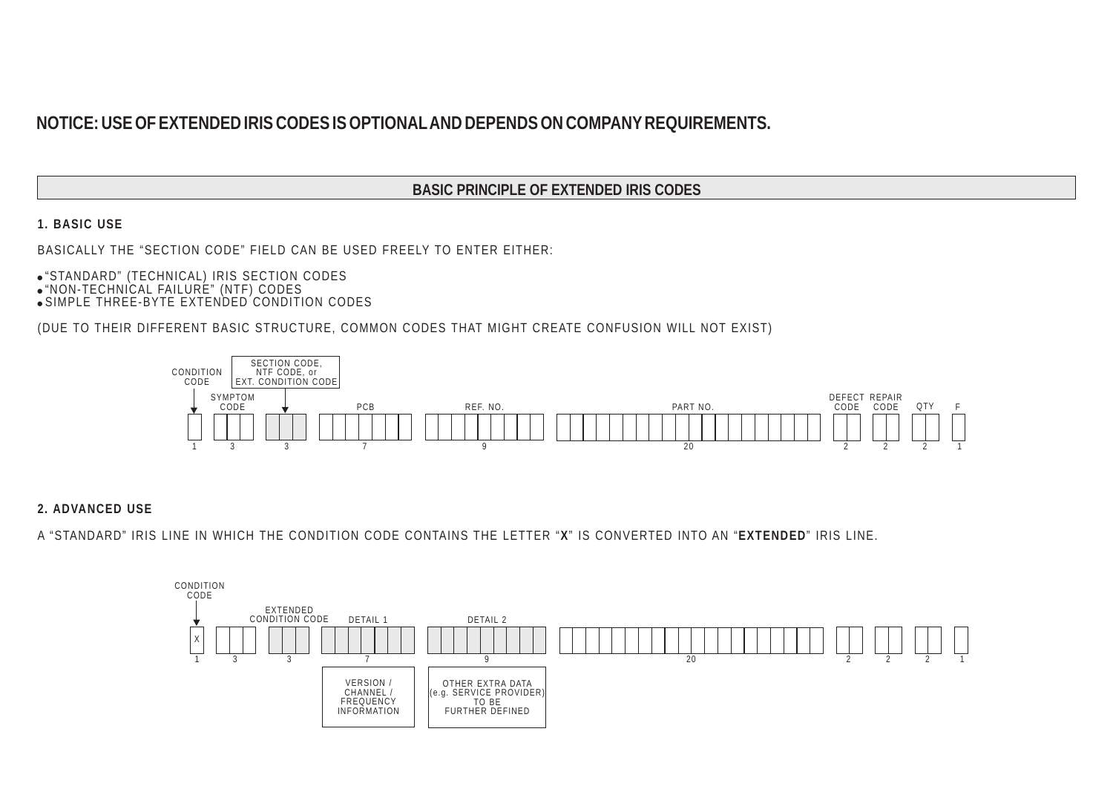# NOTICE: USE OF EXTENDED IRIS CODES IS OPTIONAL AND DEPENDS ON COMPANY REQUIREMENTS.

#### **BASIC PRINCIPLE OF EXTENDED IRIS CODES**

**1. BASIC USE**

BASICALLY THE "SECTION CODE" FIELD CAN BE USED FREELY TO ENTER EITHER:

- "STANDARD" (TECHNICAL) IRIS SECTION CODES
- "NON-TECHNICAL FAILURE" (NTF) CODES
- SIMPLE THREE-BYTE EXTENDED CONDITION CODES

(DUE TO THEIR DIFFERENT BASIC STRUCTURE, COMMON CODES THAT MIGHT CREATE CONFUSION WILL NOT EXIST)



**2. ADVANCED USE**

A "STANDARD" IRIS LINE IN WHICH THE CONDITION CODE CONTAINS THE LETTER " " IS CONVERTED INTO AN " " IRIS LINE. **X EXTENDED**